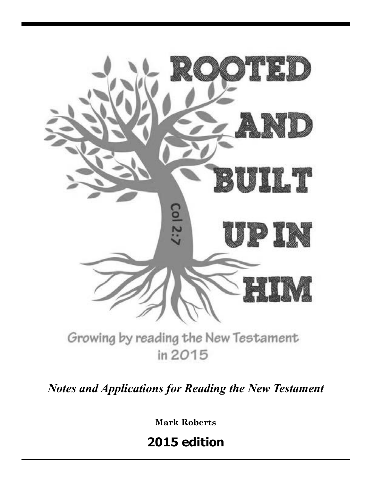

*Notes and Applications for Reading the New Testament*

**Mark Roberts**

**2015 edition**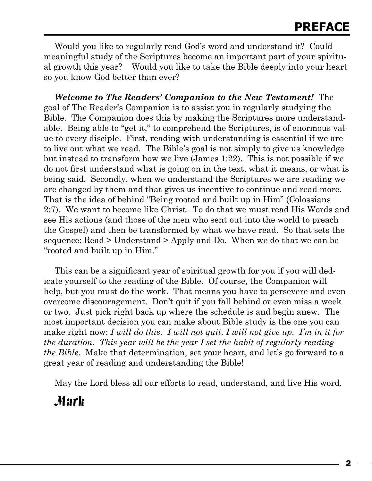Would you like to regularly read God's word and understand it? Could meaningful study of the Scriptures become an important part of your spiritual growth this year? Would you like to take the Bible deeply into your heart so you know God better than ever?

*Welcome to The Readers' Companion to the New Testament!*The goal of The Reader's Companion is to assist you in regularly studying the Bible. The Companion does this by making the Scriptures more understandable. Being able to "get it," to comprehend the Scriptures, is of enormous value to every disciple. First, reading with understanding is essential if we are to live out what we read. The Bible's goal is not simply to give us knowledge but instead to transform how we live (James 1:22). This is not possible if we do not first understand what is going on in the text, what it means, or what is being said. Secondly, when we understand the Scriptures we are reading we are changed by them and that gives us incentive to continue and read more. That is the idea of behind "Being rooted and built up in Him" (Colossians 2:7). We want to become like Christ. To do that we must read His Words and see His actions (and those of the men who sent out into the world to preach the Gospel) and then be transformed by what we have read. So that sets the sequence: Read > Understand > Apply and Do. When we do that we can be "rooted and built up in Him."

This can be a significant year of spiritual growth for you if you will dedicate yourself to the reading of the Bible. Of course, the Companion will help, but you must do the work. That means you have to persevere and even overcome discouragement. Don't quit if you fall behind or even miss a week or two. Just pick right back up where the schedule is and begin anew. The most important decision you can make about Bible study is the one you can make right now: *I will do this. I will not quit, I will not give up. I'm in it for the duration. This year will be the year I set the habit of regularly reading the Bible.* Make that determination, set your heart, and let's go forward to a great year of reading and understanding the Bible!

May the Lord bless all our efforts to read, understand, and live His word.

## Mark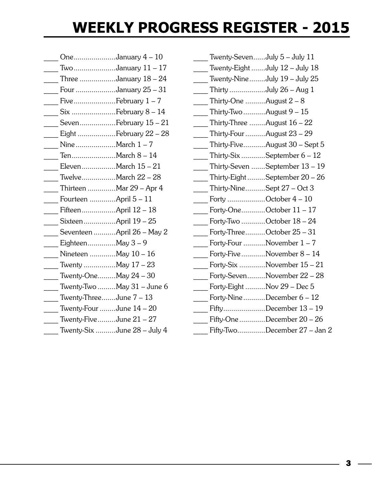# **WEEKLY PROGRESS REGISTER - 2015**

- One....................January 4 10 \_\_\_\_ Two.....................January 11 – 17 Three  $\ldots$ ...............January  $18 - 24$ Four ...................January 25 – 31 Five.....................February 1 – 7 Six ........................February 8 – 14 Seven..................February 15 – 21 Eight ....................February 22 – 28 Nine...................March 1 – 7 Ten......................March 8 – 14 Eleven................March 15 – 21 \_\_\_\_ Twelve.................March 22 – 28 Thirteen .............Mar 29 – Apr 4 Fourteen .............April 5 – 11 Fifteen...................April 12 - 18 Sixteen................April 19 – 25 Seventeen ...........April 26 – May 2 Eighteen..............May 3 – 9 Nineteen ............May 10 – 16 Twenty ................May 17 – 23 Twenty-One.........May 24 – 30 Twenty-Two  $\ldots$ .......May 31 – June 6 Twenty-Three.......June  $7 - 13$ Twenty-Four ........June 14 – 20 Twenty-Five.........June  $21 - 27$ Twenty-Six ..........June 28 – July 4
- Twenty-Seven......July 5 July 11 Twenty-Eight .......July  $12$  – July  $18$ Twenty-Nine........July  $19$  – July  $25$ Thirty ...................July  $26 - Aug 1$ Thirty-One  $\ldots$ ........August  $2 - 8$ Thirty-Two...........August  $9 - 15$ Thirty-Three  $\ldots$ ......August  $16 - 22$ \_\_\_\_ Thirty-Four..........August 23 – 29 Thirty-Five...........August  $30$  – Sept 5 Thirty-Six ............September  $6 - 12$ Thirty-Seven .......September 13 - 19 Thirty-Eight .........September 20 – 26 Thirty-Nine..........Sept  $27 - Oct 3$ Forty ..................October 4 – 10 Forty-One...........October 11 – 17 Forty-Two ...........October 18 – 24 Forty-Three.........October 25 – 31 Forty-Four  $\ldots$ ........November  $1 - 7$ Forty-Five...........November 8 – 14 Forty-Six ............November 15 – 21 Forty-Seven.........November 22 – 28 Forty-Eight ..........Nov 29 – Dec 5 Forty-Nine..........December 6 – 12 Fifty...................December 13 – 19 Fifty-One............December 20 – 26 Fifty-Two.............December 27 – Jan 2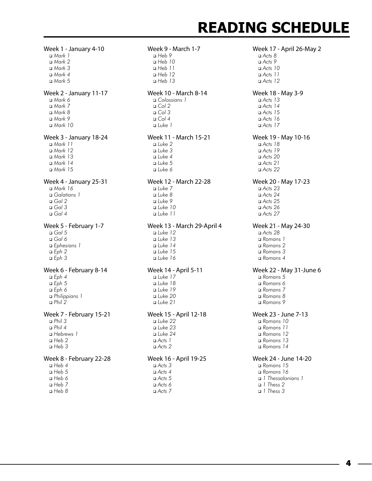#### Week 1 - January 4-10 <sup>q</sup> *Mark 1* <sup>q</sup> *Mark 2* <sup>q</sup> *Mark 3* <sup>q</sup> *Mark 4* <sup>q</sup> *Mark 5* Week 2 - January 11-17 <sup>q</sup> *Mark 6* <sup>q</sup> *Mark 7* <sup>q</sup> *Mark 8* <sup>q</sup> *Mark 9* <sup>q</sup> *Mark 10* Week 3 - January 18-24 <sup>q</sup> *Mark 11* <sup>q</sup> *Mark 12* <sup>q</sup> *Mark 13* <sup>q</sup> *Mark 14* <sup>q</sup> *Mark 15* Week 4 - January 25-31 <sup>q</sup> *Mark 16* <sup>q</sup> *Galatians 1* <sup>q</sup> *Gal 2* <sup>q</sup> *Gal 3* <sup>q</sup> *Gal 4* Week 5 - February 1-7 <sup>q</sup> *Gal 5* <sup>q</sup> *Gal 6* <sup>q</sup> *Ephesians 1* <sup>q</sup> *Eph 2* <sup>q</sup> *Eph 3* Week 6 - February 8-14 <sup>q</sup> *Eph 4*  <sup>q</sup> *Eph 5* <sup>q</sup> *Eph 6* <sup>q</sup> *Philippians 1* <sup>q</sup> *Phil 2* Week 7 - February 15-21 <sup>q</sup> *Phil 3* <sup>q</sup> *Phil 4* <sup>q</sup> *Hebrews 1* <sup>q</sup> *Heb 2* <sup>q</sup> *Heb 3* Week 8 - February 22-28 <sup>q</sup> *Heb 4* <sup>q</sup> *Heb 5*

<sup>q</sup> *Heb 6* <sup>q</sup> *Heb 7* <sup>q</sup> *Heb 8*

## Week 9 - March 1-7 <sup>q</sup> *Heb 9* <sup>q</sup> *Heb 10* <sup>q</sup> *Heb 11* <sup>q</sup> *Heb 12* <sup>q</sup> *Heb 13* Week 10 - March 8-14 <sup>q</sup> *Colossians 1*  $\Box$  *Col* 2 <sup>q</sup> *Col 3* <sup>q</sup> *Col 4* <sup>q</sup> *Luke 1* Week 11 - March 15-21 <sup>q</sup> *Luke 2* <sup>q</sup> *Luke 3* <sup>q</sup> *Luke 4* <sup>q</sup> *Luke 5* <sup>q</sup> *Luke 6* Week 12 - March 22-28 <sup>q</sup> *Luke 7* <sup>q</sup> *Luke 8* <sup>q</sup> *Luke 9* <sup>q</sup> *Luke 10* <sup>q</sup> *Luke 11* Week 13 - March 29-April 4 <sup>q</sup> *Luke 12* <sup>q</sup> *Luke 13* <sup>q</sup> *Luke 14* <sup>q</sup> *Luke 15* <sup>q</sup> *Luke 16* Week 14 - April 5-11 <sup>q</sup> *Luke 17* <sup>q</sup> *Luke 18* <sup>q</sup> *Luke 19* <sup>q</sup> *Luke 20* <sup>q</sup> *Luke 21* Week 15 - April 12-18 <sup>q</sup> *Luke 22* <sup>q</sup> *Luke 23* <sup>q</sup> *Luke 24* <sup>q</sup> *Acts 1* <sup>q</sup> *Acts 2*

## Week 16 - April 19-25

<sup>q</sup> *Acts 3*   $\Box$  *Acts 4* <sup>q</sup> *Acts 5* <sup>q</sup> *Acts 6* <sup>q</sup> *Acts 7*

# **READING SCHEDULE**

Week 17 - April 26-May 2 <sup>q</sup> *Acts 8* <sup>q</sup> *Acts 9* <sup>q</sup> *Acts 10* <sup>q</sup> *Acts 11* <sup>q</sup> *Acts 12* Week 18 - May 3-9 <sup>q</sup> *Acts 13* <sup>q</sup> *Acts 14* <sup>q</sup> *Acts 15* <sup>q</sup> *Acts 16* <sup>q</sup> *Acts 17* Week 19 - May 10-16 <sup>q</sup> *Acts 18* <sup>q</sup> *Acts 19* <sup>q</sup> *Acts 20* <sup>q</sup> *Acts 21* <sup>q</sup> *Acts 22* Week 20 - May 17-23 <sup>q</sup> *Acts 23* <sup>q</sup> *Acts 24* <sup>q</sup> *Acts 25* <sup>q</sup> *Acts 26* <sup>q</sup> *Acts 27* Week 21 - May 24-30 <sup>q</sup> *Acts 28* <sup>q</sup> *Romans 1* <sup>q</sup> *Romans 2* <sup>q</sup> *Romans 3* <sup>q</sup> *Romans 4* Week 22 - May 31-June 6 <sup>q</sup> *Romans 5* <sup>q</sup> *Romans 6* <sup>q</sup> *Romans 7* <sup>q</sup> *Romans 8* <sup>q</sup> *Romans 9* Week 23 - June 7-13 <sup>q</sup> *Romans 10* <sup>q</sup> *Romans 11* <sup>q</sup> *Romans 12* <sup>q</sup> *Romans 13* <sup>q</sup> *Romans 14* Week 24 - June 14-20 <sup>q</sup> *Romans 15* <sup>q</sup> *Romans 16* <sup>q</sup> *1 Thessalonians 1*

<sup>q</sup> *1 Thess 2* <sup>q</sup> *1 Thess 3*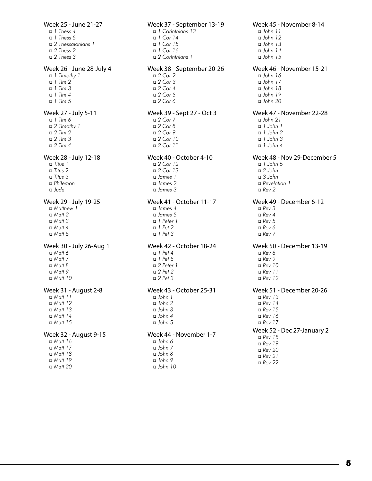Week 25 - June 21-27 <sup>q</sup> *1 Thess 4* <sup>q</sup> *1 Thess 5* <sup>q</sup> *2 Thessalonians 1* <sup>q</sup> *2 Thess 2* <sup>q</sup> *2 Thess 3* Week 26 - June 28-July 4 <sup>q</sup> *1 Timothy 1* <sup>q</sup> *1 Tim 2* <sup>q</sup> *1 Tim 3* <sup>q</sup> *1 Tim 4* <sup>q</sup> *1 Tim 5* Week 27 - July 5-11 <sup>q</sup> *1 Tim 6* <sup>q</sup> *2 Timothy 1* <sup>q</sup> *2 Tim 2* <sup>q</sup> *2 Tim 3*  <sup>q</sup> *2 Tim 4* Week 28 - July 12-18 <sup>q</sup> *Ti*tus *1* <sup>q</sup> *Titus 2* <sup>q</sup> *Titus 3* <sup>q</sup> *Philemon* <sup>q</sup> *Jude* Week 29 - July 19-25 <sup>q</sup> *Matthew 1* <sup>q</sup> *Matt 2* <sup>q</sup> *Matt 3* <sup>q</sup> *Matt 4* <sup>q</sup> *Matt 5* Week 30 - July 26-Aug 1 <sup>q</sup> *Matt 6* <sup>q</sup> *Matt 7* <sup>q</sup> *Matt 8* <sup>q</sup> *Matt 9* <sup>q</sup> *Matt 10* Week 31 - August 2-8 <sup>q</sup> *Matt 11* <sup>q</sup> *Matt 12* <sup>q</sup> *Matt 13* <sup>q</sup> *Matt 14* <sup>q</sup> *Matt 15* Week 32 - August 9-15 <sup>q</sup> *Matt 16* <sup>q</sup> *Matt 17* <sup>q</sup> *Matt 18* <sup>q</sup> *Matt 19*

- 
- <sup>q</sup> *Matt 20*

Week 37 - September 13-19 <sup>q</sup> *1 Corinthians 13* <sup>q</sup> *1 Cor 14* <sup>q</sup> *1 Cor 15* <sup>q</sup> *1 Cor 16* <sup>q</sup> *2 Corinthians 1* Week 38 - September 20-26 <sup>q</sup> *2 Cor 2* <sup>q</sup> *2 Cor 3* <sup>q</sup> *2 Cor 4* <sup>q</sup> *2 Cor 5* <sup>q</sup> *2 Cor 6* Week 39 - Sept 27 - Oct 3 <sup>q</sup> *2 Cor 7* <sup>q</sup> *2 Cor 8* <sup>q</sup> *2 Cor 9* <sup>q</sup> *2 Cor 10* <sup>q</sup> *2 Cor 11* Week 40 - October 4-10 <sup>q</sup> *2 Cor 12* <sup>q</sup> *2 Cor 13* <sup>q</sup> *James 1* <sup>q</sup> *James 2* <sup>q</sup> *James 3* Week 41 - October 11-17 <sup>q</sup> *James 4* <sup>q</sup> *James 5* <sup>q</sup> *1 Peter 1* <sup>q</sup> *1 Pet 2* <sup>q</sup> *1 Pet 3* Week 42 - October 18-24 <sup>q</sup> *1 Pet 4* <sup>q</sup> *1 Pet 5* <sup>q</sup> *2 Peter 1* <sup>q</sup> *2 Pet 2* <sup>q</sup> *2 Pet 3* Week 43 - October 25-31 <sup>q</sup> *John 1* <sup>q</sup> *John 2* <sup>q</sup> *John 3* <sup>q</sup> *John 4* <sup>q</sup> *John 5* Week 44 - November 1-7 <sup>q</sup> *John 6* <sup>q</sup> *John 7* <sup>q</sup> *John 8* <sup>q</sup> *John 9*

<sup>q</sup> *John 10*

Week 45 - November 8-14 <sup>q</sup> *John 11* <sup>q</sup> *John 12* <sup>q</sup> *John 13* <sup>q</sup> *John 14* <sup>q</sup> *John 15* Week 46 - November 15-21 <sup>q</sup> *John 16* <sup>q</sup> *John 17* <sup>q</sup> *John 18* <sup>q</sup> *John 19* <sup>q</sup> *John 20* Week 47 - November 22-28 <sup>q</sup> *John 21* <sup>q</sup> *1 John 1* <sup>q</sup> *1 John 2* <sup>q</sup> *1 John 3* <sup>q</sup> *1 John 4* Week 48 - Nov 29-December 5 <sup>q</sup> *1 John 5* <sup>q</sup> *2 John* <sup>q</sup> *3 John* <sup>q</sup> *Revelation 1* <sup>q</sup> *Rev 2* Week 49 - December 6-12 <sup>q</sup> *Rev 3* <sup>q</sup> *Rev 4* <sup>q</sup> *Rev 5* <sup>q</sup> *Rev 6* <sup>q</sup> *Rev 7* Week 50 - December 13-19 <sup>q</sup> *Rev 8* <sup>q</sup> *Rev 9* <sup>q</sup> *Rev 10* <sup>q</sup> *Rev 11* <sup>q</sup> *Rev 12* Week 51 - December 20-26 <sup>q</sup> *Rev 13* <sup>q</sup> *Rev 14* <sup>q</sup> *Rev 15* <sup>q</sup> *Rev 16* <sup>q</sup> *Rev 17* Week 52 - Dec 27-January 2 <sup>q</sup> *Rev 18* <sup>q</sup> *Rev 19* <sup>q</sup> *Rev 20* <sup>q</sup> *Rev 21*

<sup>q</sup> *Rev 22*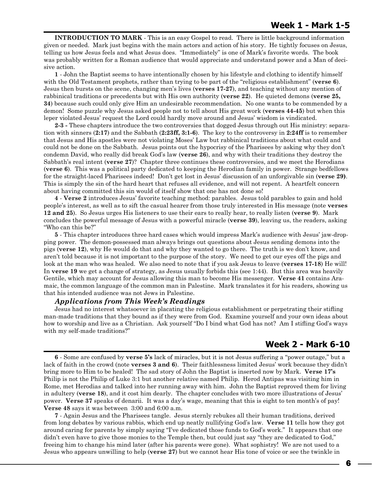**INTRODUCTION TO MARK** - This is an easy Gospel to read. There is little background information given or needed. Mark just begins with the main actors and action of his story. He tightly focuses on Jesus, telling us how Jesus feels and what Jesus does. "Immediately" is one of Mark's favorite words. The book was probably written for a Roman audience that would appreciate and understand power and a Man of decisive action.

**1** - John the Baptist seems to have intentionally chosen by his lifestyle and clothing to identify himself with the Old Testament prophets, rather than trying to be part of the "religious establishment" (**verse 6**). Jesus then bursts on the scene, changing men's lives (**verses 17-27**), and teaching without any mention of rabbinical traditions or precedents but with His own authority (**verse 22**). He quieted demons (**verse 25, 34**) because such could only give Him an undesirable recommendation. No one wants to be commended by a demon! Some puzzle why Jesus asked people not to tell about His great work (**verses 44-45**) but when this leper violated Jesus' request the Lord could hardly move around and Jesus' wisdom is vindicated.

**2-3 -** These chapters introduce the two controversies that dogged Jesus through out His ministry: separation with sinners (**2:17**) and the Sabbath (**2:23ff, 3:1-6**). The key to the controversy in **2:24ff** is to remember that Jesus and His apostles were not violating Moses' Law but rabbinical traditions about what could and could not be done on the Sabbath. Jesus points out the hypocrisy of the Pharisees by asking why they don't condemn David, who really did break God's law (**verse 26**), and why with their traditions they destroy the Sabbath's real intent (**verse 27**)? Chapter three continues these controversies, and we meet the Herodians (**verse 6**). This was a political party dedicated to keeping the Herodian family in power. Strange bedfellows for the straight-laced Pharisees indeed! Don't get lost in Jesus' discussion of an unforgivable sin (**verse 29)**. This is simply the sin of the hard heart that refuses all evidence, and will not repent. A heartfelt concern about having committed this sin would of itself show that one has not done so!

**4** - **Verse 2** introduces Jesus' favorite teaching method: parables. Jesus told parables to gain and hold people's interest, as well as to sift the casual hearer from those truly interested in His message (note **verses 12 and 25**). So Jesus urges His listeners to use their ears to really hear, to really listen (**verse 9**). Mark concludes the powerful message of Jesus with a powerful miracle (**verse 39**), leaving us, the readers, asking "Who can this be?"

**5** - This chapter introduces three hard cases which would impress Mark's audience with Jesus' jaw-dropping power. The demon-possessed man always brings out questions about Jesus sending demons into the pigs (**verse 12**), why He would do that and why they wanted to go there. The truth is we don't know, and aren't told because it is not important to the purpose of the story. We need to get our eyes off the pigs and look at the man who was healed. We also need to note that if you ask Jesus to leave (**verses 17-18**) He will! In **verse 19** we get a change of strategy, as Jesus usually forbids this (see 1:44). But this area was heavily Gentile, which may account for Jesus allowing this man to become His messenger. **Verse 41** contains Aramaic, the common language of the common man in Palestine. Mark translates it for his readers, showing us that his intended audience was not Jews in Palestine.

## *Applications from This Week's Readings*

Jesus had no interest whatsoever in placating the religious establishment or perpetrating their stifling man-made traditions that they bound as if they were from God. Examine yourself and your own ideas about how to worship and live as a Christian. Ask yourself "Do I bind what God has not? Am I stifling God's ways with my self-made traditions?"

## **Week 2 - Mark 6-10**

**7** - Again Jesus and the Pharisees tangle. Jesus sternly rebukes all their human traditions, derived from long debates by various rabbis, which end up neatly nullifying God's law. **Verse 11** tells how they got around caring for parents by simply saying "I've dedicated those funds to God's work." It appears that one didn't even have to give those monies to the Temple then, but could just say "they are dedicated to God," freeing him to change his mind later (after his parents were gone). What sophistry! We are not used to a Jesus who appears unwilling to help (**verse 27**) but we cannot hear His tone of voice or see the twinkle in

**<sup>6</sup>** - Some are confused by **verse 5's** lack of miracles, but it is not Jesus suffering a "power outage," but a lack of faith in the crowd (note **verses 3 and 6**). Their faithlessness limited Jesus' work because they didn't bring more to Him to be healed! The sad story of John the Baptist is inserted now by Mark. **Verse 17's** Philip is not the Philip of Luke 3:1 but another relative named Philip. Herod Antipas was visiting him in Rome, met Herodias and talked into her running away with him. John the Baptist reproved them for living in adultery (**verse 18**), and it cost him dearly. The chapter concludes with two more illustrations of Jesus' power. **Verse 37** speaks of denarii. It was a day's wage, meaning that this is eight to ten month's of pay! **Verse 48** says it was between 3:00 and 6:00 a.m.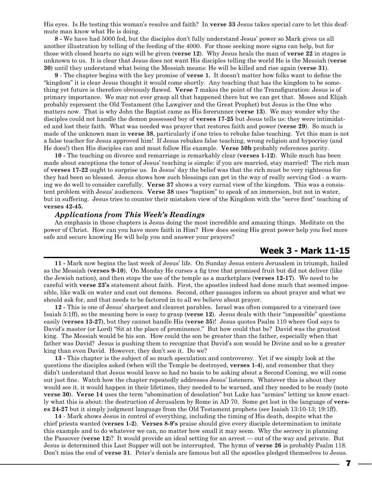His eyes. Is He testing this woman's resolve and faith? In **verse 33** Jesus takes special care to let this deafmute man know what He is doing.

**8 -** We have had 5000 fed, but the disciples don't fully understand Jesus' power so Mark gives us all another illustration by telling of the feeding of the 4000. For those seeking more signs can help, but for those with closed hearts no sign will be given (**verse 12**). Why Jesus heals the man of **verse 22** in stages is unknown to us. It is clear that Jesus does not want His disciples telling the world He is the Messiah (**verse 30**) until they understand what being the Messiah means: He will be killed and rise again (**verse 31**).

**9** - The chapter begins with the key promise of **verse 1.** It doesn't matter how folks want to define the "kingdom" it is clear Jesus thought it would come shortly. Any teaching that has the kingdom to be something yet future is therefore obviously flawed. **Verse 7** makes the point of the Transfiguration: Jesus is of primary importance. We may not ever grasp all that happened there but we can get that. Moses and Elijah probably represent the Old Testament (the Lawgiver and the Great Prophet) but Jesus is the One who matters now. That is why John the Baptist came as His forerunner (**verse 13**). We may wonder why the disciples could not handle the demon possessed boy of **verses 17-25** but Jesus tells us: they were intimidated and lost their faith. What was needed was prayer that restores faith and power (**verse 29**). So much is made of the unknown man in **verse 38**, particularly if one tries to rebuke false teaching. Yet this man is not a false teacher for Jesus approved him! If Jesus rebukes false teaching, wrong religion and hypocrisy (and He does!) then His disciples can and must follow His example. **Verse 50b** probably references purity.

**10 -** The teaching on divorce and remarriage is remarkably clear (**verses 1-12**). While much has been made about exceptions the tenor of Jesus' teaching is simple: if you are married, stay married! The rich man of **verses 17-22** ought to surprise us. In Jesus' day the belief was that the rich must be very righteous for they had been so blessed. Jesus shows how such blessings can get in the way of really serving God - a warning we do well to consider carefully. **Verse 37** shows a very carnal view of the kingdom. This was a consistent problem with Jesus' audiences. **Verse 38** uses "baptism" to speak of an immersion, but not in water, but in suffering. Jesus tries to counter their mistaken view of the Kingdom with the "serve first" teaching of **verses 42-45.**

#### *Applications from This Week's Readings*

An emphasis in these chapters is Jesus doing the most incredible and amazing things. Meditate on the power of Christ. How can you have more faith in Him? How does seeing His great power help you feel more safe and secure knowing He will help you and answer your prayers?

## **Week 3 - Mark 11-15**

**11 -** Mark now begins the last week of Jesus' life. On Sunday Jesus enters Jerusalem in triumph, hailed as the Messiah (**verses 9-10**). On Monday He curses a fig tree that promised fruit but did not deliver (like the Jewish nation), and then stops the use of the temple as a marketplace (**verses 12-17**). We need to be careful with **verse 23's** statement about faith. First, the apostles indeed had done much that seemed impossible, like walk on water and cast out demons. Second, other passages inform us about prayer and what we should ask for, and that needs to be factored in to all we believe about prayer.

**12 -** This is one of Jesus' sharpest and clearest parables. Israel was often compared to a vineyard (see Isaiah 5:1ff), so the meaning here is easy to grasp (**verse 12**). Jesus deals with their "impossible" questions easily (**verses 13-27**), but they cannot handle His (**verse 35**)! Jesus quotes Psalm 110 where God says to David's master (or Lord) "Sit at the place of prominence." But how could that be? David was the greatest king. The Messiah would be his son. How could the son be greater than the father, especially when that father was David? Jesus is pushing them to recognize that David's son would be Divine and so be a greater king than even David. However, they don't see it. Do we?

**13 -** This chapter is the subject of so much speculation and controversy. Yet if we simply look at the questions the disciples asked (when will the Temple be destroyed, **verses 1-4**), and remember that they didn't understand that Jesus would leave so had no basis to be asking about a Second Coming, we will come out just fine. Watch how the chapter repeatedly addresses Jesus' listeners. Whatever this is about they would see it, it would happen in their lifetimes, they needed to be warned, and they needed to be ready (note **verse 30**). **Verse 14** uses the term "abomination of desolation" but Luke has "armies" letting us know exactly what this is about: the destruction of Jerusalem by Rome in AD 70. Some get lost in the language of **verses 24-27** but it simply judgment language from the Old Testament prophets (see Isaiah 13:10-13; 19:1ff).

**14** - Mark shows Jesus in control of everything, including the timing of His death, despite what the chief priests wanted (**verses 1-2**). **Verses 8-9's** praise should give every disciple determination to imitate this example and to do whatever we can, no matter how small it may seem. Why the secrecy in planning the Passover (**verse 12**)? It would provide an ideal setting for an arrest — out of the way and private. But Jesus is determined this Last Supper will not be interrupted. The hymn of **verse 26** is probably Psalm 118. Don't miss the end of **verse 31**. Peter's denials are famous but all the apostles pledged themselves to Jesus.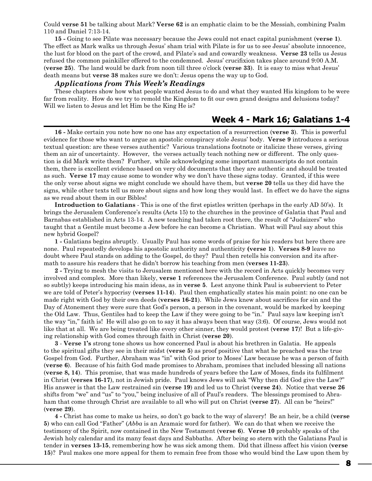Could **verse 51** be talking about Mark? **Verse 62** is an emphatic claim to be the Messiah, combining Psalm 110 and Daniel 7:13-14.

**15 -** Going to see Pilate was necessary because the Jews could not enact capital punishment (**verse 1**). The effect as Mark walks us through Jesus' sham trial with Pilate is for us to see Jesus' absolute innocence, the lust for blood on the part of the crowd, and Pilate's sad and cowardly weakness. **Verse 23** tells us Jesus refused the common painkiller offered to the condemned. Jesus' crucifixion takes place around 9:00 A.M. (**verse 25**). The land would be dark from noon till three o'clock (**verse 33**). It is easy to miss what Jesus' death means but **verse 38** makes sure we don't: Jesus opens the way up to God.

#### *Applications from This Week's Readings*

These chapters show how what people wanted Jesus to do and what they wanted His kingdom to be were far from reality. How do we try to remold the Kingdom to fit our own grand designs and delusions today? Will we listen to Jesus and let Him be the King He is?

## **Week 4 - Mark 16; Galatians 1-4**

**16 -** Make certain you note how no one has any expectation of a resurrection (**verse 3**). This is powerful evidence for those who want to argue an apostolic conspiracy stole Jesus' body. **Verse 9** introduces a serious textual question: are these verses authentic? Various translations footnote or italicize these verses, giving them an air of uncertainty. However, the verses actually teach nothing new or different. The only question is did Mark write them? Further, while acknowledging some important manuscripts do not contain them, there is excellent evidence based on very old documents that they are authentic and should be treated as such. **Verse 17** may cause some to wonder why we don't have these signs today. Granted, if this were the only verse about signs we might conclude we should have them, but **verse 20** tells us they did have the signs, while other texts tell us more about signs and how long they would last. In effect we do have the signs as we read about them in our Bibles!

**Introduction to Galatians** - This is one of the first epistles written (perhaps in the early AD 50's). It brings the Jerusalem Conference's results (Acts 15) to the churches in the province of Galatia that Paul and Barnabas established in Acts 13-14. A new teaching had taken root there, the result of "Judaizers" who taught that a Gentile must become a Jew before he can become a Christian. What will Paul say about this new hybrid Gospel?

**1 -** Galatians begins abruptly. Usually Paul has some words of praise for his readers but here there are none. Paul repeatedly develops his apostolic authority and authenticity **(verse 1**). **Verses 8-9** leave no doubt where Paul stands on adding to the Gospel, do they? Paul then retells his conversion and its aftermath to assure his readers that he didn't borrow his teaching from men (**verses 11-23**).

**2 -** Trying to mesh the visits to Jerusalem mentioned here with the record in Acts quickly becomes very involved and complex. More than likely, **verse 1** references the Jerusalem Conference. Paul subtly (and not so subtly) keeps introducing his main ideas, as in **verse 5**. Lest anyone think Paul is subservient to Peter we are told of Peter's hypocrisy (**verses 11-14**). Paul then emphatically states his main point: no one can be made right with God by their own deeds (**verses 16-21**). While Jews knew about sacrifices for sin and the Day of Atonement they were sure that God's person, a person in the covenant, would be marked by keeping the Old Law. Thus, Gentiles had to keep the Law if they were going to be "in." Paul says law keeping isn't the way "in," faith is! He will also go on to say it has always been that way (3:6). Of course, Jews would not like that at all. We are being treated like every other sinner, they would protest (**verse 17**)! But a life-giving relationship with God comes through faith in Christ (**verse 20**).

**3** - **Verse 1's** strong tone shows us how concerned Paul is about his brethren in Galatia. He appeals to the spiritual gifts they see in their midst (**verse 5**) as proof positive that what he preached was the true Gospel from God. Further, Abraham was "in" with God prior to Moses' Law because he was a person of faith (**verse 6**). Because of his faith God made promises to Abraham, promises that included blessing all nations (**verse 8, 14**). This promise, that was made hundreds of years before the Law of Moses, finds its fulfilment in Christ (**verses 16-17**), not in Jewish pride. Paul knows Jews will ask "Why then did God give the Law?" His answer is that the Law restrained sin (**verse 19**) and led us to Christ (**verse 24**). Notice that **verse 26** shifts from "we" and "us" to "you," being inclusive of all of Paul's readers. The blessings promised to Abraham that come through Christ are available to all who will put on Christ (**verse 27**). All can be "heirs!" (**verse 29**).

**4 -** Christ has come to make us heirs, so don't go back to the way of slavery! Be an heir, be a child (**verse 5**) who can call God "Father" (*Abba* is an Aramaic word for father). We can do that when we receive the testimony of the Spirit, now contained in the New Testament (**verse 6**). **Verse 10** probably speaks of the Jewish holy calendar and its many feast days and Sabbaths. After being so stern with the Galatians Paul is tender in **verses 13-15**, remembering how he was sick among them. Did that illness affect his vision (**verse 15**)? Paul makes one more appeal for them to remain free from those who would bind the Law upon them by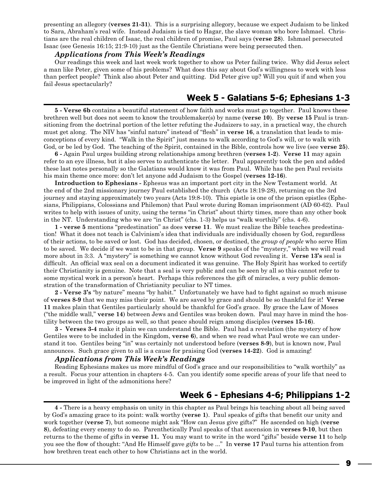presenting an allegory (**verses 21-31**). This is a surprising allegory, because we expect Judaism to be linked to Sara, Abraham's real wife. Instead Judaism is tied to Hagar, the slave woman who bore Ishmael. Christians are the real children of Isaac, the real children of promise, Paul says (**verse 28**). Ishmael persecuted Isaac (see Genesis 16:15; 21:9-10) just as the Gentile Christians were being persecuted then.

#### *Applications from This Week's Readings*

Our readings this week and last week work together to show us Peter failing twice. Why did Jesus select a man like Peter, given some of his problems? What does this say about God's willingness to work with less than perfect people? Think also about Peter and quitting. Did Peter give up? Will you quit if and when you fail Jesus spectacularly?

## **Week 5 - Galatians 5-6; Ephesians 1-3**

**5 - Verse 6b** contains a beautiful statement of how faith and works must go together. Paul knows these brethren well but does not seem to know the troublemaker(s) by name (**verse 10**). By **verse 15** Paul is transitioning from the doctrinal portion of the letter refuting the Judaizers to say, in a practical way, the church must get along. The NIV has "sinful nature" instead of "flesh" in **verse 16**, a translation that leads to misconceptions of every kind. "Walk in the Spirit" just means to walk according to God's will, or to walk with God, or be led by God. The teaching of the Spirit, contained in the Bible, controls how we live (see **verse 25**).

**6 -** Again Paul urges building strong relationships among brethren (**verses 1-2**). **Verse 11** may again refer to an eye illness, but it also serves to authenticate the letter. Paul apparently took the pen and added these last notes personally so the Galatians would know it was from Paul. While has the pen Paul revisits his main theme once more: don't let anyone add Judaism to the Gospel (**verses 12-16**).

**Introduction to Ephesians -** Ephesus was an important port city in the New Testament world. At the end of the 2nd missionary journey Paul established the church (Acts 18:19-28), returning on the 3rd journey and staying approximately two years (Acts 19:8-10). This epistle is one of the prison epistles (Ephesians, Philippians, Colossians and Philemon) that Paul wrote during Roman imprisonment (AD 60-62). Paul writes to help with issues of unity, using the terms "in Christ" about thirty times, more than any other book in the NT. Understanding who we are "in Christ" (chs. 1-3) helps us "walk worthily" (chs. 4-6).

**1 - verse 5** mentions "predestination" as does **verse 11**. We must realize the Bible teaches predestination! What it does not teach is Calvinism's idea that individuals are individually chosen by God, regardless of their actions, to be saved or lost. God has decided, chosen, or destined, the *group of people* who serve Him to be saved. We decide if we want to be in that group. **Verse 9** speaks of the "mystery," which we will read more about in 3:3. A "mystery" is something we cannot know without God revealing it. **Verse 13's** seal is difficult. An official wax seal on a document indicated it was genuine. The Holy Spirit has worked to certify their Christianity is genuine. Note that a seal is very public and can be seen by all so this cannot refer to some mystical work in a person's heart. Perhaps this references the gift of miracles, a very public demonstration of the transformation of Christianity peculiar to NT times.

**2 - Verse 3's** "by nature" means "by habit." Unfortunately we have had to fight against so much misuse of **verses 8-9** that we may miss their point. We are saved by grace and should be so thankful for it! **Verse 11** makes plain that Gentiles particularly should be thankful for God's grace. By grace the Law of Moses ("the middle wall," **verse 14**) between Jews and Gentiles was broken down. Paul may have in mind the hostility between the two groups as well, so that peace should reign among disciples (**verses 15-16**).

**3 - Verses 3-4** make it plain we can understand the Bible. Paul had a revelation (the mystery of how Gentiles were to be included in the Kingdom, **verse 6**), and when we read what Paul wrote we can understand it too. Gentiles being "in" was certainly not understood before (**verses 8-9**), but is known now, Paul announces. Such grace given to all is a cause for praising God (**verses 14-22**). God is amazing!

#### *Applications from This Week's Readings*

Reading Ephesians makes us more mindful of God's grace and our responsibilities to "walk worthily" as a result. Focus your attention in chapters 4-5. Can you identify some specific areas of your life that need to be improved in light of the admonitions here?

## **Week 6 - Ephesians 4-6; Philippians 1-2**

**4 -** There is a heavy emphasis on unity in this chapter as Paul brings his teaching about all being saved by God's amazing grace to its point: walk worthy (**verse 1**). Paul speaks of gifts that benefit our unity and work together (**verse 7**), but someone might ask "How can Jesus give gifts?" He ascended on high (**verse 8**), defeating every enemy to do so. Parenthetically Paul speaks of that ascension in **verses 9-10**, but then returns to the theme of gifts in **verse 11.** You may want to write in the word "gifts" beside **verse 11** to help you see the flow of thought: "And He Himself gave *gifts* to be ..." In **verse 17** Paul turns his attention from how brethren treat each other to how Christians act in the world.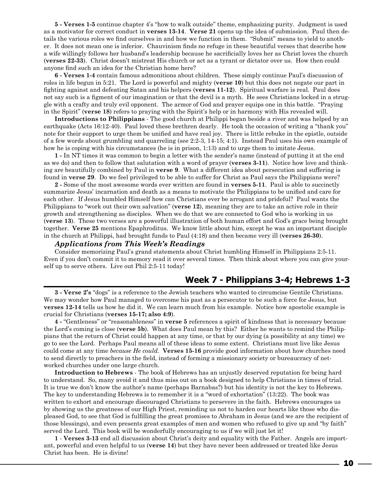**5 - Verses 1-5** continue chapter 4's "how to walk outside" theme, emphasizing purity. Judgment is used as a motivator for correct conduct in **verses 13-14**. **Verse 21** opens up the idea of submission. Paul then details the various roles we find ourselves in and how we function in them. "Submit" means to yield to another. It does not mean one is inferior. Chauvinism finds no refuge in these beautiful verses that describe how a wife willingly follows her husband's leadership because he sacrificially loves her as Christ loves the church (**verses 22-33**). Christ doesn't mistreat His church or act as a tyrant or dictator over us. How then could anyone find such an idea for the Christian home here?

**6 - Verses 1-4** contain famous admonitions about children. These simply continue Paul's discussion of roles in life begun in 5:21. The Lord is powerful and mighty (**verse 10**) but this does not negate our part in fighting against and defeating Satan and his helpers (**verses 11-12**). Spiritual warfare is real. Paul does not say such is a figment of our imagination or that the devil is a myth. He sees Christians locked in a struggle with a crafty and truly evil opponent. The armor of God and prayer equips one in this battle. "Praying in the Spirit" (**verse 18**) refers to praying with the Spirit's help or in harmony with His revealed will.

**Introductions to Philippians** - The good church at Philippi began beside a river and was helped by an earthquake (Acts 16:12-40). Paul loved these brethren dearly. He took the occasion of writing a "thank you" note for their support to urge them be unified and have real joy. There is little rebuke in the epistle, outside of a few words about grumbling and quarreling (see 2:2-3, 14-15; 4:1). Instead Paul uses his own example of how he is coping with his circumstances (he is in prison, 1:13) and to urge them to imitate Jesus.

**1 -** In NT times it was common to begin a letter with the sender's name (instead of putting it at the end as we do) and then to follow that salutation with a word of prayer (**verses 3-11**). Notice how love and thinking are beautifully combined by Paul in **verse 9**. What a different idea about persecution and suffering is found in **verse 29**. Do we feel privileged to be able to suffer for Christ as Paul says the Philippians were?

**2 -** Some of the most awesome words ever written are found in **verses 5-11**. Paul is able to succinctly summarize Jesus' incarnation and death as a means to motivate the Philippians to be unified and care for each other. If Jesus humbled Himself how can Christians ever be arrogant and prideful? Paul wants the Philippians to "work out their own salvation" (**verse 12**), meaning they are to take an active role in their growth and strengthening as disciples. When we do that we are connected to God who is working in us (**verse 13**). These two verses are a powerful illustration of both human effort and God's grace being brought together. **Verse 25** mentions Epaphroditus. We know little about him, except he was an important disciple in the church at Philippi, had brought funds to Paul (4:18) and then became very ill (**verses 26-30**).

#### *Applications from This Week's Readings*

Consider memorizing Paul's grand statements about Christ humbling Himself in Philippians 2:5-11. Even if you don't commit it to memory read it over several times. Then think about where you can give yourself up to serve others. Live out Phil 2:5-11 today!

## **Week 7 - Philippians 3-4; Hebrews 1-3**

**3 - Verse 2's** "dogs" is a reference to the Jewish teachers who wanted to circumcise Gentile Christians. We may wonder how Paul managed to overcome his past as a persecutor to be such a force for Jesus, but **verses 12-14** tells us how he did it. We can learn much from his example. Notice how apostolic example is crucial for Christians (**verses 15-17; also 4:9**).

**4 -** "Gentleness" or "reasonableness" in **verse 5** references a spirit of kindness that is necessary because the Lord's coming is close (**verse 5b**). What does Paul mean by this? Either he wants to remind the Philippians that the return of Christ could happen at any time, or that by our dying (a possibility at any time) we go to see the Lord. Perhaps Paul means all of these ideas to some extent. Christians must live like Jesus could come at any time *because He could.* **Verses 15-16** provide good information about how churches need to send directly to preachers in the field, instead of forming a missionary society or bureaucracy of networked churches under one large church.

**Introduction to Hebrews** - The book of Hebrews has an unjustly deserved reputation for being hard to understand. So, many avoid it and thus miss out on a book designed to help Christians in times of trial. It is true we don't know the author's name (perhaps Barnabas?) but his identity is not the key to Hebrews. The key to understanding Hebrews is to remember it is a "word of exhortation" (13:22). The book was written to exhort and encourage discouraged Christians to persevere in the faith. Hebrews encourages us by showing us the greatness of our High Priest, reminding us not to harden our hearts like those who displeased God, to see that God is fulfilling the great promises to Abraham in Jesus (and we are the recipient of those blessings), and even presents great examples of men and women who refused to give up and "by faith" served the Lord. This book will be wonderfully encouraging to us if we will just let it!

**1** - **Verses 3-13** end all discussion about Christ's deity and equality with the Father. Angels are important, powerful and even helpful to us (**verse 14**) but they have never been addressed or treated like Jesus Christ has been. He is divine!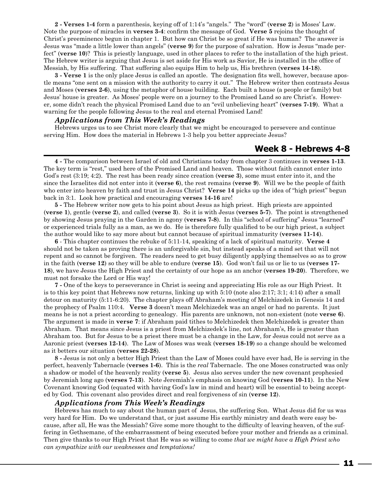**2 - Verses 1-4** form a parenthesis, keying off of 1:14's "angels." The "word" (**verse 2**) is Moses' Law. Note the purpose of miracles in **verses 3-4**: confirm the message of God. **Verse 5** rejoins the thought of Christ's preeminence begun in chapter 1. But how can Christ be so great if He was human? The answer is Jesus was "made a little lower than angels" (**verse 9**) for the purpose of salvation. How is Jesus "made perfect" (**verse 10**)? This is priestly language, used in other places to refer to the installation of the high priest. The Hebrew writer is arguing that Jesus is set aside for His work as Savior, He is installed in the office of Messiah, by His suffering. That suffering also equips Him to help us, His brethren (**verses 14-18**).

**3 - Verse 1** is the only place Jesus is called an apostle. The designation fits well, however, because apostle means "one sent on a mission with the authority to carry it out." The Hebrew writer then contrasts Jesus and Moses (**verses 2-6**), using the metaphor of house building. Each built a house (a people or family) but Jesus' house is greater. As Moses' people were on a journey to the Promised Land so are Christ's. However, some didn't reach the physical Promised Land due to an "evil unbelieving heart" (**verses 7-19**). What a warning for the people following Jesus to the real and eternal Promised Land!

## *Applications from This Week's Readings*

Hebrews urges us to see Christ more clearly that we might be encouraged to persevere and continue serving Him. How does the material in Hebrews 1-3 help you better appreciate Jesus?

## **Week 8 - Hebrews 4-8**

**4 -** The comparison between Israel of old and Christians today from chapter 3 continues in **verses 1-13**. The key term is "rest," used here of the Promised Land and heaven. Those without faith cannot enter into God's rest (3:19; 4:2). The rest has been ready since creation (**verse 3**), some must enter into it, and the since the Israelites did not enter into it (**verse 6**), the rest remains (**verse 9**). Will we be the people of faith who enter into heaven by faith and trust in Jesus Christ? **Verse 14** picks up the idea of "high priest" begun back in 3:1. Look how practical and encouraging **verses 14-16** are!

**5 -** The Hebrew writer now gets to his point about Jesus as high priest. High priests are appointed (**verse 1**), gentle (**verse 2**), and called (**verse 3**). So it is with Jesus (**verses 5-7**). The point is strengthened by showing Jesus praying in the Garden in agony (**verses 7-8**). In this "school of suffering" Jesus "learned" or experienced trials fully as a man, as we do. He is therefore fully qualified to be our high priest, a subject the author would like to say more about but cannot because of spiritual immaturity (**verses 11-14**).

**6** - This chapter continues the rebuke of 5:11-14, speaking of a lack of spiritual maturity. **Verse 4** should not be taken as proving there is an unforgivable sin, but instead speaks of a mind set that will not repent and so cannot be forgiven. The readers need to get busy diligently applying themselves so as to grow in the faith (**verse 12**) so they will be able to endure (**verse 15**). God won't fail us or lie to us (**verses 17- 18**), we have Jesus the High Priest and the certainty of our hope as an anchor (**verses 19-20**). Therefore, we must not forsake the Lord or His way!

**7 -** One of the keys to perseverance in Christ is seeing and appreciating His role as our High Priest. It is to this key point that Hebrews now returns, linking up with 5:10 (note also 2:17; 3:1; 4:14) after a small detour on maturity (5:11-6:20). The chapter plays off Abraham's meeting of Melchizedek in Genesis 14 and the prophecy of Psalm 110:4. **Verse 3** doesn't mean Melchizedek was an angel or had no parents. It just means he is not a priest according to genealogy. His parents are unknown, not non-existent (note **verse 6**). The argument is made in **verse 7**: if Abraham paid tithes to Melchizedek then Melchizedek is greater than Abraham. That means since Jesus is a priest from Melchizedek's line, not Abraham's, He is greater than Abraham too. But for Jesus to be a priest there must be a change in the Law, for Jesus could not serve as a Aaronic priest (**verses 12-14**). The Law of Moses was weak (**verses 18-19**) so a change should be welcomed as it betters our situation (**verses 22-28**).

**8 -** Jesus is not only a better High Priest than the Law of Moses could have ever had, He is serving in the perfect, heavenly Tabernacle (**verses 1-6**). This is the *real* Tabernacle. The one Moses constructed was only a shadow or model of the heavenly reality (**verse 5**). Jesus also serves under the new covenant prophesied by Jeremiah long ago (**verses 7-13**). Note Jeremiah's emphasis on knowing God (**verses 10-11**). In the New Covenant knowing God (equated with having God's law in mind and heart) will be essential to being accepted by God. This covenant also provides direct and real forgiveness of sin (**verse 12**).

#### *Applications from This Week's Readings*

Hebrews has much to say about the human part of Jesus, the suffering Son. What Jesus did for us was very hard for Him. Do we understand that, or just assume His earthly ministry and death were easy because, after all, He was the Messiah? Give some more thought to the difficulty of leaving heaven, of the suffering in Gethsemane, of the embarrassment of being executed before your mother and friends as a criminal. Then give thanks to our High Priest that He was so willing to come *that we might have a High Priest who can sympathize with our weaknesses and temptations!*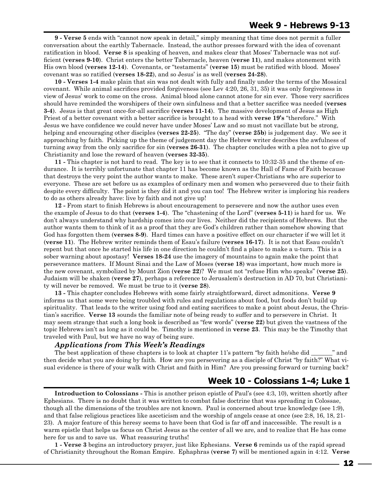**9 - Verse 5** ends with "cannot now speak in detail," simply meaning that time does not permit a fuller conversation about the earthly Tabernacle. Instead, the author presses forward with the idea of covenant ratification in blood. **Verse 8** is speaking of heaven, and makes clear that Moses' Tabernacle was not sufficient (**verses 9-10**). Christ enters the better Tabernacle, heaven (**verse 11**), and makes atonement with His own blood (**verses 12-14**). Covenants, or "testaments" (**verse 15**) must be ratified with blood. Moses' covenant was so ratified (**verses 18-22**), and so Jesus' is as well (**verses 24-28**).

**10 - Verses 1-4** make plain that sin was not dealt with fully and finally under the terms of the Mosaical covenant. While animal sacrifices provided forgiveness (see Lev 4:20, 26, 31, 35) it was only forgiveness in view of Jesus' work to come on the cross. Animal blood alone cannot atone for sin ever. Those very sacrifices should have reminded the worshipers of their own sinfulness and that a better sacrifice was needed (**verses 3-4**). Jesus is that great once-for-all sacrifice (**verses 11-14**). The massive development of Jesus as High Priest of a better covenant with a better sacrifice is brought to a head with **verse 19's** "therefore." With Jesus we have confidence we could never have under Moses' Law and so must not vacillate but be strong, helping and encouraging other disciples (**verses 22-25**). "The day" (**verse 25b**) is judgement day. We see it approaching by faith. Picking up the theme of judgement day the Hebrew writer describes the awfulness of turning away from the only sacrifice for sin (**verses 26-31**). The chapter concludes with a plea not to give up Christianity and lose the reward of heaven (**verses 32-35**).

**11 -** This chapter is not hard to read. The key is to see that it connects to 10:32-35 and the theme of endurance. It is terribly unfortunate that chapter 11 has become known as the Hall of Fame of Faith because that destroys the very point the author wants to make. These aren't super-Christians who are superior to everyone. These are set before us as examples of ordinary men and women who persevered due to their faith despite every difficulty. The point is they did it and you can too! The Hebrew writer is imploring his readers to do as others already have: live by faith and not give up!

**12 -** From start to finish Hebrews is about encouragement to persevere and now the author uses even the example of Jesus to do that (**verses 1-4**). The "chastening of the Lord" (**verses 5-11**) is hard for us. We don't always understand why hardship comes into our lives. Neither did the recipients of Hebrews. But the author wants them to think of it as a proof that they are God's children rather than somehow showing that God has forgotten them (**verses 8-9**). Hard times can have a positive effect on our character if we will let it (**verse 11**). The Hebrew writer reminds them of Esau's failure (**verses 16-17**). It is not that Esau couldn't repent but that once he started his life in one direction he couldn't find a place to make a u-turn. This is a sober warning about apostasy! **Verses 18-24** use the imagery of mountains to again make the point that perseverance matters. If Mount Sinai and the Law of Moses (**verse 18**) was important, how much more is the new covenant, symbolized by Mount Zion (**verse 22**)? We must not "refuse Him who speaks" (**verse 25**). Judaism will be shaken (**verse 27**), perhaps a reference to Jerusalem's destruction in AD 70, but Christianity will never be removed. We must be true to it (**verse 28**).

**13 -** This chapter concludes Hebrews with some fairly straightforward, direct admonitions. **Verse 9** informs us that some were being troubled with rules and regulations about food, but foods don't build up spirituality. That leads to the writer using food and eating sacrifices to make a point about Jesus, the Christian's sacrifice. **Verse 13** sounds the familiar note of being ready to suffer and to persevere in Christ. It may seem strange that such a long book is described as "few words" (**verse 22**) but given the vastness of the topic Hebrews isn't as long as it could be. Timothy is mentioned in **verse 23**. This may be the Timothy that traveled with Paul, but we have no way of being sure.

## *Applications from This Week's Readings*

The best application of these chapters is to look at chapter 11's pattern "by faith he/she did  $\ldots$  " and then decide what you are doing by faith. How are you persevering as a disciple of Christ "by faith?" What visual evidence is there of your walk with Christ and faith in Him? Are you pressing forward or turning back?

## **Week 10 - Colossians 1-4; Luke 1**

**Introduction to Colossians -** This is another prison epistle of Paul's (see 4:3, 10), written shortly after Ephesians. There is no doubt that it was written to combat false doctrine that was spreading in Colossae, though all the dimensions of the troubles are not known. Paul is concerned about true knowledge (see 1:9), and that false religious practices like asceticism and the worship of angels cease at once (see 2:8, 16, 18, 21- 23). A major feature of this heresy seems to have been that God is far off and inaccessible. The result is a warm epistle that helps us focus on Christ Jesus as the center of all we are, and to realize that He has come here for us and to save us. What reassuring truths!

**1 - Verse 3** begins an introductory prayer, just like Ephesians. **Verse 6** reminds us of the rapid spread of Christianity throughout the Roman Empire. Ephaphras (**verse 7**) will be mentioned again in 4:12. **Verse**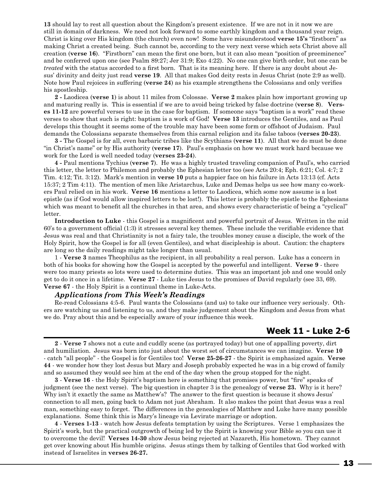**13** should lay to rest all question about the Kingdom's present existence. If we are not in it now we are still in domain of darkness. We need not look forward to some earthly kingdom and a thousand year reign. Christ is king over His kingdom (the church) even now! Some have misunderstood **verse 15's** "firstborn" as making Christ a created being. Such cannot be, according to the very next verse which sets Christ above all creation (**verse 16**). "Firstborn" can mean the first one born, but it can also mean "position of preeminence" and be conferred upon one (see Psalm 89:27; Jer 31:9; Exo 4:22). No one can give birth order, but one can be *treated* with the status accorded to a first born. That is its meaning here. If there is any doubt about Jesus' divinity and deity just read **verse 19**. All that makes God deity rests in Jesus Christ (note 2:9 as well). Note how Paul rejoices in suffering (**verse 24**) as his example strengthens the Colossians and only verifies his apostleship.

**2 -** Laodicea (**verse 1**) is about 11 miles from Colossae. **Verse 2** makes plain how important growing up and maturing really is. This is essential if we are to avoid being tricked by false doctrine (**verse 8**). **Verses 11-12** are powerful verses to use in the case for baptism. If someone says "baptism is a work" read these verses to show that such is right: baptism is a work of God! **Verse 13** introduces the Gentiles, and as Paul develops this thought it seems some of the trouble may have been some form or offshoot of Judaism. Paul demands the Colossians separate themselves from this carnal religion and its false taboos (**verses 20-23**).

**3 -** The Gospel is for all, even barbaric tribes like the Scythians (**verse 11**). All that we do must be done "in Christ's name" or by His authority (**verse 17**). Paul's emphasis on how we must work hard because we work for the Lord is well needed today (**verses 23-24**).

**4 -** Paul mentions Tychius (**verse 7**). He was a highly trusted traveling companion of Paul's, who carried this letter, the letter to Philemon and probably the Ephesian letter too (see Acts 20:4; Eph. 6:21; Col. 4:7; 2 Tim. 4:12; Tit. 3:12). Mark's mention in **verse 10** puts a happier face on his failure in Acts 13:13 (cf. Acts 15:37; 2 Tim 4:11). The mention of men like Aristarchus, Luke and Demas helps us see how many co-workers Paul relied on in his work. **Verse 16** mentions a letter to Laodicea, which some now assume is a lost epistle (as if God would allow inspired letters to be lost!). This letter is probably the epistle to the Ephesians which was meant to benefit all the churches in that area, and shows every characteristic of being a "cyclical" letter.

**Introduction to Luke** - this Gospel is a magnificent and powerful portrait of Jesus. Written in the mid 60's to a government official (1:3) it stresses several key themes. These include the verifiable evidence that Jesus was real and that Christianity is not a fairy tale, the troubles money cause a disciple, the work of the Holy Spirit, how the Gospel is for all (even Gentiles), and what discipleship is about. Caution: the chapters are long so the daily readings might take longer than usual.

1 - **Verse 3** names Theophilus as the recipient, in all probability a real person. Luke has a concern in both of his books for showing how the Gospel is accepted by the powerful and intelligent. **Verse 9** - there were too many priests so lots were used to determine duties. This was an important job and one would only get to do it once in a lifetime. **Verse 27** - Luke ties Jesus to the promises of David regularly (see 33, 69). **Verse 67** - the Holy Spirit is a continual theme in Luke-Acts.

#### *Applications from This Week's Readings*

Re-read Colossians 4:5-6. Paul wants the Colossians (and us) to take our influence very seriously. Others are watching us and listening to us, and they make judgement about the Kingdom and Jesus from what we do. Pray about this and be especially aware of your influence this week.

## **Week 11 - Luke 2-6**

**2** - **Verse 7** shows not a cute and cuddly scene (as portrayed today) but one of appalling poverty, dirt and humiliation. Jesus was born into just about the worst set of circumstances we can imagine. **Verse 10** - catch "all people" - the Gospel is for Gentiles too! **Verse 25-26-27** - the Spirit is emphasized again. **Verse 44** - we wonder how they lost Jesus but Mary and Joseph probably expected he was in a big crowd of family and so assumed they would see him at the end of the day when the group stopped for the night.

**3** - **Verse 16** - the Holy Spirit's baptism here is something that promises power, but "fire" speaks of judgment (see the next verse). The big question in chapter 3 is the genealogy of **verse 23.** Why is it here? Why isn't it exactly the same as Matthew's? The answer to the first question is because it shows Jesus' connection to all men, going back to Adam not just Abraham. It also makes the point that Jesus was a real man, something easy to forget. The differences in the genealogies of Matthew and Luke have many possible explanations. Some think this is Mary's lineage via Levirate marriage or adoption.

**4** - **Verses 1-13** - watch how Jesus defeats temptation by using the Scriptures. Verse 1 emphasizes the Spirit's work, but the practical outgrowth of being led by the Spirit is knowing your Bible so you can use it to overcome the devil! **Verses 14-30** show Jesus being rejected at Nazareth, His hometown. They cannot get over knowing about His humble origins. Jesus stings them by talking of Gentiles that God worked with instead of Israelites in **verses 26-27.**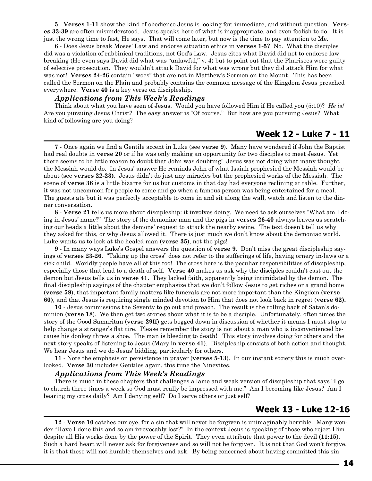**5** - **Verses 1-11** show the kind of obedience Jesus is looking for: immediate, and without question. **Verses 33-39** are often misunderstood. Jesus speaks here of what is inappropriate, and even foolish to do. It is just the wrong time to fast, He says. That will come later, but now is the time to pay attention to Me.

**6** - Does Jesus break Moses' Law and endorse situation ethics in **verses 1-5?** No. What the disciples did was a violation of rabbinical traditions, not God's Law. Jesus cites what David did not to endorse law breaking (He even says David did what was "unlawful," v. 4) but to point out that the Pharisees were guilty of selective prosecution. They wouldn't attack David for what was wrong but they did attack Him for what was not! **Verses 24-26** contain "woes" that are not in Matthew's Sermon on the Mount. This has been called the Sermon on the Plain and probably contains the common message of the Kingdom Jesus preached everywhere. **Verse 40** is a key verse on discipleship.

#### *Applications from This Week's Readings*

Think about what you have seen of Jesus. Would you have followed Him if He called you (5:10)? *He is!* Are you pursuing Jesus Christ? The easy answer is "Of course." But how are you pursuing Jesus? What kind of following are you doing?

## **Week 12 - Luke 7 - 11**

**7** - Once again we find a Gentile accent in Luke (see **verse 9**). Many have wondered if John the Baptist had real doubts in **verse 20** or if he was only making an opportunity for two disciples to meet Jesus. Yet there seems to be little reason to doubt that John was doubting! Jesus was not doing what many thought the Messiah would do. In Jesus' answer He reminds John of what Isaiah prophesied the Messiah would be about (see **verses 22-23)**. Jesus didn't do just any miracles but the prophesied works of the Messiah. The scene of **verse 36** is a little bizarre for us but customs in that day had everyone reclining at table. Further, it was not uncommon for people to come and go when a famous person was being entertained for a meal. The guests ate but it was perfectly acceptable to come in and sit along the wall, watch and listen to the dinner conversation.

**8** - **Verse 21** tells us more about discipleship: it involves doing. We need to ask ourselves "What am I doing in Jesus' name?" The story of the demoniac man and the pigs in **verses 26-40** always leaves us scratching our heads a little about the demons' request to attack the nearby swine. The text doesn't tell us why they asked for this, or why Jesus allowed it. There is just much we don't know about the demoniac world. Luke wants us to look at the healed man (**verse 35**), not the pigs!

**9** - In many ways Luke's Gospel answers the question of **verse 9.** Don't miss the great discipleship sayings of **verses 23-26**. "Taking up the cross" does not refer to the sufferings of life, having ornery in-laws or a sick child. Worldly people have all of this too! The cross here is the peculiar responsibilities of discipleship, especially those that lead to a death of self. **Verse 40** makes us ask why the disciples couldn't cast out the demon but Jesus tells us in **verse 41.** They lacked faith, apparently being intimidated by the demon. The final discipleship sayings of the chapter emphasize that we don't follow Jesus to get riches or a grand home (**verse 59**), that important family matters like funerals are not more important than the Kingdom (**verse 60)**, and that Jesus is requiring single minded devotion to Him that does not look back in regret (**verse 62).**

**10** - Jesus commissions the Seventy to go out and preach. The result is the rolling back of Satan's dominion (**verse 18**). We then get two stories about what it is to be a disciple. Unfortunately, often times the story of the Good Samaritan (**verse 29ff**) gets bogged down in discussion of whether it means I must stop to help change a stranger's flat tire. Please remember the story is not about a man who is inconvenienced because his donkey threw a shoe. The man is bleeding to death! This story involves doing for others and the next story speaks of listening to Jesus (Mary in **verse 41**). Discipleship consists of both action and thought. We hear Jesus and we do Jesus' bidding, particularly for others.

**11** - Note the emphasis on persistence in prayer (**verses 5-13**). In our instant society this is much overlooked. **Verse 30** includes Gentiles again, this time the Ninevites.

#### *Applications from This Week's Readings*

There is much in these chapters that challenges a lame and weak version of discipleship that says "I go to church three times a week so God must really be impressed with me." Am I becoming like Jesus? Am I bearing my cross daily? Am I denying self? Do I serve others or just self?

## **Week 13 - Luke 12-16**

**12** - **Verse 10** catches our eye, for a sin that will never be forgiven is unimaginably horrible. Many wonder "Have I done this and so am irrevocably lost?" In the context Jesus is speaking of those who reject Him despite all His works done by the power of the Spirit. They even attribute that power to the devil (**11:15**). Such a hard heart will never ask for forgiveness and so will not be forgiven. It is not that God won't forgive, it is that these will not humble themselves and ask. By being concerned about having committed this sin

14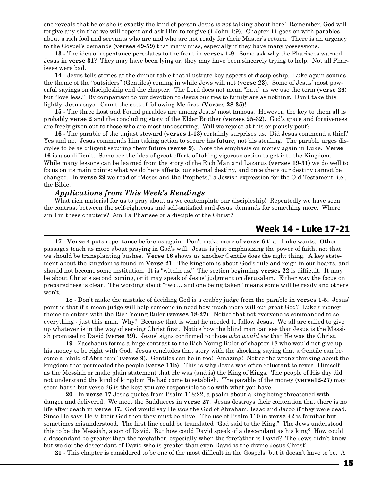one reveals that he or she is exactly the kind of person Jesus is *not* talking about here! Remember, God will forgive any sin that we will repent and ask Him to forgive (1 John 1:9). Chapter 11 goes on with parables about a rich fool and servants who are and who are not ready for their Master's return. There is an urgency to the Gospel's demands (**verses 49-59**) that many miss, especially if they have many possessions.

**13** - The idea of repentance percolates to the front in **verses 1-9**. Some ask why the Pharisees warned Jesus in **verse 31**? They may have been lying or, they may have been sincerely trying to help. Not all Pharisees were bad.

**14** - Jesus tells stories at the dinner table that illustrate key aspects of discipleship. Luke again sounds the theme of the "outsiders" (Gentiles) coming in while Jews will not (**verse 23**). Some of Jesus' most powerful sayings on discipleship end the chapter. The Lord does not mean "hate" as we use the term (**verse 26**) but "love less." By comparison to our devotion to Jesus our ties to family are as nothing. Don't take this lightly, Jesus says. Count the cost of following Me first (**Verses 28-35**)!

**15** - The three Lost and Found parables are among Jesus' most famous. However, the key to them all is probably **verse 2** and the concluding story of the Elder Brother (**verses 25-32**). God's grace and forgiveness are freely given out to those who are most undeserving. Will we rejoice at this or piously pout?

**16** - The parable of the unjust steward (**verses 1-13**) certainly surprises us. Did Jesus commend a thief? Yes and no. Jesus commends him taking action to secure his future, not his stealing. The parable urges disciples to be as diligent securing their future (**verse 9**). Note the emphasis on money again in Luke. **Verse 16** is also difficult. Some see the idea of great effort, of taking vigorous action to get into the Kingdom. While many lessons can be learned from the story of the Rich Man and Lazarus (**verses 19-31**) we do well to focus on its main points: what we do here affects our eternal destiny, and once there our destiny cannot be changed. In **verse 29** we read of "Moses and the Prophets," a Jewish expression for the Old Testament, i.e., the Bible.

## *Applications from This Week's Readings*

What rich material for us to pray about as we contemplate our discipleship! Repeatedly we have seen the contrast between the self-righteous and self-satisfied and Jesus' demands for something more. Where am I in these chapters? Am I a Pharisee or a disciple of the Christ?

## **Week 14 - Luke 17-21**

**17** - **Verse 4** puts repentance before us again. Don't make more of **verse 6** than Luke wants. Other passages teach us more about praying in God's will. Jesus is just emphasizing the power of faith, not that we should be transplanting bushes. **Verse 16** shows us another Gentile does the right thing. A key statement about the kingdom is found in **Verse 21.** The kingdom is about God's rule and reign in our hearts, and should not become some institution. It is "within us." The section beginning **verses 22** is difficult. It may be about Christ's second coming, or it may speak of Jesus' judgment on Jerusalem. Either way the focus on preparedness is clear. The wording about "two ... and one being taken" means some will be ready and others won't.

**18** - Don't make the mistake of deciding God is a crabby judge from the parable in **verses 1-5.** Jesus' point is that if a mean judge will help someone in need how much more will our great God? Luke's money theme re-enters with the Rich Young Ruler (**verses 18-27**). Notice that not everyone is commanded to sell everything - just this man. Why? Because that is what he needed to follow Jesus. We all are called to give up whatever is in the way of serving Christ first. Notice how the blind man can see that Jesus is the Messiah promised to David (**verse 39)**. Jesus' signs confirmed to those *who would see* that He was the Christ.

**19** - Zacchaeus forms a huge contrast to the Rich Young Ruler of chapter 18 who would not give up his money to be right with God. Jesus concludes that story with the shocking saying that a Gentile can become a "child of Abraham" (**verse 9**). Gentiles can be in too! Amazing! Notice the wrong thinking about the kingdom that permeated the people (**verse 11b**). This is why Jesus was often reluctant to reveal Himself as the Messiah or make plain statement that He was (and is) the King of Kings. The people of His day did not understand the kind of kingdom He had come to establish. The parable of the money (**verse12-27**) may seem harsh but verse 26 is the key: you are responsible to do with what you have.

**20** - In **verse 17** Jesus quotes from Psalm 118:22, a psalm about a king being threatened with danger and delivered. We meet the Sadducees in **verse 27**. Jesus destroys their contention that there is no life after death in **verse 37.** God would say He *was* the God of Abraham, Isaac and Jacob if they were dead. Since He says He *is* their God then they must be alive. The use of Psalm 110 in **verse 42** is familiar but sometimes misunderstood. The first line could be translated "God said to the King." The Jews understood this to be the Messiah, a son of David. But how could David speak of a descendant as his king? How could a descendant be greater than the forefather, especially when the forefather is David? The Jews didn't know but we do: the descendant of David who is greater than even David is the divine Jesus Christ!

**21** - This chapter is considered to be one of the most difficult in the Gospels, but it doesn't have to be. A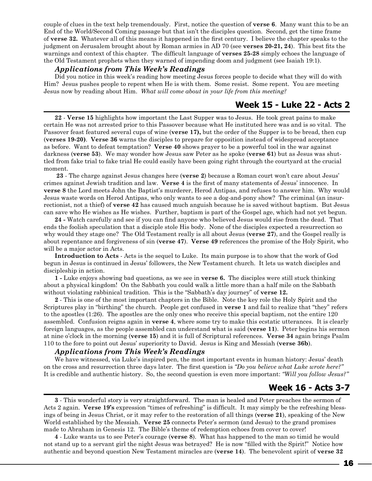couple of clues in the text help tremendously. First, notice the question of **verse 6**. Many want this to be an End of the World/Second Coming passage but that isn't the disciples question. Second, get the time frame of **verse 32.** Whatever all of this means it happened in the first century. I believe the chapter speaks to the judgment on Jerusalem brought about by Roman armies in AD 70 (see **verses 20-21, 24**). This best fits the warnings and context of this chapter. The difficult language of **verses 25-28** simply echoes the language of the Old Testament prophets when they warned of impending doom and judgment (see Isaiah 19:1).

#### *Applications from This Week's Readings*

Did you notice in this week's reading how meeting Jesus forces people to decide what they will do with Him? Jesus pushes people to repent when He is with them. Some resist. Some repent. You are meeting Jesus now by reading about Him. *What will come about in your life from this meeting?*

## **Week 15 - Luke 22 - Acts 2**

**22** - **Verse 15** highlights how important the Last Supper was to Jesus. He took great pains to make certain He was not arrested prior to this Passover because what He instituted here was and is so vital. The Passover feast featured several cups of wine (**verse 17),** but the order of the Supper is to be bread, then cup (**verses 19-20)**. **Verse 36** warns the disciples to prepare for opposition instead of widespread acceptance as before. Want to defeat temptation? **Verse 40** shows prayer to be a powerful tool in the war against darkness (**verse 53**). We may wonder how Jesus saw Peter as he spoke (**verse 61**) but as Jesus was shuttled from fake trial to fake trial He could easily have been going right through the courtyard at the crucial moment.

**23** - The charge against Jesus changes here (**verse 2**) because a Roman court won't care about Jesus' crimes against Jewish tradition and law. **Verse 4** is the first of many statements of Jesus' innocence. In **verse 8** the Lord meets John the Baptist's murderer, Herod Antipas, and refuses to answer him. Why would Jesus waste words on Herod Antipas, who only wants to see a dog-and-pony show? The criminal (an insurrectionist, not a thief) of **verse 42** has caused much anguish because he is saved without baptism. But Jesus can save who He wishes as He wishes. Further, baptism is part of the Gospel age, which had not yet begun.

**24 -** Watch carefully and see if you can find anyone who believed Jesus would rise from the dead. That ends the foolish speculation that a disciple stole His body. None of the disciples expected a resurrection so why would they stage one? The Old Testament really is all about Jesus (**verse 27**), and the Gospel really is about repentance and forgiveness of sin (**verse 47**). **Verse 49** references the promise of the Holy Spirit, who will be a major actor in Acts.

**Introduction to Acts** - Acts is the sequel to Luke. Its main purpose is to show that the work of God begun in Jesus is continued in Jesus' followers, the New Testament church. It lets us watch disciples and discipleship in action.

**1 -** Luke enjoys showing bad questions, as we see in **verse 6.** The disciples were still stuck thinking about a physical kingdom! On the Sabbath you could walk a little more than a half mile on the Sabbath without violating rabbinical tradition. This is the "Sabbath's day journey" of **verse 12.**

**2** - This is one of the most important chapters in the Bible. Note the key role the Holy Spirit and the Scriptures play in "birthing" the church. People get confused in **verse 1** and fail to realize that "they" refers to the apostles (1:26). The apostles are the only ones who receive this special baptism, not the entire 120 assembled. Confusion reigns again in **verse 4**, where some try to make this ecstatic utterances. It is clearly foreign languages, as the people assembled can understand what is said (**verse 11**). Peter begins his sermon at nine o'clock in the morning (**verse 15**) and it is full of Scriptural references. **Verse 34** again brings Psalm 110 to the fore to point out Jesus' superiority to David. Jesus is King and Messiah (**verse 36b**).

## *Applications from This Week's Readings*

We have witnessed, via Luke's inspired pen, the most important events in human history: Jesus' death on the cross and resurrection three days later. The first question is *"Do you believe what Luke wrote here?"*  It is credible and authentic history. So, the second question is even more important: *"Will you follow Jesus?"*

## **Week 16 - Acts 3-7**

**3** - This wonderful story is very straightforward. The man is healed and Peter preaches the sermon of Acts 2 again. **Verse 19's** expression "times of refreshing" is difficult. It may simply be the refreshing blessings of being in Jesus Christ, or it may refer to the restoration of all things (**verse 21**), speaking of the New World established by the Messiah. **Verse 25** connects Peter's sermon (and Jesus) to the grand promises made to Abraham in Genesis 12. The Bible's theme of redemption echoes from cover to cover!

**4** - Luke wants us to see Peter's courage (**verse 8**). What has happened to the man so timid he would not stand up to a servant girl the night Jesus was betrayed? He is now "filled with the Spirit!" Notice how authentic and beyond question New Testament miracles are (**verse 14**). The benevolent spirit of **verse 32**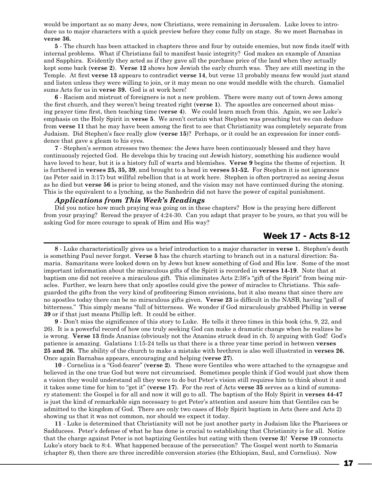would be important as so many Jews, now Christians, were remaining in Jerusalem. Luke loves to introduce us to major characters with a quick preview before they come fully on stage. So we meet Barnabas in **verse 36.**

**5** - The church has been attacked in chapters three and four by outside enemies, but now finds itself with internal problems. What if Christians fail to manifest basic integrity? God makes an example of Ananias and Sapphira. Evidently they acted as if they gave all the purchase price of the land when they actually kept some back (**verse 2**). **Verse 12** shows how Jewish the early church was. They are still meeting in the Temple. At first **verse 13** appears to contradict **verse 14**, but verse 13 probably means few would just stand and listen unless they were willing to join, or it may mean no one would meddle with the church. Gamaliel sums Acts for us in **verse 39.** God is at work here!

**6** - Racism and mistrust of foreigners is not a new problem. There were many out of town Jews among the first church, and they weren't being treated right (**verse 1**). The apostles are concerned about missing prayer time first, then teaching time (**verse 4**). We could learn much from this. Again, we see Luke's emphasis on the Holy Spirit in **verse 5**. We aren't certain what Stephen was preaching but we can deduce from **verse 11** that he may have been among the first to see that Christianity was completely separate from Judaism. Did Stephen's face really glow (**verse 15**)? Perhaps, or it could be an expression for inner confidence that gave a gleam to his eyes.

**7** - Stephen's sermon stresses two themes: the Jews have been continuously blessed and they have continuously rejected God. He develops this by tracing out Jewish history, something his audience would have loved to hear, but it is a history full of warts and blemishes. **Verse 9** begins the theme of rejection. It is furthered in **verses 25, 35, 39**, and brought to a head in **verses 51-52.** For Stephen it is not ignorance (as Peter said in 3:17) but willful rebellion that is at work here. Stephen is often portrayed as seeing Jesus as he died but **verse 56** is prior to being stoned, and the vision may not have continued during the stoning. This is the equivalent to a lynching, as the Sanhedrin did not have the power of capital punishment.

## *Applications from This Week's Readings*

Did you notice how much praying was going on in these chapters? How is the praying here different from your praying? Reread the prayer of 4:24-30. Can you adapt that prayer to be yours, so that you will be asking God for more courage to speak of Him and His way?

## **Week 17 - Acts 8-12**

**8** - Luke characteristically gives us a brief introduction to a major character in **verse 1.** Stephen's death is something Paul never forgot. **Verse 5** has the church starting to branch out in a natural direction: Samaria. Samaritans were looked down on by Jews but knew something of God and His law. Some of the most important information about the miraculous gifts of the Spirit is recorded in **verses 14-19**. Note that at baptism one did not receive a miraculous gift. This eliminates Acts 2:38's "gift of the Spirit" from being miracles. Further, we learn here that only apostles could give the power of miracles to Christians. This safeguarded the gifts from the very kind of profiteering Simon envisions, but it also means that since there are no apostles today there can be no miraculous gifts given. **Verse 23** is difficult in the NASB, having "gall of bitterness." This simply means "full of bitterness. We wonder if God miraculously grabbed Phillip in **verse 39** or if that just means Phillip left. It could be either.

**9** - Don't miss the significance of this story to Luke. He tells it three times in this book (chs. 9, 22, and 26). It is a powerful record of how one truly seeking God can make a dramatic change when he realizes he is wrong. **Verse 13** finds Ananias (obviously not the Ananias struck dead in ch. 5) arguing with God! God's patience is amazing. Galatians 1:15-24 tells us that there is a three year time period in between **verses 25 and 26.** The ability of the church to make a mistake with brethren is also well illustrated in **verses 26.** Once again Barnabas appears, encouraging and helping (**verse 27**).

**10** - Cornelius is a "God-fearer" (**verse 2**). These were Gentiles who were attached to the synagogue and believed in the one true God but were not circumcised. Sometimes people think if God would just show them a vision they would understand all they were to do but Peter's vision still requires him to think about it and it takes some time for him to "get it" (**verse 17**). For the rest of Acts **verse 35** serves as a kind of summary statement: the Gospel is for all and now it will go to all. The baptism of the Holy Spirit in **verses 44-47** is just the kind of remarkable sign necessary to get Peter's attention and assure him that Gentiles can be admitted to the kingdom of God. There are only two cases of Holy Spirit baptism in Acts (here and Acts 2) showing us that it was not common, nor should we expect it today.

**11** - Luke is determined that Christianity will not be just another party in Judaism like the Pharisees or Sadducees. Peter's defense of what he has done is crucial to establishing that Christianity is for all. Notice that the charge against Peter is not baptizing Gentiles but eating with them (**verse 3**)! **Verse 19** connects Luke's story back to 8:4. What happened because of the persecution? The Gospel went north to Samaria (chapter 8), then there are three incredible conversion stories (the Ethiopian, Saul, and Cornelius). Now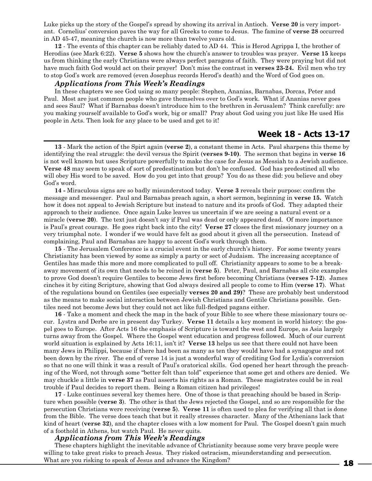Luke picks up the story of the Gospel's spread by showing its arrival in Antioch. **Verse 20** is very important. Cornelius' conversion paves the way for all Greeks to come to Jesus. The famine of **verse 28** occurred in AD 45-47, meaning the church is now more than twelve years old.

**12** - The events of this chapter can be reliably dated to AD 44. This is Herod Agrippa I, the brother of Herodias (see Mark 6:22). **Verse 5** shows how the church's answer to troubles was prayer. **Verse 15** keeps us from thinking the early Christians were always perfect paragons of faith. They were praying but did not have much faith God would act on their prayer! Don't miss the contrast in **verses 23-24.** Evil men who try to stop God's work are removed (even Josephus records Herod's death) and the Word of God goes on.

## *Applications from This Week's Readings*

In these chapters we see God using so many people: Stephen, Ananias, Barnabas, Dorcas, Peter and Paul. Most are just common people who gave themselves over to God's work. What if Ananias never goes and sees Saul? What if Barnabas doesn't introduce him to the brethren in Jerusalem? Think carefully: are you making yourself available to God's work, big or small? Pray about God using you just like He used His people in Acts. Then look for any place to be used and get to it!

## **Week 18 - Acts 13-17**

**13** - Mark the action of the Spirt again (**verse 2**), a constant theme in Acts. Paul sharpens this theme by identifying the real struggle: the devil versus the Spirit (**verses 9-10)**. The sermon that begins in **verse 16** is not well known but uses Scripture powerfully to make the case for Jesus as Messiah to a Jewish audience. **Verse 48** may seem to speak of sort of predestination but don't be confused. God has predestined all who will obey His word to be saved. How do you get into that group? You do as these did: you believe and obey God's word.

**14 -** Miraculous signs are so badly misunderstood today. **Verse 3** reveals their purpose: confirm the message and messenger. Paul and Barnabas preach again, a short sermon, beginning in **verse 15.** Watch how it does not appeal to Jewish Scripture but instead to nature and its proofs of God. They adapted their approach to their audience. Once again Luke leaves us uncertain if we are seeing a natural event or a miracle (**verse 20**). The text just doesn't say if Paul was dead or only appeared dead. Of more importance is Paul's great courage. He goes right back into the city! **Verse 27** closes the first missionary journey on a very triumphal note. I wonder if we would have felt as good about it given all the persecution. Instead of complaining, Paul and Barnabas are happy to accent God's work through them.

**15** - The Jerusalem Conference is a crucial event in the early church's history. For some twenty years Christianity has been viewed by some as simply a party or sect of Judaism. The increasing acceptance of Gentiles has made this more and more complicated to pull off. Christianity appears to some to be a breakaway movement of its own that needs to be reined in (**verse 5**). Peter, Paul, and Barnabas all cite examples to prove God doesn't require Gentiles to become Jews first before becoming Christians (**verses 7-12**). James cinches it by citing Scripture, showing that God always desired all people to come to Him (**verse 17**). What of the regulations bound on Gentiles (see especially **verses 20 and 29)**? These are probably best understood as the means to make social interaction between Jewish Christians and Gentile Christians possible. Gentiles need not become Jews but they could not act like full-fledged pagans either.

**16** - Take a moment and check the map in the back of your Bible to see where these missionary tours occur. Lystra and Derbe are in present day Turkey. **Verse 11** details a key moment in world history: the gospel goes to Europe. After Acts 16 the emphasis of Scripture is toward the west and Europe, as Asia largely turns away from the Gospel. Where the Gospel went education and progress followed. Much of our current world situation is explained by Acts 16:11, isn't it? **Verse 13** helps us see that there could not have been many Jews in Philippi, because if there had been as many as ten they would have had a synagogue and not been down by the river. The end of verse 14 is just a wonderful way of crediting God for Lydia's conversion so that no one will think it was a result of Paul's oratorical skills. God opened her heart through the preaching of the Word, not through some "better felt than told" experience that some get and others are denied. We may chuckle a little in **verse 37** as Paul asserts his rights as a Roman. These magistrates could be in real trouble if Paul decides to report them. Being a Roman citizen had privileges!

**17** - Luke continues several key themes here. One of those is that preaching should be based in Scripture when possible (**verse 3**). The other is that the Jews rejected the Gospel, and so are responsible for the persecution Christians were receiving (**verse 5**). **Verse 11** is often used to plea for verifying all that is done from the Bible. The verse does teach that but it really stresses character. Many of the Athenians lack that kind of heart (**verse 32**), and the chapter closes with a low moment for Paul. The Gospel doesn't gain much of a foothold in Athens, but watch Paul. He never quits.

#### *Applications from This Week's Readings*

These chapters highlight the inevitable advance of Christianity because some very brave people were willing to take great risks to preach Jesus. They risked ostracism, misunderstanding and persecution. What are you risking to speak of Jesus and advance the Kingdom?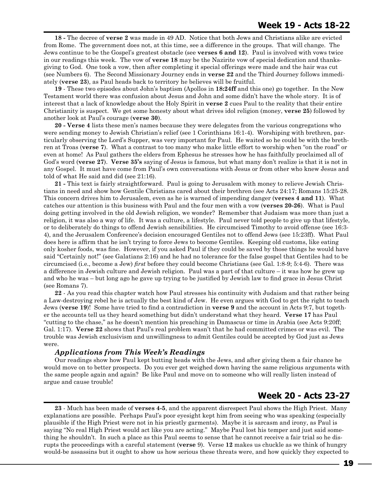**18 -** The decree of **verse 2** was made in 49 AD. Notice that both Jews and Christians alike are evicted from Rome. The government does not, at this time, see a difference in the groups. That will change. The Jews continue to be the Gospel's greatest obstacle (see **verses 6 and 12**). Paul is involved with vows twice in our readings this week. The vow of **verse 18** may be the Nazirite vow of special dedication and thanksgiving to God. One took a vow, then after completing it special offerings were made and the hair was cut (see Numbers 6). The Second Missionary Journey ends in **verse 22** and the Third Journey follows immediately (**verse 23**), as Paul heads back to territory he believes will be fruitful.

**19** - These two episodes about John's baptism (Apollos in **18:24ff** and this one) go together. In the New Testament world there was confusion about Jesus and John and some didn't have the whole story. It is of interest that a lack of knowledge about the Holy Spirit in **verse 2** cues Paul to the reality that their entire Christianity is suspect. We get some honesty about what drives idol religion (money, **verse 25**) followed by another look at Paul's courage (**verse 30**).

**20 - Verse 4** lists these men's names because they were delegates from the various congregations who were sending money to Jewish Christian's relief (see 1 Corinthians 16:1-4). Worshiping with brethren, particularly observing the Lord's Supper, was very important for Paul. He waited so he could be with the brethren at Troas (**verse 7**). What a contrast to too many who make little effort to worship when "on the road" or even at home! As Paul gathers the elders from Ephesus he stresses how he has faithfully proclaimed all of God's word (**verse 27**). **Verse 35's** saying of Jesus is famous, but what many don't realize is that it is not in any Gospel. It must have come from Paul's own conversations with Jesus or from other who knew Jesus and told of what He said and did (see 21:16).

**21 -** This text is fairly straightforward. Paul is going to Jerusalem with money to relieve Jewish Christians in need and show how Gentile Christians cared about their brethren (see Acts 24:17; Romans 15:25-28. This concern drives him to Jerusalem, even as he is warned of impending danger (**verses 4 and 11**). What catches our attention is this business with Paul and the four men with a vow (**verses 20-26**). What is Paul doing getting involved in the old Jewish religion, we wonder? Remember that Judaism was more than just a religion, it was also a way of life. It was a culture, a lifestyle. Paul never told people to give up that lifestyle, or to deliberately do things to offend Jewish sensibilities. He circumcised Timothy to avoid offense (see 16:3- 4), and the Jerusalem Conference's decision encouraged Gentiles not to offend Jews (see 15:23ff). What Paul does here is affirm that he isn't trying to force Jews to become Gentiles. Keeping old customs, like eating only kosher foods, was fine. However, if you asked Paul if they could be saved by those things he would have said "Certainly not!" (see Galatians 2:16) and he had no tolerance for the false gospel that Gentiles had to be circumcised (i.e., become a Jew) *first* before they could become Christians (see Gal. 1:8-9; 5:4-6). There was a difference in Jewish culture and Jewish religion. Paul was a part of that culture – it was how he grew up and who he was – but long ago he gave up trying to be justified by Jewish law to find grace in Jesus Christ (see Romans 7).

**22** - As you read this chapter watch how Paul stresses his continuity with Judaism and that rather being a Law-destroying rebel he is actually the best kind of Jew. He even argues with God to get the right to teach Jews (**verse 19**)! Some have tried to find a contradiction in **verse 9** and the account in Acts 9:7, but together the accounts tell us they heard something but didn't understand what they heard. **Verse 17** has Paul "cutting to the chase," as he doesn't mention his preaching in Damascus or time in Arabia (see Acts 9:20ff; Gal. 1:17). **Verse 22** shows that Paul's real problem wasn't that he had committed crimes or was evil. The trouble was Jewish exclusivism and unwillingness to admit Gentiles could be accepted by God just as Jews were.

## *Applications from This Week's Readings*

Our readings show how Paul kept butting heads with the Jews, and after giving them a fair chance he would move on to better prospects. Do you ever get weighed down having the same religious arguments with the same people again and again? Be like Paul and move on to someone who will really listen instead of argue and cause trouble!

## **Week 20 - Acts 23-27**

**23** - Much has been made of **verses 4-5**, and the apparent disrespect Paul shows the High Priest. Many explanations are possible. Perhaps Paul's poor eyesight kept him from seeing who was speaking (especially plausible if the High Priest were not in his priestly garments). Maybe it is sarcasm and irony, as Paul is saying "No real High Priest would act like you are acting." Maybe Paul lost his temper and just said something he shouldn't. In such a place as this Paul seems to sense that he cannot receive a fair trial so he disrupts the proceedings with a careful statement (**verse** 9). Verse **12** makes us chuckle as we think of hungry would-be assassins but it ought to show us how serious these threats were, and how quickly they expected to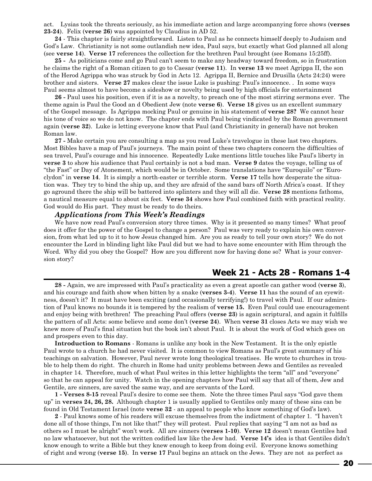act. Lysias took the threats seriously, as his immediate action and large accompanying force shows (**verses 23-24**). Felix (**verse 26**) was appointed by Claudius in AD 52.

**24** - This chapter is fairly straightforward. Listen to Paul as he connects himself deeply to Judaism and God's Law. Christianity is not some outlandish new idea, Paul says, but exactly what God planned all along (see **verse 14**). **Verse 17** references the collection for the brethren Paul brought (see Romans 15:25ff).

**25 -** As politicians come and go Paul can't seem to make any headway toward freedom, so in frustration he claims the right of a Roman citizen to go to Caesar (**verse 11**). In **verse 13** we meet Agrippa II, the son of the Herod Agrippa who was struck by God in Acts 12. Agrippa II, Bernice and Drusilla (Acts 24:24) were brother and sisters. **Verse 27** makes clear the issue Luke is pushing: Paul's innocence. . In some ways Paul seems almost to have become a sideshow or novelty being used by high officials for entertainment

**26 -** Paul uses his position, even if it is as a novelty, to preach one of the most stirring sermons ever. The theme again is Paul the Good an d Obedient Jew (note **verse 6**). **Verse 18** gives us an excellent summary of the Gospel message. Is Agrippa mocking Paul or genuine in his statement of **verse 28?** We cannot hear his tone of voice so we do not know. The chapter ends with Paul being vindicated by the Roman government again (**verse 32**). Luke is letting everyone know that Paul (and Christianity in general) have not broken Roman law.

**27 -** Make certain you are consulting a map as you read Luke's travelogue in these last two chapters. Most Bibles have a map of Paul's journeys. The main point of these two chapters concern the difficulties of sea travel, Paul's courage and his innocence. Repeatedly Luke mentions little touches like Paul's liberty in **verse 3** to show his audience that Paul certainly is not a bad man. **Verse 9** dates the voyage, telling us of "the Fast" or Day of Atonement, which would be in October. Some translations have "Euroquilo" or "Euroclydon" in **verse 14**. It is simply a north-easter or terrible storm. **Verse 17** tells how desperate the situation was. They try to bind the ship up, and they are afraid of the sand bars off North Africa's coast. If they go aground there the ship will be battered into splinters and they will all die. **Verse 28** mentions fathoms, a nautical measure equal to about six feet. **Verse 34** shows how Paul combined faith with practical reality. God would do His part. They must be ready to do theirs.

#### *Applications from This Week's Readings*

We have now read Paul's conversion story three times. Why is it presented so many times? What proof does it offer for the power of the Gospel to change a person? Paul was very ready to explain his own conversion, from what led up to it to how Jesus changed him. Are you as ready to tell your own story? We do not encounter the Lord in blinding light like Paul did but we had to have some encounter with Him through the Word. Why did you obey the Gospel? How are you different now for having done so? What is your conversion story?

## **Week 21 - Acts 28 - Romans 1-4**

**28 -** Again, we are impressed with Paul's practicality as even a great apostle can gather wood (**verse 3**), and his courage and faith show when bitten by a snake (**verses 3-4**). **Verse 11** has the sound of an eyewitness, doesn't it? It must have been exciting (and occasionally terrifying!) to travel with Paul. If our admiration of Paul knows no bounds it is tempered by the realism of **verse 15.** Even Paul could use encouragement and enjoy being with brethren! The preaching Paul offers (**verse 23**) is again scriptural, and again it fulfills the pattern of all Acts: some believe and some don't (**verse 24**). When **verse 31** closes Acts we may wish we knew more of Paul's final situation but the book isn't about Paul. It is about the work of God which goes on and prospers even to this day.

**Introduction to Romans** - Romans is unlike any book in the New Testament. It is the only epistle Paul wrote to a church he had never visited. It is common to view Romans as Paul's great summary of his teachings on salvation. However, Paul never wrote long theological treatises. He wrote to churches in trouble to help them do right. The church in Rome had unity problems between Jews and Gentiles as revealed in chapter 14. Therefore, much of what Paul writes in this letter highlights the term "all" and "everyone" so that he can appeal for unity. Watch in the opening chapters how Paul will say that all of them, Jew and Gentile, are sinners, are saved the same way, and are servants of the Lord.

**1 - Verses 8-15** reveal Paul's desire to come see them. Note the three times Paul says "God gave them up" in **verses 24, 26, 28.** Although chapter 1 is usually applied to Gentiles only many of these sins can be found in Old Testament Israel (note **verse 32** - an appeal to people who know something of God's law).

**2** - Paul knows some of his readers will excuse themselves from the indictment of chapter 1. "I haven't done all of those things, I'm not like that!" they will protest. Paul replies that saying "I am not as bad as others so I must be alright" won't work. All are sinners (**verses 1-10**). **Verse 12** doesn't mean Gentiles had no law whatsoever, but not the written codified law like the Jew had. **Verse 14's** idea is that Gentiles didn't know enough to write a Bible but they knew enough to keep from doing evil. Everyone knows something of right and wrong (**verse 15**). In **verse 17** Paul begins an attack on the Jews. They are not as perfect as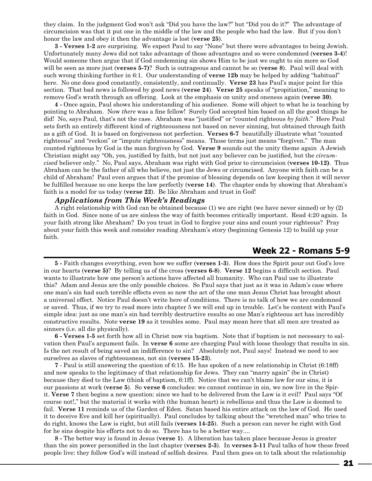they claim. In the judgment God won't ask "Did you have the law?" but "Did you do it?" The advantage of circumcision was that it put one in the middle of the law and the people who had the law. But if you don't honor the law and obey it then the advantage is lost (**verse 25**).

**3 - Verses 1-2** are surprising. We expect Paul to say "None" but there were advantages to being Jewish. Unfortunately many Jews did not take advantage of those advantages and so were condemned (**verses 3-4**)! Would someone then argue that if God condemning sin shows Him to be just we ought to sin more so God will be seen as more just (**verses 5-7)**? Such is outrageous and cannot be so (**verse 8**). Paul will deal with such wrong thinking further in 6:1. Our understanding of **verse 12b** may be helped by adding "habitual" here. No one does good constantly, consistently, and continually. **Verse 23** has Paul's major point for this section. That bad news is followed by good news (**verse 24**). **Verse 25** speaks of "propitiation," meaning to remove God's wrath through an offering. Look at the emphasis on unity and oneness again (**verse 30**).

**4 -** Once again, Paul shows his understanding of his audience. Some will object to what he is teaching by pointing to Abraham. Now *there* was a fine fellow! Surely God accepted him based on all the good things he did! No, says Paul, that's not the case. Abraham was "justified" or "counted righteous *by faith*." Here Paul sets forth an entirely different kind of righteousness not based on never sinning, but obtained through faith as a gift of God. It is based on forgiveness not perfection. **Verses 6-7** beautifully illustrate what "counted righteous" and "reckon" or "impute righteousness" means. Those terms just means "forgiven." The man counted righteous by God is the man forgiven by God. **Verse 9** sounds out the unity theme again A Jewish Christian might say "Oh, yes, justified by faith, but not just any believer can be justified, but the *circumcised* believer only." No, Paul says, Abraham was right with God prior to circumcision (**verses 10-12)**. Thus Abraham can be the father of all who believe, not just the Jews or circumcised. Anyone with faith can be a child of Abraham! Paul even argues that if the promise of blessing depends on law keeping then it will never be fulfilled because no one keeps the law perfectly (**verse 14**). The chapter ends by showing that Abraham's faith is a model for us today (**verse 22**). Be like Abraham and trust in God!

## *Applications from This Week's Readings*

A right relationship with God can be obtained because (1) we are right (we have never sinned) or by (2) faith in God. Since none of us are sinless the way of faith becomes critically important. Read 4:20 again. Is your faith strong like Abraham? Do you trust in God to forgive your sins and count your righteous? Pray about your faith this week and consider reading Abraham's story (beginning Genesis 12) to build up your faith.

## **Week 22 - Romans 5-9**

**5 -** Faith changes everything, even how we suffer (**verses 1-3**). How does the Spirit pour out God's love in our hearts (**verse 5)**? By telling us of the cross (**verses 6-8**). **Verse 12** begins a difficult section. Paul wants to illustrate how one person's actions have affected all humanity. Who can Paul use to illustrate this? Adam and Jesus are the only possible choices. So Paul says that just as it was in Adam's case where one man's sin had such terrible effects even so now the act of the one man Jesus Christ has brought about a universal effect. Notice Paul doesn't write here of conditions. There is no talk of how we are condemned or saved. Thus, if we try to read more into chapter 5 we will end up in trouble. Let's be content with Paul's simple idea: just as one man's sin had terribly destructive results so one Man's righteous act has incredibly constructive results. Note **verse 19** as it troubles some. Paul may mean here that all men are treated as sinners (i.e. all die physically).

**6 - Verses 1-5** set forth how all in Christ now via baptism. Note that if baptism is not necessary to salvation then Paul's argument fails. In **verse 6** some are charging Paul with loose theology that results in sin. Is the net result of being saved an indifference to sin? Absolutely not, Paul says! Instead we need to see ourselves as slaves of righteousness, not sin (**verses 15-23**).

**7** - Paul is still answering the question of 6:15. He has spoken of a new relationship in Christ (6:18ff) and now speaks to the legitimacy of that relationship for Jews. They can "marry again" (be in Christ) because they died to the Law (think of baptism, 6:1ff). Notice that we can't blame law for our sins, it is our passions at work (**verse 5**). So **verse 6** concludes: we cannot continue in sin, we now live in the Spirit. **Verse 7** then begins a new question: since we had to be delivered from the Law is it evil? Paul says "Of course not!," but the material it works with (the human heart) is rebellious and thus the Law is doomed to fail. **Verse 11** reminds us of the Garden of Eden. Satan based his entire attack on the law of God. He used it to deceive Eve and kill her (spiritually). Paul concludes by talking about the "wretched man" who tries to do right, knows the Law is right, but still fails (**verses 14-25**). Such a person can never be right with God for he sins despite his efforts not to do so. There has to be a better way....

**8 -** The better way is found in Jesus (**verse 1**). A liberation has taken place because Jesus is greater than the sin power personified in the last chapter (**verses 2-3**). In **verses 5-11** Paul talks of how these freed people live: they follow God's will instead of selfish desires. Paul then goes on to talk about the relationship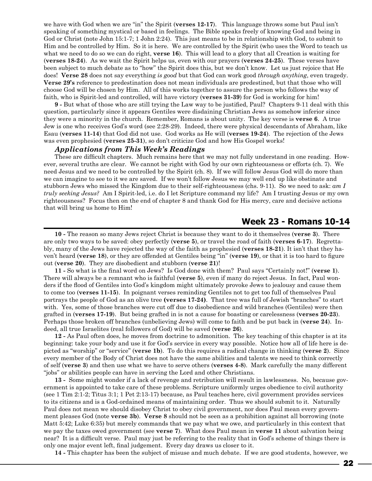we have with God when we are "in" the Spirit (**verses 12-17**). This language throws some but Paul isn't speaking of something mystical or based in feelings. The Bible speaks freely of knowing God and being in God or Christ (note John 15:1-7; 1 John 2:24). This just means to be in relationship with God, to submit to Him and be controlled by Him. So it is here. We are controlled by the Spirit (who uses the Word to teach us what we need to do so we can do right, **verse 16**). This will lead to a glory that all Creation is waiting for (**verses 18-24**). As we wait the Spirit helps us, even with our prayers (**verses 24-25**). These verses have been subject to much debate as to "how" the Spirit does this, but we don't know. Let us just rejoice that He does! **Verse 28** does not say everything *is good* but that God can work good *through anything*, even tragedy. **Verse 29's** reference to predestination does not mean individuals are predestined, but that those who will choose God will be chosen by Him. All of this works together to assure the person who follows the way of faith, who is Spirit-led and controlled, will have victory (**verses 31-39**) for God is working for him!

**9 -** But what of those who are still trying the Law way to be justified, Paul? Chapters 9-11 deal with this question, particularly since it appears Gentiles were disdaining Christian Jews as somehow inferior since they were a minority in the church. Remember, Romans is about unity. The key verse is **verse 6**. A true Jew is one who receives God's word (see 2:28-29). Indeed, there were physical descendants of Abraham, like Esau (**verses 11-14**) that God did not use. God works as He will (**verses 19-24**). The rejection of the Jews was even prophesied (**verses 25-31**), so don't criticize God and how His Gospel works!

#### *Applications from This Week's Readings*

These are difficult chapters. Much remains here that we may not fully understand in one reading. However, several truths are clear. We cannot be right with God by our own righteousness or efforts (ch. 7). We need Jesus and we need to be controlled by the Spirit (ch. 8). If we will follow Jesus God will do more than we can imagine to see to it we are saved. If we won't follow Jesus we may well end up like obstinate and stubborn Jews who missed the Kingdom due to their self-righteousness (chs. 9-11). So we need to ask: *am I truly seeking Jesus?* Am I Spirit-led, i.e. do I let Scripture command my life? Am I trusting Jesus or my own righteousness? Focus then on the end of chapter 8 and thank God for His mercy, care and decisive actions that will bring us home to Him!

## **Week 23 - Romans 10-14**

**10 -** The reason so many Jews reject Christ is because they want to do it themselves (**verse 3**). There are only two ways to be saved: obey perfectly (**verse 5**), or travel the road of faith (**verses 6-17**). Regrettably, many of the Jews have rejected the way of the faith as prophesied (**verses 18-21**). It isn't that they haven't heard (**verse 18**), or they are offended at Gentiles being "in" (**verse 19**), or that it is too hard to figure out (**verse 20**). They are disobedient and stubborn (**verse 21**)!

**11 -** So what is the final word on Jews? Is God done with them? Paul says "Certainly not!" (**verse 1**). There will always be a remnant who is faithful (**verse 5**), even if many do reject Jesus. In fact, Paul wonders if the flood of Gentiles into God's kingdom might ultimately provoke Jews to jealousy and cause them to come too (**verses 11-15**). In poignant verses reminding Gentiles not to get too full of themselves Paul portrays the people of God as an olive tree **(verses 17-24)**. That tree was full of Jewish "branches" to start with. Yes, some of those branches were cut off due to disobedience and wild branches (Gentiles) were then grafted in (**verses 17-19**). But being grafted in is not a cause for boasting or carelessness (**verses 20-23**). Perhaps those broken off branches (unbelieving Jews) will come to faith and be put back in (**verse 24**). Indeed, all true Israelites (real followers of God) will be saved (**verse 26**).

**12 -** As Paul often does, he moves from doctrine to admonition. The key teaching of this chapter is at its beginning: take your body and use it for God's service in every way possible. Notice how all of life here is depicted as "worship" or "service" (**verse 1b**). To do this requires a radical change in thinking (**verse 2**). Since every member of the Body of Christ does not have the same abilities and talents we need to think correctly of self (**verse 3**) and then use what we have to serve others (**verses 4-8**). Mark carefully the many different "jobs" or abilities people can have in serving the Lord and other Christians.

**13 -** Some might wonder if a lack of revenge and retribution will result in lawlessness. No, because government is appointed to take care of these problems. Scripture uniformly urges obedience to civil authority (see 1 Tim 2:1-2; Titus 3:1; 1 Pet 2:13-17) because, as Paul teaches here, civil government provides services to its citizens and is a God-ordained means of maintaining order. Thus we should submit to it. Naturally Paul does not mean we should disobey Christ to obey civil government, nor does Paul mean every government pleases God (note **verse 3b**). **Verse 8** should not be seen as a prohibition against all borrowing (note Matt 5:42; Luke 6:35) but merely commands that we pay what we owe, and particularly in this context that we pay the taxes owed government (see **verse 7**). What does Paul mean in **verse 11** about salvation being near? It is a difficult verse. Paul may just be referring to the reality that in God's scheme of things there is only one major event left, final judgement. Every day draws us closer to it.

**14 -** This chapter has been the subject of misuse and much debate. If we are good students, however, we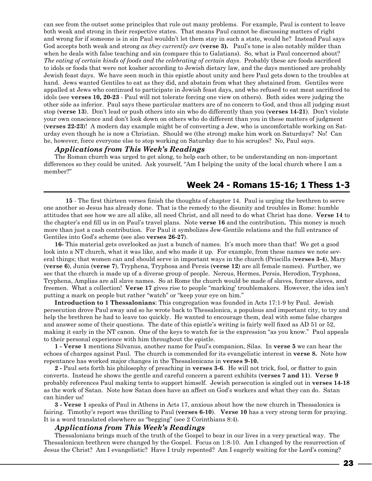can see from the outset some principles that rule out many problems. For example, Paul is content to leave both weak and strong in their respective states. That means Paul cannot be discussing matters of right and wrong for if someone is in sin Paul wouldn't let them stay in such a state, would he? Instead Paul says God accepts both weak and strong *as they currently are* (**verse 3).** Paul's tone is also notably milder than when he deals with false teaching and sin (compare this to Galatians). So, what is Paul concerned about? *The eating of certain kinds of foods and the celebrating of certain days*. Probably these are foods sacrificed to idols or foods that were not kosher according to Jewish dietary law, and the days mentioned are probably Jewish feast days. We have seen much in this epistle about unity and here Paul gets down to the troubles at hand. Jews wanted Gentiles to eat as they did, and abstain from what they abstained from. Gentiles were appalled at Jews who continued to participate in Jewish feast days, and who refused to eat meat sacrificed to idols (see **verses 10, 20-23** - Paul will not tolerate forcing one view on others). Both sides were judging the other side as inferior. Paul says these particular matters are of no concern to God, and thus all judging must stop (**verse 13**). Don't lead or push others into sin who do differently than you (**verses 14-21**). Don't violate your own conscience and don't look down on others who do different than you in these matters of judgment (**verses 22-23**)! A modern day example might be of converting a Jew, who is uncomfortable working on Saturday even though he is now a Christian. Should we (the strong) make him work on Saturdays? No! Can he, however, force everyone else to stop working on Saturday due to his scruples? No, Paul says.

#### *Applications from This Week's Readings*

The Roman church was urged to get along, to help each other, to be understanding on non-important differences so they could be united. Ask yourself, "Am I helping the unity of the local church where I am a member?"

## **Week 24 - Romans 15-16; 1 Thess 1-3**

**15** - The first thirteen verses finish the thoughts of chapter 14. Paul is urging the brethren to serve one another so Jesus has already done. That is the remedy to the disunity and troubles in Rome: humble attitudes that see how we are all alike, all need Christ, and all need to do what Christ has done. **Verse 14** to the chapter's end fill us in on Paul's travel plans. Note **verse 16** and the contribution**.** This money is much more than just a cash contribution. For Paul it symbolizes Jew-Gentile relations and the full entrance of Gentiles into God's scheme (see also **verses 26-27**).

**16-** This material gets overlooked as just a bunch of names. It's much more than that! We get a good look into a NT church, what it was like, and who made it up. For example, from these names we note several things; that women can and should serve in important ways in the church (Priscilla (**verses 3-4**), Mary (**verse 6**), Junia (**verse 7**), Tryphena, Tryphosa and Persis (**verse 12**) are all female names). Further, we see that the church is made up of a diverse group of people. Nereus, Hermes, Persis, Herodion, Tryphosa, Tryphena, Amplias are all slave names. So at Rome the church would be made of slaves, former slaves, and freemen. What a collection! **Verse 17** gives rise to people "marking' troublemakers. However, the idea isn't putting a mark on people but rather "watch" or "keep your eye on him."

**Introduction to 1 Thessalonians**: This congregation was founded in Acts 17:1-9 by Paul. Jewish persecution drove Paul away and so he wrote back to Thessalonica, a populous and important city, to try and help the brethren he had to leave too quickly. He wanted to encourage them, deal with some false charges and answer some of their questions. The date of this epistle's writing is fairly well fixed as AD 51 or 52, making it early in the NT canon. One of the keys to watch for is the expression "as you know." Paul appeals to their personal experience with him throughout the epistle.

**1 - Verse 1** mentions Silvanus, another name for Paul's companion, Silas. In **verse 5** we can hear the echoes of charges against Paul. The church is commended for its evangelistic interest in **verse 8.** Note how repentance has worked major changes in the Thessalonicans in **verses 9-10.**

**2 -** Paul sets forth his philosophy of preaching in **verses 3-6**. He will not trick, fool, or flatter to gain converts. Instead he shows the gentle and careful concern a parent exhibits (**verses 7 and 11**). **Verse 9** probably references Paul making tents to support himself. Jewish persecution is singled out in **verses 14-18** as the work of Satan. Note how Satan does have an affect on God's workers and what they can do. Satan can hinder us!

**3 - Verse 1** speaks of Paul in Athens in Acts 17, anxious about how the new church in Thessalonica is fairing. Timothy's report was thrilling to Paul (**verses 6-10**). **Verse 10** has a very strong term for praying. It is a word translated elsewhere as "begging" (see 2 Corinthians 8:4).

#### *Applications from This Week's Readings*

Thessalonians brings much of the truth of the Gospel to bear in our lives in a very practical way. The Thessalonican brethren were changed by the Gospel. Focus on 1:8-10. Am I changed by the resurrection of Jesus the Christ? Am I evangelistic? Have I truly repented? Am I eagerly waiting for the Lord's coming?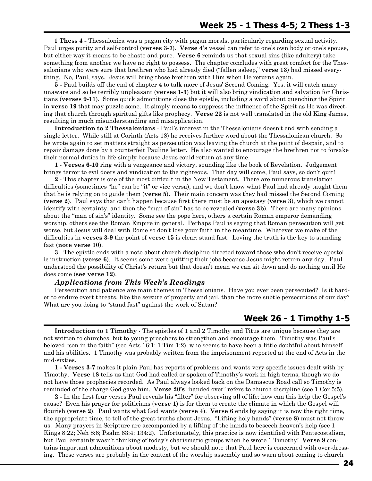**1 Thess 4 -** Thessalonica was a pagan city with pagan morals, particularly regarding sexual activity. Paul urges purity and self-control (**verses 3-7**). **Verse 4's** vessel can refer to one's own body or one's spouse, but either way it means to be chaste and pure. **Verse 6** reminds us that sexual sins (like adultery) take something from another we have no right to possess. The chapter concludes with great comfort for the Thessalonians who were sure that brethren who had already died ("fallen asleep," **verse 13**) had missed everything. No, Paul, says. Jesus will bring those brethren with Him when He returns again.

**5 -** Paul builds off the end of chapter 4 to talk more of Jesus' Second Coming. Yes, it will catch many unaware and so be terribly unpleasant (**verses 1-3**) but it will also bring vindication and salvation for Christians (**verses 9-11**). Some quick admonitions close the epistle, including a word about quenching the Spirit in **verse 19** that may puzzle some. It simply means to suppress the influence of the Spirit as He was directing that church through spiritual gifts like prophecy. **Verse 22** is not well translated in the old King James, resulting in much misunderstanding and misapplication.

**Introduction to 2 Thessalonians** - Paul's interest in the Thessalonians doesn't end with sending a single letter. While still at Corinth (Acts 18) he receives further word about the Thessalonican church. So he wrote again to set matters straight as persecution was leaving the church at the point of despair, and to repair damage done by a counterfeit Pauline letter. He also wanted to encourage the brethren not to forsake their normal duties in life simply because Jesus could return at any time.

**1** - **Verses 6-10** ring with a vengeance and victory, sounding like the book of Revelation. Judgement brings terror to evil doers and vindication to the righteous. That day will come, Paul says, so don't quit!

**2** - This chapter is one of the most difficult in the New Testament. There are numerous translation difficulties (sometimes "he" can be "it" or vice versa), and we don't know what Paul had already taught them that he is relying on to guide them (**verse 5**). Their main concern was they had missed the Second Coming (**verse 2**). Paul says that can't happen because first there must be an apostasy (**verse 3**), which we cannot identify with certainty, and then the "man of sin" has to be revealed (**verse 3b**). There are many opinions about the "man of sin's" identity. Some see the pope here, others a certain Roman emperor demanding worship, others see the Roman Empire in general. Perhaps Paul is saying that Roman persecution will get worse, but Jesus will deal with Rome so don't lose your faith in the meantime. Whatever we make of the difficulties in **verses 3-9** the point of **verse 15** is clear: stand fast. Loving the truth is the key to standing fast (**note verse 10**).

**3** - The epistle ends with a note about church discipline directed toward those who don't receive apostolic instruction (**verse 6**). It seems some were quitting their jobs because Jesus might return any day. Paul understood the possibility of Christ's return but that doesn't mean we can sit down and do nothing until He does come (**see verse 12**).

#### *Applications from This Week's Readings*

Persecution and patience are main themes in Thessalonians. Have you ever been persecuted? Is it harder to endure overt threats, like the seizure of property and jail, than the more subtle persecutions of our day? What are you doing to "stand fast" against the work of Satan?

## **Week 26 - 1 Timothy 1-5**

**Introduction to 1 Timothy** - The epistles of 1 and 2 Timothy and Titus are unique because they are not written to churches, but to young preachers to strengthen and encourage them. Timothy was Paul's beloved "son in the faith" (see Acts 16:1; 1 Tim 1:2), who seems to have been a little doubtful about himself and his abilities. 1 Timothy was probably written from the imprisonment reported at the end of Acts in the mid-sixties.

**1 - Verses 3-7** makes it plain Paul has reports of problems and wants very specific issues dealt with by Timothy. **Verse 18** tells us that God had called or spoken of Timothy's work in high terms, though we do not have those prophecies recorded. As Paul always looked back on the Damascus Road call so Timothy is reminded of the charge God gave him. **Verse 20's** "handed over" refers to church discipline (see 1 Cor 5:5).

**2 -** In the first four verses Paul reveals his "filter" for observing all of life: how can this help the Gospel's cause? Even his prayer for politicians (**verse 1**) is for them to create the climate in which the Gospel will flourish (**verse 2**). Paul wants what God wants (**verse 4**). **Verse 6** ends by saying it is now the right time, the appropriate time, to tell of the great truths about Jesus. "Lifting holy hands" (**verse 8**) must not throw us. Many prayers in Scripture are accompanied by a lifting of the hands to beseech heaven's help (see 1 Kings 8:22; Neh 8:6; Psalm 63:4; 134:2). Unfortunately, this practice is now identified with Pentecostalism, but Paul certainly wasn't thinking of today's charismatic groups when he wrote 1 Timothy! **Verse 9** contains important admonitions about modesty, but we should note that Paul here is concerned with over-dressing. These verses are probably in the context of the worship assembly and so warn about coming to church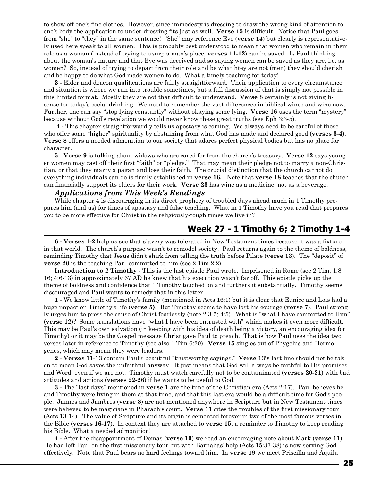to show off one's fine clothes. However, since immodesty is dressing to draw the wrong kind of attention to one's body the application to under-dressing fits just as well. **Verse 15** is difficult. Notice that Paul goes from "she" to "they" in the same sentence! "She" may reference Eve (**verse 14**) but clearly is representatively used here speak to all women. This is probably best understood to mean that women who remain in their role as a woman (instead of trying to usurp a man's place, **verses 11-12**) can be saved. Is Paul thinking about the woman's nature and that Eve was deceived and so saying women can be saved as they are, i.e. as women? So, instead of trying to depart from their role and be what htey are not (men) they should cherish and be happy to do what God made women to do. What a timely teaching for today!

**3 -** Elder and deacon qualifications are fairly straightforward. Their application to every circumstance and situation is where we run into trouble sometimes, but a full discussion of that is simply not possible in this limited format. Mostly they are not that difficult to understand. **Verse 8** certainly is not giving license for today's social drinking. We need to remember the vast differences in biblical wines and wine now. Further, one can say "stop lying constantly" without okaying some lying. **Verse 16** uses the term "mystery" because without God's revelation we would never know these great truths (see Eph 3:3-5).

 **4 -** This chapter straightforwardly tells us apostasy is coming. We always need to be careful of those who offer some "higher" spirituality by abstaining from what God has made and declared good (**verses 3-4**). **Verse 8** offers a needed admonition to our society that adores perfect physical bodies but has no place for character.

**5 - Verse 9** is talking about widows who are cared for from the church's treasury. **Verse 12** says younger women may cast off their first "faith" or "pledge." That may mean their pledge not to marry a non-Christian, or that they marry a pagan and lose their faith. The crucial distinction that the church cannot do everything individuals can do is firmly established in **verse 16.** Note that **verse 18** teaches that the church can financially support its elders for their work. **Verse 23** has wine as a medicine, not as a beverage.

#### *Applications from This Week's Readings*

While chapter 4 is discouraging in its direct prophecy of troubled days ahead much in 1 Timothy prepares him (and us) for times of apostasy and false teaching. What in 1 Timothy have you read that prepares you to be more effective for Christ in the religiously-tough times we live in?

## **Week 27 - 1 Timothy 6; 2 Timothy 1-4**

**6 - Verses 1-2** help us see that slavery was tolerated in New Testament times because it was a fixture in that world. The church's purpose wasn't to remodel society. Paul returns again to the theme of boldness, reminding Timothy that Jesus didn't shirk from telling the truth before Pilate (**verse 13**). The "deposit" of **verse 20** is the teaching Paul committed to him (see 2 Tim 2:2).

**Introduction to 2 Timothy** - This is the last epistle Paul wrote. Imprisoned in Rome (see 2 Tim. 1:8, 16; 4:6-13) in approximately 67 AD he knew that his execution wasn't far off. This epistle picks up the theme of boldness and confidence that 1 Timothy touched on and furthers it substantially. Timothy seems discouraged and Paul wants to remedy that in this letter.

**1 -** We know little of Timothy's family (mentioned in Acts 16:1) but it is clear that Eunice and Lois had a huge impact on Timothy's life (**verse 5)**. But Timothy seems to have lost his courage (**verse 7**). Paul strongly urges him to press the cause of Christ fearlessly (note 2:3-5; 4:5). What is "what I have committed to Him" (**verse 12**)? Some translations have "what I have been entrusted with" which makes it even more difficult. This may be Paul's own salvation (in keeping with his idea of death being a victory, an encouraging idea for Timothy) or it may be the Gospel message Christ gave Paul to preach. That is how Paul uses the idea two verses later in reference to Timothy (see also 1 Tim 6:20). **Verse 15** singles out of Phygelus and Hermogenes, which may mean they were leaders.

**2 - Verses 11-13** contain Paul's beautiful "trustworthy sayings." **Verse 13's** last line should not be taken to mean God saves the unfaithful anyway. It just means that God will always be faithful to His promises and Word, even if we are not. Timothy must watch carefully not to be contaminated (**verses 20-21**) with bad attitudes and actions (**verses 22-26**) if he wants to be useful to God.

**3 -** The "last days" mentioned in **verse 1** are the time of the Christian era (Acts 2:17). Paul believes he and Timothy were living in them at that time, and that this last era would be a difficult time for God's people. Jannes and Jambres (**verse 8**) are not mentioned anywhere in Scripture but in New Testament times were believed to be magicians in Pharaoh's court. **Verse 11** cites the troubles of the first missionary tour (Acts 13-14). The value of Scripture and its origin is cemented forever in two of the most famous verses in the Bible (**verses 16-17**). In context they are attached to **verse 15**, a reminder to Timothy to keep reading his Bible. What a needed admonition!

**4 -** After the disappointment of Demas (**verse 10**) we read an encouraging note about Mark (**verse 11**). He had left Paul on the first missionary tour but with Barnabas' help (Acts 15:37-38) is now serving God effectively. Note that Paul bears no hard feelings toward him. In **verse 19** we meet Priscilla and Aquila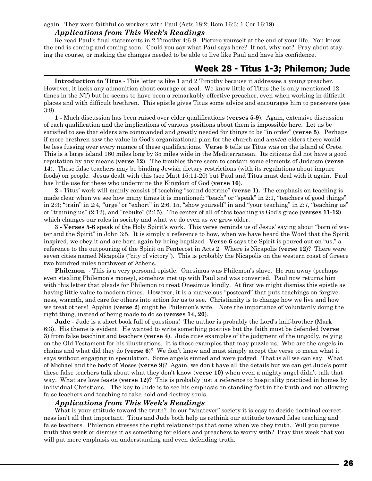again. They were faithful co-workers with Paul (Acts 18:2; Rom 16:3; 1 Cor 16:19).

## *Applications from This Week's Readings*

Re-read Paul's final statements in 2 Timothy 4:6-8. Picture yourself at the end of your life. You know the end is coming and coming soon. Could you say what Paul says here? If not, why not? Pray about staying the course, or making the changes needed to be able to live like Paul and have his confidence.

## **Week 28 - Titus 1-3; Philemon; Jude**

**Introduction to Titus** - This letter is like 1 and 2 Timothy because it addresses a young preacher. However, it lacks any admonition about courage or zeal. We know little of Titus (he is only mentioned 12 times in the NT) but he seems to have been a remarkably effective preacher, even when working in difficult places and with difficult brethren. This epistle gives Titus some advice and encourages him to persevere (see 3:8).

**1 -** Much discussion has been raised over elder qualifications (**verses 5-9**). Again, extensive discussion of each qualification and the implications of various positions about them is impossible here. Let us be satisfied to see that elders are commanded and greatly needed for things to be "in order" (**verse 5**). Perhaps if more brethren saw the value in God's organizational plan for the church and *wanted* elders there would be less fussing over every nuance of these qualifications. **Verse 5** tells us Titus was on the island of Crete. This is a large island 160 miles long by 35 miles wide in the Mediterranean. Its citizens did not have a good reputation by any means (**verse 12**). The troubles there seem to contain some elements of Judaism (**verse 14**). These false teachers may be binding Jewish dietary restrictions (with its regulations about impure foods) on people. Jesus dealt with this (see Matt 15:11-20) but Paul and Titus must deal with it again. Paul has little use for these who undermine the Kingdom of God (**verse 16**).

**2 -** Titus' work will mainly consist of teaching "sound doctrine" (**verse 1).** The emphasis on teaching is made clear when we see how many times it is mentioned: "teach" or "speak" in 2:1, "teachers of good things" in 2:3; "train" in 2:4, "urge" or "exhort" in 2:6, 15, "show yourself" in and "your teaching" in 2:7, "teaching us" or "training us" (2:12), and "rebuke" (2:15). The center of all of this teaching is God's grace (**verses 11-12**) which changes our roles in society and what we do even as we grow older.

**3 - Verses 5-6** speak of the Holy Spirit's work. This verse reminds us of Jesus' saying about "born of water and the Spirit" in John 3:5. It is simply a reference to how, when we have heard the Word that the Spirit inspired, we obey it and are born again by being baptized. **Verse 6** says the Spirit is poured out on "us," a reference to the outpouring of the Spirit on Pentecost in Acts 2. Where is Nicapolis (**verse 12**)? There were seven cities named Nicapolis ("city of victory"). This is probably the Nicapolis on the western coast of Greece two hundred miles northwest of Athens.

**Philemon** - This is a very personal epistle. Onesimus was Philemon's slave. He ran away (perhaps even stealing Philemon's money), somehow met up with Paul and was converted. Paul now returns him with this letter that pleads for Philemon to treat Onesimus kindly. At first we might dismiss this epistle as having little value to modern times. However, it is a marvelous "postcard" that puts teachings on forgiveness, warmth, and care for others into action for us to see. Christianity is to change how we live and how we treat others! Apphia (**verse 2**) might be Philemon's wife. Note the importance of voluntarily doing the right thing, instead of being made to do so (**verses 14, 20**).

**Jude** - Jude is a short book full of questions! The author is probably the Lord's half-brother (Mark 6:3). His theme is evident. He wanted to write something positive but the faith must be defended (**verse 3**) from false teaching and teachers (**verse 4**). Jude cites examples of the judgment of the ungodly, relying on the Old Testament for his illustrations. It is those examples that may puzzle us. Who are the angels in chains and what did they do (**verse 6**)? We don't know and must simply accept the verse to mean what it says without engaging in speculation. Some angels sinned and were judged. That is all we can say. What of Michael and the body of Moses (**verse 9**)? Again, we don't have all the details but we can get Jude's point: these false teachers talk about what they don't know (**verse 10)** when even a mighty angel didn't talk that way. What are love feasts (**verse 12)**? This is probably just a reference to hospitality practiced in homes by individual Christians. The key to Jude is to see his emphasis on standing fast in the truth and not allowing false teachers and teaching to take hold and destroy souls.

#### *Applications from This Week's Readings*

What is your attitude toward the truth? In our "whatever" society it is easy to decide doctrinal correctness isn't all that important. Titus and Jude both help us rethink our attitude toward false teaching and false teachers. Philemon stresses the right relationships that come when we obey truth. Will you pursue truth this week or dismiss it as something for elders and preachers to worry with? Pray this week that you will put more emphasis on understanding and even defending truth.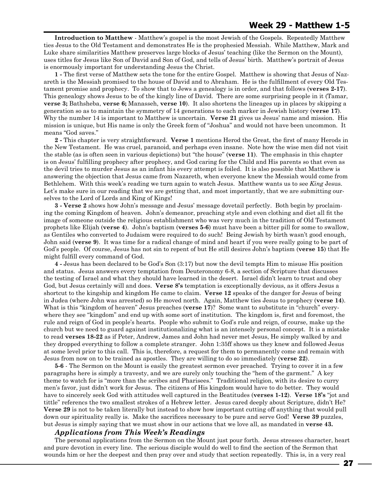**Introduction to Matthew** - Matthew's gospel is the most Jewish of the Gospels. Repeatedly Matthew ties Jesus to the Old Testament and demonstrates He is the prophesied Messiah. While Matthew, Mark and Luke share similarities Matthew preserves large blocks of Jesus' teaching (like the Sermon on the Mount), uses titles for Jesus like Son of David and Son of God, and tells of Jesus' birth. Matthew's portrait of Jesus is enormously important for understanding Jesus the Christ.

**1 -** The first verse of Matthew sets the tone for the entire Gospel. Matthew is showing that Jesus of Nazareth is the Messiah promised to the house of David and to Abraham. He is the fulfillment of every Old Testament promise and prophecy. To show that to Jews a genealogy is in order, and that follows (**verses 2-17**). This genealogy shows Jesus to be of the kingly line of David. There are some surprising people in it (Tamar, **verse 3;** Bathsheba, **verse 6;** Manasseh, **verse 10**). It also shortens the lineages up in places by skipping a generation so as to maintain the symmetry of 14 generations to each marker in Jewish history (**verse 17**). Why the number 14 is important to Matthew is uncertain. **Verse 21** gives us Jesus' name and mission. His mission is unique, but His name is only the Greek form of "Joshua" and would not have been uncommon. It means "God saves."

**2 -** This chapter is very straightforward. **Verse 1** mentions Herod the Great, the first of many Herods in the New Testament. He was cruel, paranoid, and perhaps even insane. Note how the wise men did not visit the stable (as is often seen in various depictions) but "the house" (**verse 11**). The emphasis in this chapter is on Jesus' fulfilling prophecy after prophecy, and God caring for the Child and His parents so that even as the devil tries to murder Jesus as an infant his every attempt is foiled. It is also possible that Matthew is answering the objection that Jesus came from Nazareth, when everyone knew the Messiah would come from Bethlehem. With this week's reading we turn again to watch Jesus. Matthew wants us to see *King* Jesus. Let's make sure in our reading that we are getting that, and most importantly, that we are submitting ourselves to the Lord of Lords and King of Kings!

**3 - Verse 2** shows how John's message and Jesus' message dovetail perfectly. Both begin by proclaiming the coming Kingdom of heaven. John's demeanor, preaching style and even clothing and diet all fit the image of someone outside the religious establishment who was very much in the tradition of Old Testament prophets like Elijah (**verse 4**). John's baptism (**verses 5-6**) must have been a bitter pill for some to swallow, as Gentiles who converted to Judaism were required to do such! Being Jewish by birth wasn't good enough, John said (**verse 9**). It was time for a radical change of mind and heart if you were really going to be part of God's people. Of course, Jesus has not sin to repent of but He still desires John's baptism (**verse 15**) that He might fulfill every command of God.

**4 -** Jesus has been declared to be God's Son (3:17) but now the devil tempts Him to misuse His position and status. Jesus answers every temptation from Deuteronomy 6-8, a section of Scripture that discusses the testing of Israel and what they should have learned in the desert. Israel didn't learn to trust and obey God, but Jesus certainly will and does. **Verse 8's** temptation is exceptionally devious, as it offers Jesus a shortcut to the kingship and kingdom He came to claim. **Verse 12** speaks of the danger for Jesus of being in Judea (where John was arrested) so He moved north. Again, Matthew ties Jesus to prophecy (**verse 14**). What is this "kingdom of heaven" Jesus preaches (**verse 17**)? Some want to substitute in "church" everywhere they see "kingdom" and end up with some sort of institution. The kingdom is, first and foremost, the rule and reign of God in people's hearts. People who submit to God's rule and reign, of course, make up the church but we need to guard against institutionalizing what is an intensely personal concept. It is a mistake to read **verses 18-22** as if Peter, Andrew, James and John had never met Jesus, He simply walked by and they dropped everything to follow a complete stranger. John 1:35ff shows us they knew and followed Jesus at some level prior to this call. This is, therefore, a request for them to permanently come and remain with Jesus from now on to be trained as apostles. They are willing to do so immediately (**verse 22**).

**5-6** - The Sermon on the Mount is easily the greatest sermon ever preached. Trying to cover it in a few paragraphs here is simply a travesty, and we are surely only touching the "hem of the garment." A key theme to watch for is "more than the scribes and Pharisees." Traditional religion, with its desire to curry men's favor, just didn't work for Jesus. The citizens of His kingdom would have to do better. They would have to sincerely seek God with attitudes well captured in the Beatitudes (**verses 1-12**). **Verse 18's** "jot and tittle" referencs the two smallest strokes of a Hebrew letter. Jesus cared deeply about Scripture, didn't He? **Verse 29** is not to be taken literally but instead to show how important cutting off anything that would pull down our spirituality really is. Make the sacrifices necessary to be pure and serve God! **Verse 39** puzzles, but Jesus is simply saying that we must show in our actions that we love all, as mandated in **verse 43.**

#### *Applications from This Week's Readings*

The personal applications from the Sermon on the Mount just pour forth. Jesus stresses character, heart and pure devotion in every line. The serious disciple would do well to find the section of the Sermon that wounds him or her the deepest and then pray over and study that section repeatedly. This is, in a very real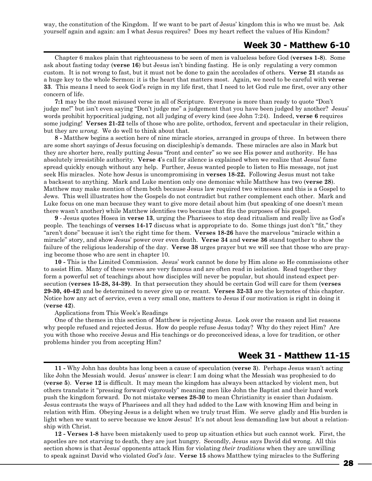way, the constitution of the Kingdom. If we want to be part of Jesus' kingdom this is who we must be. Ask yourself again and again: am I what Jesus requires? Does my heart reflect the values of His Kindom?

## **Week 30 - Matthew 6-10**

Chapter 6 makes plain that righteousness to be seen of men is valueless before God (**verses 1-8**). Some ask about fasting today (**verse 16**) but Jesus isn't binding fasting. He is only regulating a very common custom. It is not wrong to fast, but it must not be done to gain the accolades of others. **Verse 21** stands as a huge key to the whole Sermon: it is the heart that matters most. Again, we need to be careful with **verse 33**. This means I need to seek God's reign in my life first, that I need to let God rule me first, over any other concern of life.

**7:1** may be the most misused verse in all of Scripture. Everyone is more than ready to quote "Don't judge me!" but isn't even saying "Don't judge me" a judgement that you have been judged by another? Jesus' words prohibit hypocritical judging, not all judging of every kind (see John 7:24). Indeed, **verse 6** requires some judging! **Verses 21-22** tells of those who are polite, orthodox, fervent and spectacular in their religion, but they are *wrong*. We do well to think about that.

**8 -** Matthew begins a section here of nine miracle stories, arranged in groups of three. In between there are some short sayings of Jesus focusing on discipleship's demands. These miracles are also in Mark but they are shorter here, really putting Jesus "front and center" so we see His power and authority. He has absolutely irresistible authority. **Verse 4**'s call for silence is explained when we realize that Jesus' fame spread quickly enough without any help. Further, Jesus wanted people to listen to His message, not just seek His miracles. Note how Jesus is uncompromising in **verses 18-22.** Following Jesus must not take a backseat to anything. Mark and Luke mention only one demoniac while Matthew has two (**verse 28**). Matthew may make mention of them both because Jesus law required two witnesses and this is a Gospel to Jews. This well illustrates how the Gospels do not contradict but rather complement each other. Mark and Luke focus on one man because they want to give more detail about him (but speaking of one doesn't mean there wasn't another) while Matthew identifies two because that fits the purposes of his gospel.

**9** - Jesus quotes Hosea in **verse 13**, urging the Pharisees to stop dead ritualism and really live as God's people. The teachings of **verses 14-17** discuss what is appropriate to do. Some things just don't "fit," they "aren't done" because it isn't the right time for them. **Verses 18-26** have the marvelous "miracle within a miracle" story, and show Jesus' power over even death. **Verse 34** and **verse 36** stand together to show the failure of the religious leadership of the day. **Verse 38** urges prayer but we will see that those who are praying become those who are sent in chapter 10.

**10 -** This is the Limited Commission. Jesus' work cannot be done by Him alone so He commissions other to assist Him. Many of these verses are very famous and are often read in isolation. Read together they form a powerful set of teachings about how disciples will never be popular, but should instead expect persecution (**verses 15-28, 34-39)**. In that persecution they should be certain God will care for them (**verses 29-30, 40-42**) and be determined to never give up or recant. **Verses 32-33** are the keynotes of this chapter. Notice how any act of service, even a very small one, matters to Jesus if our motivation is right in doing it (**verse 42**).

#### Applications from This Week's Readings

One of the themes in this section of Matthew is rejecting Jesus. Look over the reason and list reasons why people refused and rejected Jesus. How do people refuse Jesus today? Why do they reject Him? Are you with those who receive Jesus and His teachings or do preconceived ideas, a love for tradition, or other problems hinder you from accepting Him?

## **Week 31 - Matthew 11-15**

**11 -** Why John has doubts has long been a cause of speculation (**verse 3**). Perhaps Jesus wasn't acting like John the Messiah would. Jesus' answer is clear: I am doing what the Messiah was prophesied to do (**verse 5**). **Verse 12** is difficult. It may mean the kingdom has always been attacked by violent men, but others translate it "pressing forward vigorously" meaning men like John the Baptist and their hard work push the kingdom forward. Do not mistake **verses 28-30** to mean Christianity is easier than Judaism. Jesus contrasts the ways of Pharisees and all they had added to the Law with knowing Him and being in relation with Him. Obeying Jesus is a delight when we truly trust Him. We serve gladly and His burden is light when we want to serve because we know Jesus! It's not about less demanding law but about a relationship with Christ.

**12 - Verses 1-8** have been mistakenly used to prop up situation ethics but such cannot work. First, the apostles are not starving to death, they are just hungry. Secondly, Jesus says David did wrong. All this section shows is that Jesus' opponents attack Him for violating *their traditions* when they are unwilling to speak against David who violated *God's law*. **Verse 15** shows Matthew tying miracles to the Suffering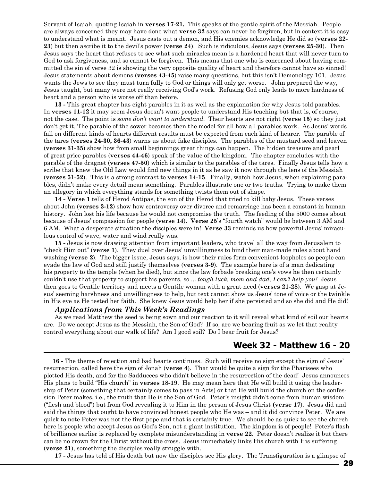Servant of Isaiah, quoting Isaiah in **verses 17-21.** This speaks of the gentle spirit of the Messiah. People are always concerned they may have done what **verse 32** says can never be forgiven, but in context it is easy to understand what is meant. Jesus casts out a demon, and His enemies acknowledge He did so (**verses 22- 23**) but then ascribe it to the devil's power (**verse 24**). Such is ridiculous, Jesus says (**verses 25-30**). Then Jesus says the heart that refuses to see what such miracles mean is a hardened heart that will never turn to God to ask forgiveness, and so cannot be forgiven. This means that one who is concerned about having committed the sin of verse 32 is showing the very opposite quality of heart and therefore cannot have so sinned! Jesus statements about demons (**verses 43-45**) raise many questions, but this isn't Demonology 101. Jesus wants the Jews to see they must turn fully to God or things will only get worse. John prepared the way, Jesus taught, but many were not really receiving God's work. Refusing God only leads to more hardness of heart and a person who is worse off than before.

**13 -** This great chapter has eight parables in it as well as the explanation for why Jesus told parables. In **verses 11-12** it may seem Jesus doesn't want people to understand His teaching but that is, of course, not the case. The point is *some don't want to understand.* Their hearts are not right (**verse 15**) so they just don't get it. The parable of the sower becomes then the model for all how all parables work. As Jesus' words fall on different kinds of hearts different results must be expected from each kind of hearer. The parable of the tares (**verses 24-30, 36-43**) warns us about fake disciples. The parables of the mustard seed and leaven (**verses 31-35**) show how from small beginnings great things can happen. The hidden treasure and pearl of great price parables (**verses 44-46**) speak of the value of the kingdom. The chapter concludes with the parable of the dragnet (**verses 47-50**) which is similar to the parables of the tares. Finally Jesus tells how a scribe that knew the Old Law would find new things in it as he saw it now through the lens of the Messiah (**verses 51-52**). This is a strong contrast to **verses 14-15**. Finally, watch how Jesus, when explaining parables, didn't make every detail mean something. Parables illustrate one or two truths. Trying to make them an allegory in which everything stands for something twists them out of shape.

**14 - Verse 1** tells of Herod Antipas, the son of the Herod that tried to kill baby Jesus. These verses about John (**verses 3-12**) show how controversy over divorce and remarriage has been a constant in human history. John lost his life because he would not compromise the truth. The feeding of the 5000 comes about because of Jesus' compassion for people (**verse 14**). **Verse 25**'s "fourth watch" would be between 3 AM and 6 AM. What a desperate situation the disciples were in! **Verse 33** reminds us how powerful Jesus' miraculous control of wave, water and wind really was.

**15 -** Jesus is now drawing attention from important leaders, who travel all the way from Jerusalem to "check Him out" (**verse 1**). They duel over Jesus' unwillingness to bind their man-made rules about hand washing (**verse 2**). The bigger issue, Jesus says, is how their rules form convenient loopholes so people can evade the law of God and still justify themselves (**verses 3-9**). The example here is of a man dedicating his property to the temple (when he died), but since the law forbade breaking one's vows he then certainly couldn't use that property to support his parents, so ... *tough luck, mom and dad, I can't help you!* Jesus then goes to Gentile territory and meets a Gentile woman with a great need (**verses 21-28**). We gasp at Jesus' seeming harshness and unwillingness to help, but text cannot show us Jesus' tone of voice or the twinkle in His eye as He tested her faith. She knew Jesus would help her if she persisted and so she did and He did!

#### *Applications from This Week's Readings*

As we read Matthew the seed is being sown and our reaction to it will reveal what kind of soil our hearts are. Do we accept Jesus as the Messiah, the Son of God? If so, are we bearing fruit as we let that reality control everything about our walk of life? Am I good soil? Do I bear fruit for Jesus?

## **Week 32 - Matthew 16 - 20**

 **16 -** The theme of rejection and bad hearts continues. Such will receive no sign except the sign of Jesus' resurrection, called here the sign of Jonah (**verse 4**). That would be quite a sign for the Pharisees who plotted His death, and for the Sadducees who didn't believe in the resurrection of the dead! Jesus announces His plans to build "His church" in **verses 18-19**. He may mean here that He will build it using the leadership of Peter (something that certainly comes to pass in Acts) or that He will build the church on the confession Peter makes, i.e., the truth that He is the Son of God. Peter's insight didn't come from human wisdom ("flesh and blood") but from God revealing it to Him in the person of Jesus Christ **(verse 17**). Jesus did and said the things that ought to have convinced honest people who He was – and it did convince Peter. We are quick to note Peter was not the first pope and that is certainly true. We should be as quick to see the church here is people who accept Jesus as God's Son, not a giant institution. The kingdom is of people! Peter's flash of brilliance earlier is replaced by complete misunderstanding in **verse 22**. Peter doesn't realize it but there can be no crown for the Christ without the cross. Jesus immediately links His church with His suffering (**verse 21**), something the disciples really struggle with.

**17 -** Jesus has told of His death but now the disciples see His glory. The Transfiguration is a glimpse of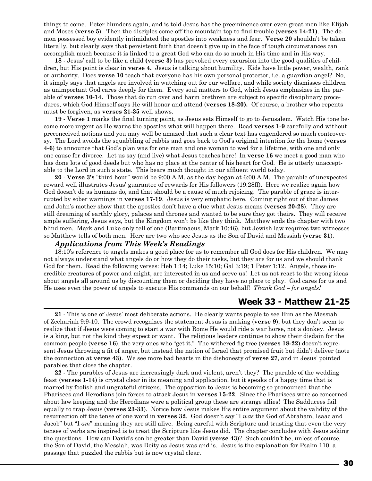things to come. Peter blunders again, and is told Jesus has the preeminence over even great men like Elijah and Moses (**verse 5**). Then the disciples come off the mountain top to find trouble (**verses 14-21)**. The demon possessed boy evidently intimidated the apostles into weakness and fear. **Verse 20** shouldn't be taken literally, but clearly says that persistent faith that doesn't give up in the face of tough circumstances can accomplish much because it is linked to a great God who can do so much in His time and in His way.

**18** - Jesus' call to be like a child **(verse 3)** has provoked every excursion into the good qualities of children, but His point is clear in **verse 4.** Jesus is talking about humility. Kids have little power, wealth, rank or authority. Does **verse 10** teach that everyone has his own personal protector, i.e. a guardian angel? No, it simply says that angels are involved in watching out for our welfare, and while society dismisses children as unimportant God cares deeply for them. Every soul matters to God, which Jesus emphasizes in the parable of **verses 10-14.** Those that do run over and harm brethren are subject to specific disciplinary procedures, which God Himself says He will honor and attend (**verses 18-20).** Of course, a brother who repents must be forgiven, as **verses 21-35** well shows.

**19** - **Verse 1** marks the final turning point, as Jesus sets Himself to go to Jerusalem. Watch His tone become more urgent as He warns the apostles what will happen there. Read **verses 1-9** carefully and without preconceived notions and you may well be amazed that such a clear text has engendered so much controversy. The Lord avoids the squabbling of rabbis and goes back to God's original intention for the home (**verses 4-6**) to announce that God's plan was for one man and one woman to wed for a lifetime, with one and only one cause for divorce. Let us say (and live) what Jesus teaches here! In **verse 16** we meet a good man who has done lots of good deeds but who has no place at the center of his heart for God. He is utterly unacceptable to the Lord in such a state. This bears much thought in our affluent world today.

**20** - **Verse 3's** "third hour" would be 9:00 A.M. as the day began at 6:00 A.M. The parable of unexpected reward well illustrates Jesus' guarantee of rewards for His followers (19:28ff). Here we realize again how God doesn't do as humans do, and that should be a cause of much rejoicing. The parable of grace is interrupted by sober warnings in **verses 17-19**. Jesus is very emphatic here. Coming right out of that James and John's mother show that the apostles don't have a clue what Jesus means (**verses 20-28**). They are still dreaming of earthly glory, palaces and thrones and wanted to be sure they got theirs. They will receive ample suffering, Jesus says, but the Kingdom won't be like they think. Matthew ends the chapter with two blind men. Mark and Luke only tell of one (Bartimaeus, Mark 10:46), but Jewish law requires two witnesses so Matthew tells of both men. Here are two who see Jesus as the Son of David and Messiah (**verse 31**).

#### *Applications from This Week's Readings*

18:10's reference to angels makes a good place for us to remember all God does for His children. We may not always understand what angels do or how they do their tasks, but they are for us and we should thank God for them. Read the following verses: Heb 1:14; Luke 15:10; Gal 3:19; 1 Peter 1:12. Angels, those incredible creatures of power and might, are interested in us and serve us! Let us not react to the wrong ideas about angels all around us by discounting them or deciding they have no place to play. God cares for us and He uses even the power of angels to execute His commands on our behalf! *Thank God – for angels!*

## **Week 33 - Matthew 21-25**

**21** - This is one of Jesus' most deliberate actions. He clearly wants people to see Him as the Messiah of Zechariah 9:9-10. The crowd recognizes the statement Jesus is making (**verse 9**), but they don't seem to realize that if Jesus were coming to start a war with Rome He would ride a war horse, not a donkey. Jesus is a king, but not the kind they expect or want. The religious leaders continue to show their disdain for the common people (**verse 16**), the very ones who "get it." The withered fig tree (**verses 18-22**) doesn't represent Jesus throwing a fit of anger, but instead the nation of Israel that promised fruit but didn't deliver (note the connection at **verse 43)**. We see more bad hearts in the dishonesty of **verse 27**, and in Jesus' pointed parables that close the chapter.

**22** - The parables of Jesus are increasingly dark and violent, aren't they? The parable of the wedding feast (**verses 1-14**) is crystal clear in its meaning and application, but it speaks of a happy time that is marred by foolish and ungrateful citizens. The opposition to Jesus is becoming so pronounced that the Pharisees and Herodians join forces to attack Jesus in **verses 15-22**. Since the Pharisees were so concerned about law keeping and the Herodians were a political group these are strange allies! The Sadducees fail equally to trap Jesus (**verses 23-33**). Notice how Jesus makes His entire argument about the validity of the resurrection off the tense of one word in **verses 32**. God doesn't say "I *was* the God of Abraham, Isaac and Jacob" but "I *am*" meaning they are still alive. Being careful with Scripture and trusting that even the very tenses of verbs are inspired is to treat the Scripture like Jesus did. The chapter concludes with Jesus asking the questions. How can David's son be greater than David (**verse 43**)? Such couldn't be, unless of course, the Son of David, the Messiah, was Deity as Jesus was and is. Jesus is the explanation for Psalm 110, a passage that puzzled the rabbis but is now crystal clear.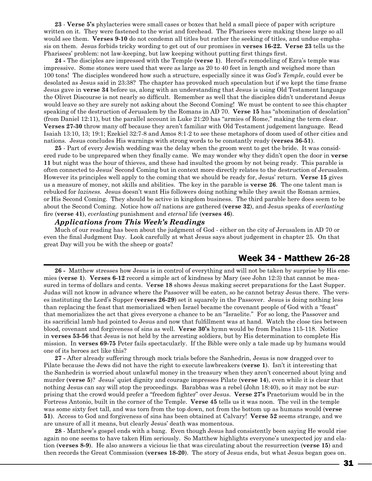**23** - **Verse 5's** phylacteries were small cases or boxes that held a small piece of paper with scripture written on it. They were fastened to the wrist and forehead. The Pharisees were making these large so all would see them. **Verses 9-10** do not condemn all titles but rather the seeking of titles, and undue emphasis on them. Jesus forbids tricky wording to get out of our promises in **verses 16-22. Verse 23** tells us the Pharisees' problem: not law-keeping, but law keeping without putting first things first.

**24 -** The disciples are impressed with the Temple (**verse 1**). Herod's remodeling of Ezra's temple was impressive. Some stones were used that were as large as 20 to 40 feet in length and weighed more than 100 tons! The disciples wondered how such a structure, especially since it was *God's Temple*, could ever be desolated as Jesus said in 23:38? The chapter has provoked much speculation but if we kept the time frame Jesus gave in **verse 34** before us, along with an understanding that Jesus is using Old Testament language the Olivet Discourse is not nearly so difficult. Remember as well that the disciples didn't understand Jesus would leave so they are surely not asking about the Second Coming! We must be content to see this chapter speaking of the destruction of Jerusalem by the Romans in AD 70. **Verse 15** has "abomination of desolation" (from Daniel 12:11), but the parallel account in Luke 21:20 has "armies of Rome," making the term clear. **Verses 27-30** throw many off because they aren't familiar with Old Testament judgement language. Read Isaiah 13:10, 13; 19:1; Ezekiel 32:7-8 and Amos 8:1-2 to see these metaphors of doom used of other cities and nations. Jesus concludes His warnings with strong words to be constantly ready (**verses 36-51**).

**25** - Part of every Jewish wedding was the delay when the groom went to get the bride. It was considered rude to be unprepared when they finally came. We may wonder why they didn't open the door in **verse 11** but night was the hour of thieves, and these had insulted the groom by not being ready. This parable is often connected to Jesus' Second Coming but in context more directly relates to the destruction of Jerusalem. However its principles well apply to the coming that we should be ready for, Jesus' return. **Verse 15** gives us a measure of money, not skills and abilities. The key in the parable is **verse 26**. The one talent man is rebuked for *laziness.* Jesus doesn't want His followers doing nothing while they await the Roman armies, or His Second Coming. They should be active in kingdom business. The third parable here does seem to be about the Second Coming. Notice how *all* nations are gathered (**verse 32**), and Jesus speaks of *everlasting*  fire (**verse 41**), *everlasting* punishment and *eternal* life (**verses 46**).

#### *Applications from This Week's Readings*

Much of our reading has been about the judgment of God - either on the city of Jerusalem in AD 70 or even the final Judgment Day. Look carefully at what Jesus says about judgement in chapter 25. On that great Day will you be with the sheep or goats?

## **Week 34 - Matthew 26-28**

**26 -** Matthew stresses how Jesus is in control of everything and will not be taken by surprise by His enemies (**verse 1**). **Verses 6-12** record a simple act of kindness by Mary (see John 12:3) that cannot be measured in terms of dollars and cents. V**erse 18** shows Jesus making secret preparations for the Last Supper. Judas will not know in advance where the Passover will be eaten, so he cannot betray Jesus there. The verses instituting the Lord's Supper (**verses 26-29**) set it squarely in the Passover. Jesus is doing nothing less than replacing the feast that memorialized when Israel became the covenant people of God with a "feast" that memorializes the act that gives everyone a chance to be an "Israelite." For so long, the Passover and its sacrificial lamb had pointed to Jesus and now that fulfillment was at hand. Watch the close ties between blood, covenant and forgiveness of sins as well. **Verse 30's** hymn would be from Psalms 115-118. Notice in **verses 53-56** that Jesus is not held by the arresting soldiers, but by His determination to complete His mission. In **verses 69-75** Peter fails spectacularly. If the Bible were only a tale made up by humans would one of its heroes act like this?

**27 -** After already suffering through mock trials before the Sanhedrin, Jesus is now dragged over to Pilate because the Jews did not have the right to execute lawbreakers (**verse 1**). Isn't it interesting that the Sanhedrin is worried about unlawful money in the treasury when they aren't concerned about lying and murder (**verse 5**)? Jesus' quiet dignity and courage impresses Pilate (**verse 14**), even while it is clear that nothing Jesus can say will stop the proceedings. Barabbas was a rebel (John 18:40), so it may not be surprising that the crowd would prefer a "freedom fighter" over Jesus. **Verse 27's** Praetorium would be in the Fortress Antonio, built in the corner of the Temple. **Verse 45** tells us it was noon. The veil in the temple was some sixty feet tall, and was torn from the top down, not from the bottom up as humans would (**verse 51**). Access to God and forgiveness of sins has been obtained at Calvary! **Verse 52** seems strange, and we are unsure of all it means, but clearly Jesus' death was momentous.

**28** - Matthew's gospel ends with a bang. Even though Jesus had consistently been saying He would rise again no one seems to have taken Him seriously. So Matthew highlights everyone's unexpected joy and elation (**verses 8-9**). He also answers a vicious lie that was circulating about the resurrection (**verse 15**) and then records the Great Commission (**verses 18-20**). The story of Jesus ends, but what Jesus began goes on.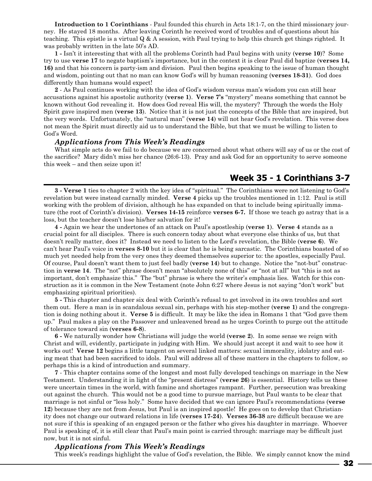**Introduction to 1 Corinthians** - Paul founded this church in Acts 18:1-7, on the third missionary journey. He stayed 18 months. After leaving Corinth he received word of troubles and of questions about his teaching. This epistle is a virtual Q & A session, with Paul trying to help this church get things righted. It was probably written in the late 50's AD.

**1 -** Isn't it interesting that with all the problems Corinth had Paul begins with unity (**verse 10**)? Some try to use **verse 17** to negate baptism's importance, but in the context it is clear Paul did baptize (**verses 14, 16)** and that his concern is party-ism and division. Paul then begins speaking to the issue of human thought and wisdom, pointing out that no man can know God's will by human reasoning (**verses 18-31**). God does differently than humans would expect!

**2** - As Paul continues working with the idea of God's wisdom versus man's wisdom you can still hear accusations against his apostolic authority (**verse 1**). **Verse 7's** "mystery" means something that cannot be known without God revealing it. How does God reveal His will, the mystery? Through the words the Holy Spirit gave inspired men (**verse 13**). Notice that it is not just the concepts of the Bible that are inspired, but the very words. Unfortunately, the "natural man" (**verse 14**) will not hear God's revelation. This verse does not mean the Spirit must directly aid us to understand the Bible, but that we must be willing to listen to God's Word.

#### *Applications from This Week's Readings*

What simple acts do we fail to do because we are concerned about what others will say of us or the cost of the sacrifice? Mary didn't miss her chance (26:6-13). Pray and ask God for an opportunity to serve someone this week – and then seize upon it!

## **Week 35 - 1 Corinthians 3-7**

**3 - Verse 1** ties to chapter 2 with the key idea of "spiritual." The Corinthians were not listening to God's revelation but were instead carnally minded. **Verse 4** picks up the troubles mentioned in 1:12. Paul is still working with the problem of division, although he has expanded on that to include being spiritually immature (the root of Corinth's division). **Verses 14-15** reinforce **verses 6-7.** If those we teach go astray that is a loss, but the teacher doesn't lose his/her salvation for it!

**4 -** Again we hear the undertones of an attack on Paul's apostleship (**verse 1**). **Verse 4** stands as a crucial point for all disciples. There is such concern today about what everyone else thinks of us, but that doesn't really matter, does it? Instead we need to listen to the Lord's revelation, the Bible (**verse 6**). We can't hear Paul's voice in **verses 8-10** but it is clear that he is being sarcastic. The Corinthians boasted of so much yet needed help from the very ones they deemed themselves superior to: the apostles, especially Paul. Of course, Paul doesn't want them to just feel badly (**verse 14**) but to change. Notice the "not-but" construction in **verse 14**. The "not" phrase doesn't mean "absolutely none of this" or "not at all" but "this is not as important, don't emphasize this." The "but" phrase is where the writer's emphasis lies. Watch for this construction as it is common in the New Testament (note John 6:27 where Jesus is not saying "don't work" but emphasizing spiritual priorities).

**5 -** This chapter and chapter six deal with Corinth's refusal to get involved in its own troubles and sort them out. Here a man is in scandalous sexual sin, perhaps with his step-mother (**verse 1**) and the congregation is doing nothing about it. **Verse 5** is difficult. It may be like the idea in Romans 1 that "God gave them up." Paul makes a play on the Passover and unleavened bread as he urges Corinth to purge out the attitude of tolerance toward sin (**verses 6-8**).

**6 -** We naturally wonder how Christians will judge the world (**verse 2**). In some sense we reign with Christ and will, evidently, participate in judging with Him. We should just accept it and wait to see how it works out! Verse 12 begins a little tangent on several linked matters: sexual immorality, idolatry and eating meat that had been sacrificed to idols. Paul will address all of these matters in the chapters to follow, so perhaps this is a kind of introduction and summary.

**7** - This chapter contains some of the longest and most fully developed teachings on marriage in the New Testament. Understanding it in light of the "present distress" (**verse 26**) is essential. History tells us these were uncertain times in the world, with famine and shortages rampant. Further, persecution was breaking out against the church. This would not be a good time to pursue marriage, but Paul wants to be clear that marriage is not sinful or "less holy." Some have decided that we can ignore Paul's recommendations (**verse 12**) because they are not from Jesus, but Paul is an inspired apostle! He goes on to develop that Christianity does not change our outward relations in life (**verses 17-24**). **Verses 36-38** are difficult because we are not sure if this is speaking of an engaged person or the father who gives his daughter in marriage. Whoever Paul is speaking of, it is still clear that Paul's main point is carried through: marriage may be difficult just now, but it is not sinful.

## *Applications from This Week's Readings*

This week's readings highlight the value of God's revelation, the Bible. We simply cannot know the mind

32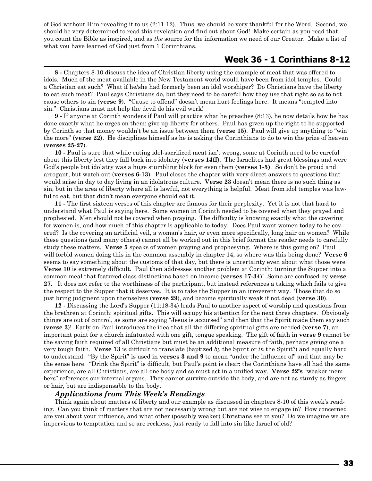of God without Him revealing it to us (2:11-12). Thus, we should be very thankful for the Word. Second, we should be very determined to read this revelation and find out about God! Make certain as you read that you count the Bible as inspired, and as *the* source for the information we need of our Creator. Make a list of what you have learned of God just from 1 Corinthians.

## **Week 36 - 1 Corinthians 8-12**

**8 -** Chapters 8-10 discuss the idea of Christian liberty using the example of meat that was offered to idols. Much of the meat available in the New Testament world would have been from idol temples. Could a Christian eat such? What if he/she had formerly been an idol worshiper? Do Christians have the liberty to eat such meat? Paul says Christians do, but they need to be careful how they use that right so as to not cause others to sin (**verse 9**). "Cause to offend" doesn't mean hurt feelings here. It means "tempted into sin." Christians must not help the devil do his evil work!

**9 -** If anyone at Corinth wonders if Paul will practice what he preaches (8:13), he now details how he has done exactly what he urges on them: give up liberty for others. Paul has given up the right to be supported by Corinth so that money wouldn't be an issue between them (**verse 15**). Paul will give up anything to "win the more" (**verse 22**). He disciplines himself as he is asking the Corinthians to do to win the prize of heaven (**verses 25-27**).

**10 -** Paul is sure that while eating idol-sacrificed meat isn't wrong, some at Corinth need to be careful about this liberty lest they fall back into idolatry (**verses 14ff**). The Israelites had great blessings and were God's people but idolatry was a huge stumbling block for even them (**verses 1-5)**. So don't be proud and arrogant, but watch out (**verses 6-13**). Paul closes the chapter with very direct answers to questions that would arise in day to day living in an idolatrous culture. **Verse 23** doesn't mean there is no such thing as sin, but in the area of liberty where all is lawful, not everything is helpful. Meat from idol temples was lawful to eat, but that didn't mean everyone should eat it.

**11 -** The first sixteen verses of this chapter are famous for their perplexity. Yet it is not that hard to understand what Paul is saying here. Some women in Corinth needed to be covered when they prayed and prophesied. Men should not be covered when praying. The difficulty is knowing exactly what the covering for women is, and how much of this chapter is applicable to today. Does Paul want women today to be covered? Is the covering an artificial veil, a woman's hair, or even more specifically, long hair on women? While these questions (and many others) cannot all be worked out in this brief format the reader needs to carefully study these matters. **Verse 5** speaks of women praying and prophesying. Where is this going on? Paul will forbid women doing this in the common assembly in chapter 14, so where was this being done? **Verse 6** seems to say something about the customs of that day, but there is uncertainty even about what those were. **Verse 10** is extremely difficult. Paul then addresses another problem at Corinth: turning the Supper into a common meal that featured class distinctions based on income (**verses 17-34**)! Some are confused by **verse 27.** It does not refer to the worthiness of the participant, but instead references a taking which fails to give the respect to the Supper that it deserves. It is to take the Supper in an irreverent way. Those that do so just bring judgment upon themselves (**verse 29**), and become spiritually weak if not dead (**verse 30**).

**12** - Discussing the Lord's Supper (11:18-34) leads Paul to another aspect of worship and questions from the brethren at Corinth: spiritual gifts. This will occupy his attention for the next three chapters. Obviously things are out of control, as some are saying "Jesus is accursed" and then that the Spirit made them say such (**verse 3**)! Early on Paul introduces the idea that all the differing spiritual gifts are needed (**verse 7**), an important point for a church infatuated with one gift, tongue speaking. The gift of faith in **verse 9** cannot be the saving faith required of all Christians but must be an additional measure of faith, perhaps giving one a very tough faith. **Verse 13** is difficult to translate (baptized *by* the Spirit or *in* the Spirit?) and equally hard to understand. "By the Spirit" is used in **verses 3 and 9** to mean "under the influence of" and that may be the sense here. "Drink the Spirit" is difficult, but Paul's point is clear: the Corinthians have all had the same experience, are all Christians, are all one body and so must act in a unified way. **Verse 22's** "weaker members" references our internal organs. They cannot survive outside the body, and are not as sturdy as fingers or hair, but are indispensable to the body.

#### *Applications from This Week's Readings*

Think again about matters of liberty and our example as discussed in chapters 8-10 of this week's reading. Can you think of matters that are not necessarily wrong but are not wise to engage in? How concerned are you about your influence, and what other (possibly weaker) Christians see in you? Do we imagine we are impervious to temptation and so are reckless, just ready to fall into sin like Israel of old?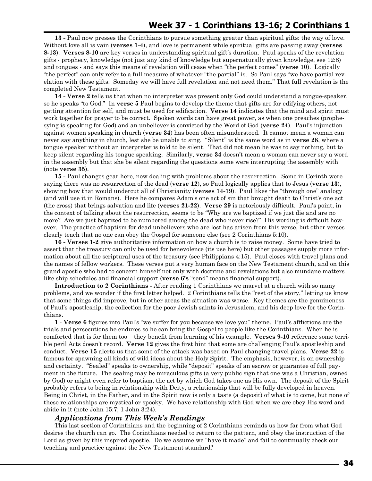**13 -** Paul now presses the Corinthians to pursue something greater than spiritual gifts: the way of love. Without love all is vain (**verses 1-4**), and love is permanent while spiritual gifts are passing away (**verses 8-13**). **Verses 8-10** are key verses in understanding spiritual gift's duration. Paul speaks of the revelation gifts - prophecy, knowledge (not just any kind of knowledge but supernaturally given knowledge, see 12:8) and tongues - and says this means of revelation will cease when "the perfect comes" (**verse 10**). Logically "the perfect" can only refer to a full measure of whatever "the partial" is. So Paul says "we have partial revelation with these gifts. Someday we will have full revelation and not need them." That full revelation is the completed New Testament.

**14 - Verse 2** tells us that when no interpreter was present only God could understand a tongue-speaker, so he speaks "to God." In **verse 5** Paul begins to develop the theme that gifts are for edifying others, not getting attention for self, and must be used for edification. **Verse 14** indicates that the mind and spirit must work together for prayer to be correct. Spoken words can have great power, as when one preaches (prophesying is speaking for God) and an unbeliever is convicted by the Word of God (**verse 24**). Paul's injunction against women speaking in church (**verse 34**) has been often misunderstood. It cannot mean a woman can never say anything in church, lest she be unable to sing. "Silent" is the same word as in **verse 28**, where a tongue speaker without an interpreter is told to be silent. That did not mean he was to say nothing, but to keep silent regarding his tongue speaking. Similarly, **verse 34** doesn't mean a woman can never say a word in the assembly but that she be silent regarding the questions some were interrupting the assembly with (note **verse 35**).

**15 -** Paul changes gear here, now dealing with problems about the resurrection. Some in Corinth were saying there was no resurrection of the dead (**verse 12**), so Paul logically applies that to Jesus (**verse 13**), showing how that would undercut all of Christianity (**verses 14-19**). Paul likes the "through one" analogy (and will use it in Romans). Here he compares Adam's one act of sin that brought death to Christ's one act (the cross) that brings salvation and life (**verses 21-22**). **Verse 29** is notoriously difficult. Paul's point, in the context of talking about the resurrection, seems to be "Why are we baptized if we just die and are no more? Are we just baptized to be numbered among the dead who never rise?" His wording is difficult however. The practice of baptism for dead unbelievers who are lost has arisen from this verse, but other verses clearly teach that no one can obey the Gospel for someone else (see 2 Corinthians 5:10).

**16 - Verses 1-2** give authoritative information on how a church is to raise money. Some have tried to assert that the treasury can only be used for benevolence (its use here) but other passages supply more information about all the scriptural uses of the treasury (see Philippians 4:15). Paul closes with travel plans and the names of fellow workers. These verses put a very human face on the New Testament church, and on this grand apostle who had to concern himself not only with doctrine and revelations but also mundane matters like ship schedules and financial support (**verse 6's** "send" means financial support).

**Introduction to 2 Corinthians -** After reading 1 Corinthians we marvel at a church with so many problems, and we wonder if the first letter helped. 2 Corinthians tells the "rest of the story," letting us know that some things did improve, but in other areas the situation was worse. Key themes are the genuineness of Paul's apostleship, the collection for the poor Jewish saints in Jerusalem, and his deep love for the Corinthians.

**1** - **Verse 6** figures into Paul's "we suffer for you because we love you" theme. Paul's afflictions are the trials and persecutions he endures so he can bring the Gospel to people like the Corinthians. When he is comforted that is for them too – they benefit from learning of his example. **Verses 9-10** reference some terrible peril Acts doesn't record. **Verse 12** gives the first hint that some are challenging Paul's apostleship and conduct. **Verse 15** alerts us that some of the attack was based on Paul changing travel plans. **Verse 22** is famous for spawning all kinds of wild ideas about the Holy Spirit. The emphasis, however, is on ownership and certainty. "Sealed" speaks to ownership, while "deposit" speaks of an escrow or guarantee of full payment in the future. The sealing may be miraculous gifts (a very public sign that one was a Christian, owned by God) or might even refer to baptism, the act by which God takes one as His own. The deposit of the Spirit probably refers to being in relationship with Deity, a relationship that will be fully developed in heaven. Being in Christ, in the Father, and in the Spirit now is only a taste (a deposit) of what is to come, but none of these relationships are mystical or spooky. We have relationship with God when we are obey His word and abide in it (note John 15:7; 1 John 3:24).

## *Applications from This Week's Readings*

This last section of Corinthians and the beginning of 2 Corinthians reminds us how far from what God desires the church can go. The Corinthians needed to return to the pattern, and obey the instruction of the Lord as given by this inspired apostle. Do we assume we "have it made" and fail to continually check our teaching and practice against the New Testament standard?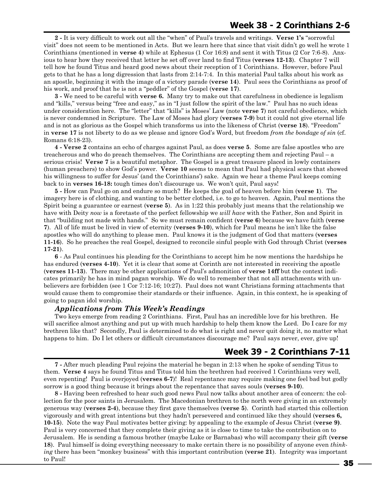**2 -** It is very difficult to work out all the "when" of Paul's travels and writings. **Verse 1's** "sorrowful visit" does not seem to be mentioned in Acts. But we learn here that since that visit didn't go well he wrote 1 Corinthians (mentioned in **verse 4**) while at Ephesus (1 Cor 16:8) and sent it with Titus (2 Cor 7:6-8). Anxious to hear how they received that letter he set off over land to find Titus (**verses 12-13**). Chapter 7 will tell how he found Titus and heard good news about their reception of 1 Corinthians. However, before Paul gets to that he has a long digression that lasts from 2:14-7:4. In this material Paul talks about his work as an apostle, beginning it with the image of a victory parade (**verse 14**). Paul sees the Corinthians as proof of his work, and proof that he is not a "peddler" of the Gospel (**verse 17**).

**3 -** We need to be careful with **verse 6.** Many try to make out that carefulness in obedience is legalism and "kills," versus being "free and easy," as in "I just follow the spirit of the law." Paul has no such ideas under consideration here. The "letter" that "kills" is Moses' Law (note **verse 7**) not careful obedience, which is never condemned in Scripture. The Law of Moses had glory (**verses 7-9**) but it could not give eternal life and is not as glorious as the Gospel which transforms us into the likeness of Christ (**verse 18**). "Freedom" in **verse 17** is not liberty to do as we please and ignore God's Word, but freedom *from the bondage of sin* (cf. Romans 6:18-23).

**4 - Verse 2** contains an echo of charges against Paul, as does **verse 5**. Some are false apostles who are treacherous and who do preach themselves. The Corinthians are accepting them and rejecting Paul – a serious crisis! **Verse 7** is a beautiful metaphor. The Gospel is a great treasure placed in lowly containers (human preachers) to show God's power. **Verse 10** seems to mean that Paul had physical scars that showed his willingness to suffer for Jesus' (and the Corinthians') sake. Again we hear a theme Paul keeps coming back to in **verses 16-18:** tough times don't discourage us. We won't quit, Paul says!

**5 -** How can Paul go on and endure so much? He keeps the goal of heaven before him (**verse 1**). The imagery here is of clothing, and wanting to be better clothed, i.e. to go to heaven. Again, Paul mentions the Spirit being a guarantee or earnest (**verse 5**). As in 1:22 this probably just means that the relationship we have with Deity *now* is a foretaste of the perfect fellowship we *will have* with the Father, Son and Spirit in that "building not made with hands." So we must remain confident (**verse 6**) because we have faith (**verse 7**). All of life must be lived in view of eternity (**verses 9-10**), which for Paul means he isn't like the false apostles who will do anything to please men. Paul knows it is the judgment of God that matters (**verses 11-16**). So he preaches the real Gospel, designed to reconcile sinful people with God through Christ (**verses 17-21**).

**6** - As Paul continues his pleading for the Corinthians to accept him he now mentions the hardships he has endured (**verses 4-10**). Yet it is clear that some at Corinth are not interested in receiving the apostle (**verses 11-13**). There may be other applications of Paul's admonition of **verse 14ff** but the context indicates primarily he has in mind pagan worship. We do well to remember that not all attachments with unbelievers are forbidden (see 1 Cor 7:12-16; 10:27). Paul does not want Christians forming attachments that would cause them to compromise their standards or their influence. Again, in this context, he is speaking of going to pagan idol worship.

## *Applications from This Week's Readings*

Two keys emerge from reading 2 Corinthians. First, Paul has an incredible love for his brethren. He will sacrifice almost anything and put up with much hardship to help them know the Lord. Do I care for my brethren like that? Secondly, Paul is determined to do what is right and never quit doing it, no matter what happens to him. Do I let others or difficult circumstances discourage me? Paul says never, ever, give up!

## **Week 39 - 2 Corinthians 7-11**

**7 -** After much pleading Paul rejoins the material he began in 2:13 when he spoke of sending Titus to them. **Verse 4** says he found Titus and Titus told him the brethren had received 1 Corinthians very well, even repenting! Paul is overjoyed (**verses 6-7**)! Real repentance may require making one feel bad but godly sorrow is a good thing because it brings about the repentance that saves souls (**verses 9-10**).

**8 -** Having been refreshed to hear such good news Paul now talks about another area of concern: the collection for the poor saints in Jerusalem. The Macedonian brethren to the north were giving in an extremely generous way (**verses 2-4**), because they first gave themselves (**verse 5**). Corinth had started this collection vigorously and with great intentions but they hadn't persevered and continued like they should (**verses 6, 10-15**). Note the way Paul motivates better giving: by appealing to the example of Jesus Christ (**verse 9)**. Paul is very concerned that they complete their giving as it is close to time to take the contribution on to Jerusalem. He is sending a famous brother (maybe Luke or Barnabas) who will accompany their gift (**verse 18**). Paul himself is doing everything necessary to make certain there is no possibility of anyone even *thinking* there has been "monkey business" with this important contribution (**verse 21**). Integrity was important to Paul!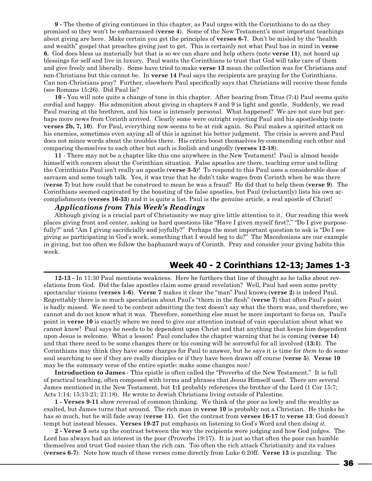**9 -** The theme of giving continues in this chapter, as Paul urges with the Corinthians to do as they promised so they won't be embarrassed (**verse 4**). Some of the New Testament's most important teachings about giving are here. Make certain you get the principles of **verses 6-7**. Don't be misled by the "health and wealth" gospel that preaches giving just to get. This is certainly not what Paul has in mind in **verse 6.** God does bless us materially but that is so we can share and help others (note **verse 11**), not hoard up blessings for self and live in luxury. Paul wants the Corinthians to trust that God will take care of them and give freely and liberally. Some have tried to make **verse 13** mean the collection was for Christians *and* non-Christians but this cannot be. In **verse 14** Paul says the recipients are praying for the Corinthians. Can non-Christians pray? Further, elsewhere Paul specifically says that Christians will receive these funds (see Romans 15:26). Did Paul lie?

**10 -** You will note quite a change of tone in this chapter. After hearing from Titus (7:4) Paul seems quite cordial and happy. His admonition about giving in chapters 8 and 9 is light and gentle. Suddenly, we read Paul roaring at the brethren, and his tone is intensely personal. What happened? We are not sure but perhaps more news from Corinth arrived. Clearly some were outright rejecting Paul and his apostleship (note **verses 2b, 7, 10**). For Paul, everything now seems to be at risk again. So Paul makes a spirited attack on his enemies, sometimes even saying all of this is against his better judgment. The crisis is severe and Paul does not mince words about the troubles there. His critics boost themselves by commending each other and comparing themselves to each other but such is foolish and ungodly (**verses 12-18**).

**11** - There may not be a chapter like this one anywhere in the New Testament! Paul is almost beside himself with concern about the Corinthian situation. False apostles are there, teaching error and telling the Corinthians Paul isn't really an apostle (**verse 3-5**)! To respond to this Paul uses a considerable dose of sarcasm and some tough talk. Yes, it was true that he didn't take wages from Corinth when he was there (**verse 7**) but how could that be construed to mean he was a fraud? He did that to help them (**verse 9**). The Corinthians seemed captivated by the boasting of the false apostles, but Paul (reluctantly) lists his own accomplishments (**verses 16-33**) and it is quite a list. Paul is the genuine article, a real apostle of Christ!

## *Applications from This Week's Readings*

Although giving is a crucial part of Christianity we may give little attention to it. Our reading this week places giving front and center, asking us hard questions like "Have I given myself first?," "Do I give purposefully?" and "Am I giving sacrificially and joyfully?" Perhaps the most important question to ask is "Do I see giving as participating in God's work, something that I would beg to do?" The Macedonians are our example in giving, but too often we follow the haphazard ways of Corinth. Pray and consider your giving habits this week.

## **Week 40 - 2 Corinthians 12-13; James 1-3**

**12-13 -** In 11:30 Paul mentions weakness. Here he furthers that line of thought as he talks about revelations from God. Did the false apostles claim some grand revelation? Well, Paul had seen some pretty spectacular visions (**verses 1-6**). **Verse 7** makes it clear the "man" Paul knows (**verse 2**) is indeed Paul. Regrettably there is so much speculation about Paul's "thorn in the flesh" (**verse 7**) that often Paul's point is badly missed. We need to be content admitting the text doesn't say what the thorn was, and therefore, we cannot and do not know what it was. Therefore, something else must be more important to focus on. Paul's point in **verse 10** is exactly where we need to give our attention instead of vain speculation about what we cannot know! Paul says he needs to be dependent upon Christ and that anything that keeps him dependent upon Jesus is welcome. What a lesson! Paul concludes the chapter warning that he is coming (**verse 14**) and that there need to be some changes there or his coming will be sorrowful for all involved (**13:1**). The Corinthians may think they have some charges for Paul to answer, but he says it is time for *them* to do some soul searching to see if they are really disciples or if they have been drawn off course (**verse 5**). **Verse 10** may be the summary verse of the entire epistle: make some changes *now!*

**Introduction to James** - This epistle is often called the "Proverbs of the New Testament." It is full of practical teaching, often composed with terms and phrases that Jesus Himself used. There are several James mentioned in the New Testament, but **1:1** probably references the brother of the Lord (1 Cor 15:7; Acts 1:14; 15:13-21; 21:18). He wrote to Jewish Christians living outside of Palestine.

**1 - Verses 9-11** show reversal of common thinking. We think of the poor as lowly and the wealthy as exalted, but James turns that around. The rich man in **verse 10** is probably not a Christian. He thinks he has so much, but he will fade away (**verse 11**). Get the contrast from **verses 16-17** to **verse 13**: God doesn't tempt but instead blesses. **Verses 19-27** put emphasis on listening to God's Word and then *doing it.*

**2 - Verse 5** sets up the contrast between the way the recipients were judging and how God judges. The Lord has always had an interest in the poor (Proverbs 19:17). It is just so that often the poor can humble themselves and trust God easier than the rich can. Too often the rich attack Christianity and its values (**verses 6-7**). Note how much of these verses come directly from Luke 6:20ff. **Verse 13** is puzzling. The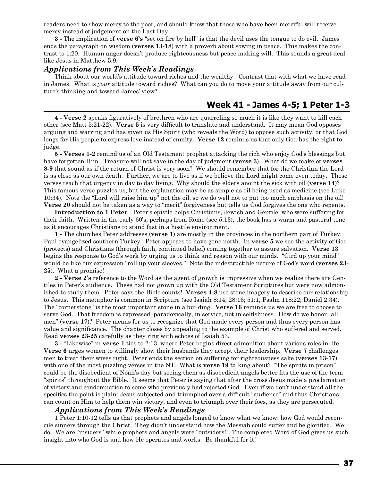readers need to show mercy to the poor, and should know that those who have been merciful will receive mercy instead of judgement on the Last Day.

**3 -** The implication of **verse 6's** "set on fire by hell" is that the devil uses the tongue to do evil. James ends the paragraph on wisdom (**verses 13-18**) with a proverb about sowing in peace. This makes the contrast to 1:20. Human anger doesn't produce righteousness but peace making will. This sounds a great deal like Jesus in Matthew 5:9.

#### *Applications from This Week's Readings*

Think about our world's attitude toward riches and the wealthy. Contrast that with what we have read in James. What is *your* attitude toward riches? What can you do to move your attitude away from our culture's thinking and toward James' view?

## **Week 41 - James 4-5; 1 Peter 1-3**

**4 - Verse 2** speaks figuratively of brethren who are quarreling so much it is like they want to kill each other (see Matt 5:21-22). **Verse 5** is very difficult to translate and understand. It may mean God opposes arguing and warring and has given us His Spirit (who reveals the Word) to oppose such activity, or that God longs for His people to express love instead of enmity. **Verse 12** reminds us that only God has the right to judge.

**5 - Verses 1-2** remind us of an Old Testament prophet attacking the rich who enjoy God's blessings but have forgotten Him. Treasure will not save in the day of judgment (**verse 3**). What do we make of **verses 8-9** that sound as if the return of Christ is very soon? We should remember that for the Christian the Lord is as close as our own death. Further, we are to live as if we believe the Lord might come even today. These verses teach that urgency in day to day living. Why should the elders anoint the sick with oil (**verse 14**)? This famous verse puzzles us, but the explanation may be as simple as oil being used as medicine (see Luke 10:34). Note the "Lord will raise him up" not the oil, so we do well not to put too much emphasis on the oil! **Verse 20** should not be taken as a way to "merit" forgiveness but tells us God forgives the one who repents.

**Introduction to 1 Peter** - Peter's epistle helps Christians, Jewish and Gentile, who were suffering for their faith. Written in the early 60's, perhaps from Rome (see 5:13), the book has a warm and pastoral tone as it encourages Christians to stand fast in a hostile environment.

**1 -** The churches Peter addresses (**verse 1**) are mostly in the provinces in the northern part of Turkey. Paul evangelized southern Turkey. Peter appears to have gone north. In **verse 5** we see the activity of God (protects) and Christians (through faith, continued belief) coming together to assure salvation. **Verse 13** begins the response to God's work by urging us to think and reason with our minds. "Gird up your mind" would be like our expression "roll up your sleeves." Note the indestructible nature of God's word (**verses 23- 25**). What a promise!

**2 - Verse 2's** reference to the Word as the agent of growth is impressive when we realize there are Gentiles in Peter's audience. These had not grown up with the Old Testament Scriptures but were now admonished to study them. Peter says the Bible counts! **Verses 4-8** use stone imagery to describe our relationship to Jesus. This metaphor is common in Scripture (see Isaiah 8:14; 28:16; 51:1, Psalm 118:22; Daniel 2:34). The "cornerstone" is the most important stone in a building. **Verse 16** reminds us we are free to choose to serve God. That freedom is expressed, paradoxically, in service, not in selfishness. How do we honor "all men" (**verse 17**)? Peter means for us to recognize that God made every person and thus every person has value and significance. The chapter closes by appealing to the example of Christ who suffered and served. Read **verses 23-25** carefully as they ring with echoes of Isaiah 53.

**3 -** "Likewise" in **verse 1** ties to 2:13, where Peter begins direct admonition about various roles in life. **Verse 6** urges women to willingly show their husbands they accept their leadership. **Verse 7** challenges men to treat their wives right. Peter ends the section on suffering for righteousness sake (**verses 13-17**) with one of the most puzzling verses in the NT. What *is* verse 19 talking about? "The spirits in prison" could be the disobedient of Noah's day but seeing them as disobedient angels better fits the use of the term "spirits" throughout the Bible. It seems that Peter is saying that after the cross Jesus made a proclamation of victory and condemnation to some who previously had rejected God. Even if we don't understand all the specifics the point is plain: Jesus subjected and triumphed over a difficult "audience" and thus Christians can count on Him to help them win victory, and even to triumph over their foes, as they are persecuted.

#### *Applications from This Week's Readings*

1 Peter 1:10-12 tells us that prophets and angels longed to know what we know: how God would reconcile sinners through the Christ. They didn't understand how the Messiah could suffer and be glorified. We do. We are "insiders" while prophets and angels were "outsiders!" The completed Word of God gives us such insight into who God is and how He operates and works. Be thankful for it!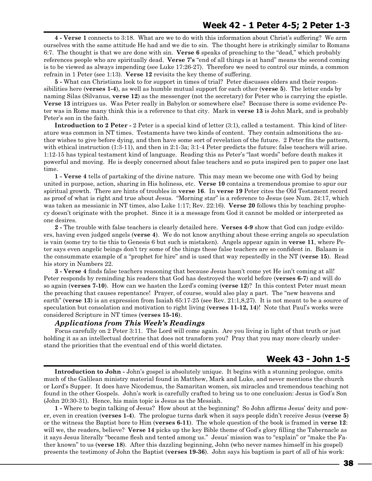**4 - Verse 1** connects to 3:18. What are we to do with this information about Christ's suffering? We arm ourselves with the same attitude He had and we die to sin. The thought here is strikingly similar to Romans 6:7. The thought is that we are done with sin. **Verse 6** speaks of preaching to the "dead," which probably references people who are spiritually dead. **Verse 7's** "end of all things is at hand" means the second coming is to be viewed as always impending (see Luke 17:26-27). Therefore we need to control our minds, a common refrain in 1 Peter (see 1:13). **Verse 12** revisits the key theme of suffering.

**5 -** What can Christians look to for support in times of trial? Peter discusses elders and their responsibilities here (**verses 1-4**), as well as humble mutual support for each other (**verse 5**). The letter ends by naming Silas (Silvanus, **verse 12**) as the messenger (not the secretary) for Peter who is carrying the epistle. **Verse 13** intrigues us. Was Peter really in Babylon or somewhere else? Because there is some evidence Peter was in Rome many think this is a reference to that city. Mark in **verse 13** is John Mark, and is probably Peter's son in the faith.

**Introduction to 2 Peter -** 2 Peter is a special kind of letter (3:1), called a testament. This kind of literature was common in NT times. Testaments have two kinds of content. They contain admonitions the author wishes to give before dying, and then have some sort of revelation of the future. 2 Peter fits the pattern, with ethical instruction (1:3-11), and then in 2:1-3a; 3:1-4 Peter predicts the future: false teachers will arise. 1:12-15 has typical testament kind of language. Reading this as Peter's "last words" before death makes it powerful and moving. He is deeply concerned about false teachers and so puts inspired pen to paper one last time.

**1 - Verse 4** tells of partaking of the divine nature. This may mean we become one with God by being united in purpose, action, sharing in His holiness, etc. **Verse 10** contains a tremendous promise to spur our spiritual growth. There are hints of troubles in **verse 16**. In **verse 19** Peter cites the Old Testament record as proof of what is right and true about Jesus. "Morning star" is a reference to Jesus (see Num. 24:17, which was taken as messianic in NT times, also Luke 1:17; Rev. 22:16). **Verse 20** follows this by teaching prophecy doesn't originate with the prophet. Since it is a message from God it cannot be molded or interpreted as one desires.

**2 -** The trouble with false teachers is clearly detailed here. **Verses 4-9** show that God can judge evildoers, having even judged angels (**verse 4**). We do not know anything about these erring angels so speculation is vain (some try to tie this to Genesis 6 but such is mistaken). Angels appear again in **verse 11**, where Peter says even angelic beings don't try some of the things these false teachers are so confident in. Balaam is the consummate example of a "prophet for hire" and is used that way repeatedly in the NT (**verse 15**). Read his story in Numbers 22.

**3 - Verse 4** finds false teachers reasoning that because Jesus hasn't come yet He isn't coming at all! Peter responds by reminding his readers that God has destroyed the world before (**verses 6-7**) and will do so again (**verses 7-10**). How can we hasten the Lord's coming (**verse 12**)? In this context Peter must mean the preaching that causes repentance! Prayer, of course, would also play a part. The "new heavens and earth" (**verse 13**) is an expression from Isaiah 65:17-25 (see Rev. 21:1,8,27). It is not meant to be a source of speculation but consolation and motivation to right living (**verses 11-12, 14**)! Note that Paul's works were considered Scripture in NT times (**verses 15-16**).

## *Applications from This Week's Readings*

Focus carefully on 2 Peter 3:11. The Lord will come again. Are you living in light of that truth or just holding it as an intellectual doctrine that does not transform you? Pray that you may more clearly understand the priorities that the eventual end of this world dictates.

## **Week 43 - John 1-5**

**Introduction to John -** John's gospel is absolutely unique. It begins with a stunning prologue, omits much of the Galilean ministry material found in Matthew, Mark and Luke, and never mentions the church or Lord's Supper. It does have Nicodemus, the Samaritan women, six miracles and tremendous teaching not found in the other Gospels. John's work is carefully crafted to bring us to one conclusion: Jesus is God's Son (John 20:30-31). Hence, his main topic is Jesus as the Messiah.

**1 -** Where to begin talking of Jesus? How about at the beginning? So John affirms Jesus' deity and power, even in creation (**verses 1-4**). The prologue turns dark when it says people didn't receive Jesus (**verse 5**) or the witness the Baptist bore to Him (**verses 6-11**). The whole question of the book is framed in **verse 12**: will we, the readers, believe? **Verse 14** picks up the key Bible theme of God's glory filling the Tabernacle as it says Jesus literally "became flesh and tented among us." Jesus' mission was to "explain" or "make the Father known" to us (**verse 18**). After this dazzling beginning, John (who never names himself in his gospel) presents the testimony of John the Baptist (**verses 19-36**). John says his baptism is part of all of his work: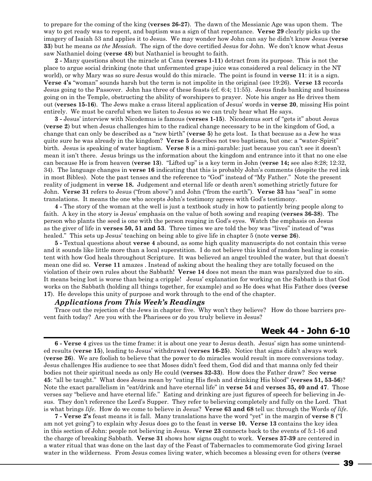to prepare for the coming of the king (**verses 26-27**). The dawn of the Messianic Age was upon them. The way to get ready was to repent, and baptism was a sign of that repentance. **Verse 29** clearly picks up the imagery of Isaiah 53 and applies it to Jesus. We may wonder how John can say he didn't know Jesus (**verse 33**) but he means *as the Messiah.* The sign of the dove certified Jesus for John. We don't know what Jesus saw Nathaniel doing (**verse 48**) but Nathaniel is brought to faith.

**2 -** Many questions about the miracle at Cana (**verses 1-11**) detract from its purpose. This is not the place to argue social drinking (note that unfermented grape juice was considered a real delicacy in the NT world), or why Mary was so sure Jesus would do this miracle. The point is found in **verse 11**: it is a sign. **Verse 4's** "woman" sounds harsh but the term is not impolite in the original (see 19:26). **Verse 13** records Jesus going to the Passover. John has three of these feasts (cf. 6:4; 11:55). Jesus finds banking and business going on in the Temple, obstructing the ability of worshipers to prayer. Note his anger as He drives them out (**verses 15-16**). The Jews make a crass literal application of Jesus' words in **verse 20**, missing His point entirely. We must be careful when we listen to Jesus so we can truly hear what He says.

**3 -** Jesus' interview with Nicodemus is famous (**verses 1-15**). Nicodemus sort of "gets it" about Jesus (**verse 2**) but when Jesus challenges him to the radical change necessary to be in the kingdom of God, a change that can only be described as a "new birth" (**verse 5**) he gets lost. Is that because as a Jew he was quite sure he was already in the kingdom? **Verse 5** describes not two baptisms, but one: a "water-Spirit" birth. Jesus is speaking of water baptism. **Verse 8** is a mini-parable: just because you can't see it doesn't mean it isn't there. Jesus brings us the information about the kingdom and entrance into it that no one else can because He is from heaven (**verse 13**). "Lifted up" is a key term in John (**verse 14;** see also 8:28; 12:32, 34). The language changes in **verse 16** indicating that this is probably John's comments (despite the red ink in most Bibles). Note the past tenses and the reference to "God" instead of "My Father." Note the present reality of judgment in **verse 18.** Judgement and eternal life or death aren't something strictly future for John. **Verse 31** refers to Jesus ("from above") and John ("from the earth"). **Verse 33** has "seal" in some translations. It means the one who accepts John's testimony agrees with God's testimony.

**4 -** The story of the woman at the well is just a textbook study in how to patiently bring people along to faith. A key in the story is Jesus' emphasis on the value of both sowing and reaping (**verses 36-38**). The person who plants the seed is one with the person reaping in God's eyes. Watch the emphasis on Jesus as the giver of life in **verses 50, 51 and 53**. Three times we are told the boy was "lives" instead of "was healed." This sets up Jesus' teaching on being able to give life in chapter 5 (note **verse 26**).

**5 -** Textual questions about **verse 4** abound, as some high quality manuscripts do not contain this verse and it sounds like little more than a local superstition. I do not believe this kind of random healing is consistent with how God heals throughout Scripture. It was believed an angel troubled the water, but that doesn't mean one did so. **Verse 11** amazes . Instead of asking about the healing they are totally focused on the violation of their own rules about the Sabbath! **Verse 14** does not mean the man was paralyzed due to sin. It means being lost is worse than being a cripple! Jesus' explanation for working on the Sabbath is that God works on the Sabbath (holding all things together, for example) and so He does what His Father does (**verse 17**). He develops this unity of purpose and work through to the end of the chapter.

#### *Applications from This Week's Readings*

Trace out the rejection of the Jews in chapter five. Why won't they believe? How do those barriers prevent faith today? Are you with the Pharisees or do you truly believe in Jesus?

## **Week 44 - John 6-10**

**6 - Verse 4** gives us the time frame: it is about one year to Jesus death. Jesus' sign has some unintended results (**verse 15**), leading to Jesus' withdrawal (**verses 16-25**). Notice that signs didn't always work (**verse 26**). We are foolish to believe that the power to do miracles would result in more conversions today. Jesus challenges His audience to see that Moses didn't feed them, God did and that manna only fed their bodies not their spiritual needs as only He could (**verses 32-33**). How does the Father draw? See **verse 45**: "all be taught." What does Jesus mean by "eating His flesh and drinking His blood" (**verses 51, 53-56**)? Note the exact parallelism in "eat/drink and have eternal life" in **verse 54** and **verses 35, 40 and 47**. Those verses say "believe and have eternal life." Eating and drinking are just figures of speech for believing in Jesus. They don't reference the Lord's Supper. They refer to believing completely and fully on the Lord. That is what brings *life*. How do we come to believe in Jesus? **Verse 63 and 68** tell us: through the Words *of life*.

**7 - Verse 2's** feast means it is fall. Many translations have the word "yet" in the margin of **verse 8** ("I am not yet going") to explain why Jesus does go to the feast in **verse 10. Verse 13** contains the key idea in this section of John: people not believing in Jesus. **Verse 23** connects back to the events of 5:1-16 and the charge of breaking Sabbath. **Verse 31** shows how signs ought to work. **Verses 37-39** are centered in a water ritual that was done on the last day of the Feast of Tabernacles to commemorate God giving Israel water in the wilderness. From Jesus comes living water, which becomes a blessing even for others (**verse**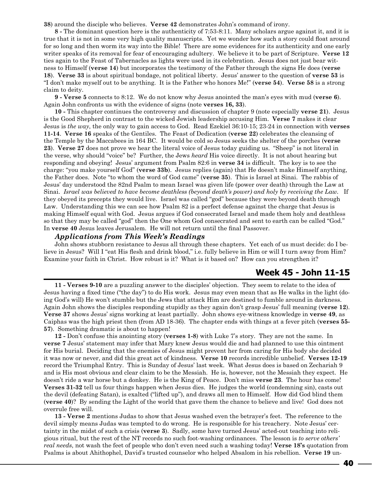**38**) around the disciple who believes. **Verse 42** demonstrates John's command of irony.

**8 -** The dominant question here is the authenticity of 7:53-8:11. Many scholars argue against it, and it is true that it is not in some very high quality manuscripts. Yet we wonder how such a story could float around for so long and then worm its way into the Bible! There are some evidences for its authenticity and one early writer speaks of its removal for fear of encouraging adultery. We believe it to be part of Scripture. **Verse 12** ties again to the Feast of Tabernacles as lights were used in its celebration. Jesus does not just bear witness to Himself (**verse 14**) but incorporates the testimony of the Father through the signs He does (**verse 18**). **Verse 33** is about spiritual bondage, not political liberty. Jesus' answer to the question of **verse 53** is "I don't make myself out to be anything. It is the Father who honors Me!" (**verse 54**). **Verse 58** is a strong claim to deity.

**9 - Verse 5** connects to 8:12. We do not know why Jesus anointed the man's eyes with mud (**verse 6**). Again John confronts us with the evidence of signs (note **verses 16, 33**).

**10 -** This chapter continues the controversy and discussion of chapter 9 (note especially **verse 21**). Jesus is the Good Shepherd in contrast to the wicked Jewish leadership accusing Him. **Verse 7** makes it clear Jesus is *the way*, the only way to gain access to God. Read Ezekiel 36:10-15; 23-24 in connection with **verses 11-14**. **Verse 16** speaks of the Gentiles. The Feast of Dedication (**verse 22**) celebrates the cleansing of the Temple by the Maccabees in 164 BC. It would be cold so Jesus seeks the shelter of the porches (**verse 23**). **Verse 27** does not prove we hear the literal voice of Jesus today guiding us. "Sheep" is not literal in the verse, why should "voice" be? Further, the Jews *heard* His voice directly. It is not about hearing but responding and obeying! Jesus' argument from Psalm 82:6 in **verse 34** is difficult. The key is to see the charge: "you make yourself God" (**verse 33b**). Jesus replies (again) that He doesn't make Himself anything, the Father does. Note "to whom the word of God came" (**verse 35**). This is Israel at Sinai. The rabbis of Jesus' day understood the 82nd Psalm to mean Israel was given life (power over death) through the Law at Sinai. *Israel was believed to have become deathless (beyond death's power) and holy by receiving the Law.* If they obeyed its precepts they would live. Israel was called "god" because they were beyond death through Law. Understanding this we can see how Psalm 82 is a perfect defense against the charge that Jesus is making Himself equal with God. Jesus argues if God consecrated Israel and made them holy and deathless so that they may be called "god" then the One whom God consecrated and sent to earth can be called "God." In **verse 40** Jesus leaves Jerusalem. He will not return until the final Passover.

#### *Applications from This Week's Readings*

John shows stubborn resistance to Jesus all through these chapters. Yet each of us must decide: do I believe in Jesus? Will I "eat His flesh and drink blood," i.e. fully believe in Him or will I turn away from Him? Examine your faith in Christ. How robust is it? What is it based on? How can you strengthen it?

## **Week 45 - John 11-15**

**11 - Verses 9-10** are a puzzling answer to the disciples' objection. They seem to relate to the idea of Jesus having a fixed time ("the day") to do His work. Jesus may even mean that as He walks in the light (doing God's will) He won't stumble but the Jews that attack Him are destined to fumble around in darkness. Again John shows the disciples responding stupidly as they again don't grasp Jesus' full meaning (**verse 12**). **Verse 37** shows Jesus' signs working at least partially. John shows eye-witness knowledge in **verse 49**, as Caiphas was the high priest then (from AD 18-36). The chapter ends with things at a fever pitch (**verses 55- 57**). Something dramatic is about to happen!

**12 -** Don't confuse this anointing story (**verses 1-8**) with Luke 7's story. They are not the same. In **verse 7** Jesus' statement may infer that Mary knew Jesus would die and had planned to use this ointment for His burial. Deciding that the enemies of Jesus might prevent her from caring for His body she decided it was now or never, and did this great act of kindness. **Verse 10** records incredible unbelief. **Verses 12-19** record the Triumphal Entry. This is Sunday of Jesus' last week. What Jesus does is based on Zechariah 9 and is His most obvious and clear claim to be the Messiah. He is, however, not the Messiah they expect. He doesn't ride a war horse but a donkey. He is the King of Peace. Don't miss **verse 23**. The hour has come! **Verses 31-32** tell us four things happen when Jesus dies. He judges the world (condemning sin), casts out the devil (defeating Satan), is exalted ("lifted up"), and draws all men to Himself. How did God blind them (**verse 40**)? By sending the Light of the world that gave them the chance to believe and live! God does not overrule free will.

**13 - Verse 2** mentions Judas to show that Jesus washed even the betrayer's feet. The reference to the devil simply means Judas was tempted to do wrong. He is responsible for his treachery. Note Jesus' certainty in the midst of such a crisis (**verse 3**). Sadly, some have turned Jesus' acted-out teaching into religious ritual, but the rest of the NT records no such foot-washing ordinances. The lesson is *to serve others' real needs*, not wash the feet of people who don't even need such a washing today! **Verse 18's** quotation from Psalms is about Ahithophel, David's trusted counselor who helped Absalom in his rebellion. **Verse 19** un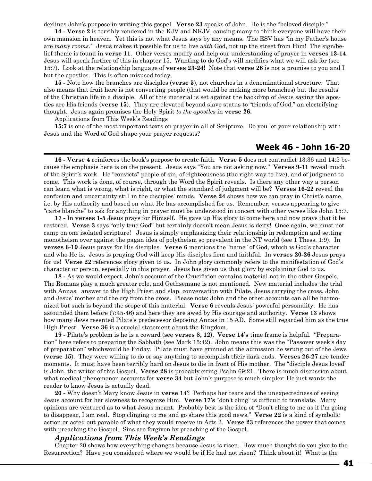derlines John's purpose in writing this gospel. **Verse 23** speaks of John. He is the "beloved disciple."

**14 - Verse 2** is terribly rendered in the KJV and NKJV, causing many to think everyone will have their own mansion in heaven. Yet this is not what Jesus says by any means. The ESV has "in my Father's house are *many rooms."* Jesus makes it possible for us to live *with* God, not up the street from Him! The sign/belief theme is found in **verse 11**. Other verses modify and help our understanding of prayer in **verses 13-14**. Jesus will speak further of this in chapter 15. Wanting to do God's will modifies what we will ask for (see 15:7). Look at the relationship language of **verses 23-24!** Note that **verse 26** is not a promise to you and I but the apostles. This is often misused today.

**15 -** Note how the branches are disciples (**verse 5**), not churches in a denominational structure. That also means that fruit here is not converting people (that would be making more branches) but the results of the Christian life in a disciple. All of this material is set against the backdrop of Jesus saying the apostles are His friends (**verse 15**). They are elevated beyond slave status to "friends of God," an electrifying thought. Jesus again promises the Holy Spirit *to the apostles* in **verse 26.**

Applications from This Week's Readings

**15:7** is one of the most important texts on prayer in all of Scripture. Do you let your relationship with Jesus and the Word of God shape your prayer requests?

## **Week 46 - John 16-20**

**16 - Verse 4** reinforces the book's purpose to create faith. **Verse 5** does not contradict 13:36 and 14:5 because the emphasis here is on the present. Jesus says "You are not asking now." **Verses 9-11** reveal much of the Spirit's work. He "convicts" people of sin, of righteousness (the right way to live), and of judgment to come. This work is done, of course, through the Word the Spirit reveals.Is there any other way a person can learn what is wrong, what is right, or what the standard of judgment will be? **Verses 16-22** reveal the confusion and uncertainty still in the disciples' minds. **Verse 24** shows how we can pray in Christ's name, i.e. by His authority and based on what He has accomplished for us. Remember, verses appearing to give "carte blanche" to ask for anything in prayer must be understood in concert with other verses like John 15:7.

**17 -** In **verses 1-5** Jesus prays for Himself. He gave up His glory to come here and now prays that it be restored. **Verse 3** says "only true God" but certainly doesn't mean Jesus is deity! Once again, we must not camp on one isolated scripture! Jesus is simply emphasizing their relationship in redemption and setting monotheism over against the pagan idea of polytheism so prevalent in the NT world (see 1 Thess. 1:9). In **verses 6-19** Jesus prays for His disciples. **Verse 6** mentions the "name" of God, which is God's character and who He is. Jesus is praying God will keep His disciples firm and faithful. In **verses 20-26** Jesus prays for us! **Verse 22** references glory given to us. In John glory commonly refers to the manifestation of God's character or person, especially in this prayer. Jesus has given us that glory by explaining God to us.

**18 -** As we would expect, John's account of the Crucifixion contains material not in the other Gospels. The Romans play a much greater role, and Gethsemane is not mentioned. New material includes the trial with Annas, answer to the High Priest and slap, conversation with Pilate, Jesus carrying the cross, John and Jesus' mother and the cry from the cross. Please note: John and the other accounts can all be harmonized but such is beyond the scope of this material. **Verse 6** reveals Jesus' powerful personality. He has astounded them before (7:45-46) and here they are awed by His courage and authority. **Verse 13** shows how many Jews resented Pilate's predecessor deposing Annas in 15 AD. Some still regarded him as the true High Priest. **Verse 36** is a crucial statement about the Kingdom.

**19 -** Pilate's problem is he is a coward (see **verses 8, 12**). **Verse 14's** time frame is helpful. "Preparation" here refers to preparing the Sabbath (see Mark 15:42). John means this was the "Passover week's day of preparation" whichwould be Friday. Pilate must have grinned at the admission he wrung out of the Jews (**verse 15**). They were willing to do or say anything to accomplish their dark ends. **Verses 26-27** are tender moments. It must have been terribly hard on Jesus to die in front of His mother. The "disciple Jesus loved" is John, the writer of this Gospel. **Verse 28** is probably citing Psalm 69:21. There is much discussion about what medical phenomenon accounts for **verse 34** but John's purpose is much simpler: He just wants the reader to know Jesus is actually dead.

**20 -** Why doesn't Mary know Jesus in **verse 14**? Perhaps her tears and the unexpectedness of seeing Jesus account for her slowness to recognize Him. **Verse 17's** "don't cling" is difficult to translate. Many opinions are ventured as to what Jesus meant. Probably best is the idea of "Don't cling to me as if I'm going to disappear, I am real. Stop clinging to me and go share this good news." **Verse 22** is a kind of symbolic action or acted out parable of what they would receive in Acts 2. **Verse 23** references the power that comes with preaching the Gospel. Sins are forgiven by preaching of the Gospel.

#### *Applications from This Week's Readings*

Chapter 20 shows how everything changes because Jesus is risen. How much thought do you give to the Resurrection? Have you considered where we would be if He had not risen? Think about it! What is the

41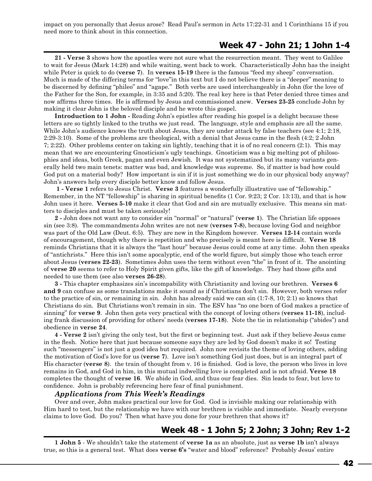impact on you personally that Jesus arose? Read Paul's sermon in Acts 17:22-31 and 1 Corinthians 15 if you need more to think about in this connection.

## **Week 47 - John 21; 1 John 1-4**

**21 - Verse 3** shows how the apostles were not sure what the resurrection meant. They went to Galilee to wait for Jesus (Mark 14:28) and while waiting, went back to work. Characteristically John has the insight while Peter is quick to do (**verse 7**). In **verses 15-19** there is the famous "feed my sheep" conversation. Much is made of the differing terms for "love"in this text but I do not believe there is a "deeper" meaning to be discerned by defining "phileo" and "agape." Both verbs are used interchangeably in John (for the love of the Father for the Son, for example, in 3:35 and 5:20). The real key here is that Peter denied three times and now affirms three times. He is affirmed by Jesus and commissioned anew. **Verses 23-25** conclude John by making it clear John is the beloved disciple and he wrote this gospel.

**Introduction to 1 John -** Reading John's epistles after reading his gospel is a delight because these letters are so tightly linked to the truths we just read. The language, style and emphasis are all the same. While John's audience knows the truth about Jesus, they are under attack by false teachers (see 4:1; 2:18, 2:29-3:10). Some of the problems are theological, with a denial that Jesus came in the flesh (4:2; 2 John 7; 2:22). Other problems center on taking sin lightly, teaching that it is of no real concern (2:1). This may mean that we are encountering Gnosticism's ugly teachings. Gnosticism was a big melting pot of philosophies and ideas, both Greek, pagan and even Jewish. It was not systematized but its many variants generally held two main tenets: matter was bad, and knowledge was supreme. So, if matter is bad how could God put on a material body? How important is sin if it is just something we do in our physical body anyway? John's answers help every disciple better know and follow Jesus.

 **1 - Verse 1** refers to Jesus Christ. **Verse 3** features a wonderfully illustrative use of "fellowship." Remember, in the NT "fellowship" is sharing in spiritual benefits (1 Cor. 9:23; 2 Cor. 13:13), and that is how John uses it here. **Verses 5-10** make it clear that God and sin are mutually exclusive. This means sin matters to disciples and must be taken seriously!

**2 -** John does not want any to consider sin "normal" or "natural" (**verse 1**). The Christian life opposes sin (see 3:8). The commandments John writes are not new (**verses 7-8**), because loving God and neighbor was part of the Old Law (Deut. 6:5). They are new in the Kingdom however. **Verses 12-14** contain words of encouragement, though why there is repetition and who precisely is meant here is difficult. **Verse 18** reminds Christians that it is always the "last hour" because Jesus could come at any time. John then speaks of "antichrists." Here this isn't some apocalyptic, end of the world figure, but simply those who teach error about Jesus (**verses 22-23**). Sometimes John uses the term without even "the" in front of it. The anointing of **verse 20** seems to refer to Holy Spirit given gifts, like the gift of knowledge. They had those gifts and needed to use them (see also **verses 26-28**).

**3 -** This chapter emphasizes sin's incompability with Christianity and loving our brethren. **Verses 6 and 9** can confuse as some translations make it sound as if Christians don't sin. However, both verses refer to the practice of sin, or remaining in sin. John has already said we can sin (1:7-8, 10; 2:1) so knows that Christians do sin. But Christians won't remain in sin. The ESV has "no one born of God makes a practice of sinning" for **verse 9**. John then gets very practical with the concept of loving others (**verses 11-18**), including frank discussion of providing for others' needs (**verses 17-18**). Note the tie in relationship ("abides") and obedience in **verse 24**.

**4 - Verse 2** isn't giving the only test, but the first or beginning test. Just ask if they believe Jesus came in the flesh. Notice here that just because someone says they are led by God doesn't make it so! Testing such "messengers" is not just a good idea but required. John now revisits the theme of loving others, adding the motivation of God's love for us (**verse 7**). Love isn't something God just does, but is an integral part of His character (**verse 8**). the train of thought from v. 16 is finished. God is love, the person who lives in love remains in God, and God in him, in this mutual indwelling love is completed and is not afraid. **Verse 18** completes the thought of **verse 16**. We abide in God, and thus our fear dies. Sin leads to fear, but love to confidence. John is probably referencing here fear of final punishment.

#### *Applications from This Week's Readings*

Over and over, John makes practical our love for God. God is invisible making our relationship with Him hard to test, but the relationship we have with our brethren is visible and immediate. Nearly everyone claims to love God. Do you? Then what have you done for your brethren that shows it?

## **Week 48 - 1 John 5; 2 John; 3 John; Rev 1-2**

**1 John 5** - We shouldn't take the statement of **verse 1a** as an absolute, just as **verse 1b** isn't always true, so this is a general test. What does **verse 6's** "water and blood" reference? Probably Jesus' entire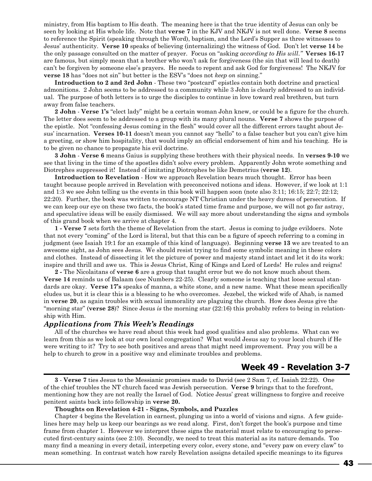ministry, from His baptism to His death. The meaning here is that the true identity of Jesus can only be seen by looking at His whole life. Note that **verse 7** in the KJV and NKJV is not well done. **Verse 8** seems to reference the Spirit (speaking through the Word), baptism, and the Lord's Supper as three witnesses to Jesus' authenticity. **Verse 10** speaks of believing (internalizing) the witness of God. Don't let **verse 14** be the only passage consulted on the matter of prayer. Focus on "asking *according to His will*.*"* **Verses 16-17** are famous, but simply mean that a brother who won't ask for forgiveness (the sin that will lead to death) can't be forgiven by someone else's prayers. He needs to repent and ask God for forgiveness! The NKJV for **verse 18** has "does not sin" but better is the ESV's "does not *keep on* sinning."

**Introduction to 2 and 3rd John** - These two "postcard" epistles contain both doctrine and practical admonitions. 2 John seems to be addressed to a community while 3 John is clearly addressed to an individual. The purpose of both letters is to urge the disciples to continue in love toward real brethren, but turn away from false teachers.

**2 John** - **Verse 1's** "elect lady" might be a certain woman John knew, or could be a figure for the church. The letter does seem to be addressed to a group with its many plural nouns. **Verse 7** shows the purpose of the epistle. Not "confessing Jesus coming in the flesh" would cover all the different errors taught about Jesus' incarnation. **Verses 10-11** doesn't mean you cannot say "hello" to a false teacher but you can't give him a greeting, or show him hospitality, that would imply an official endorsement of him and his teaching. He is to be given no chance to propagate his evil doctrine.

**3 John** - **Verse 6** means Gaius is supplying these brothers with their physical needs. In **verses 9-10** we see that living in the time of the apostles didn't solve every problem. Apparently John wrote something and Diotrephes suppressed it! Instead of imitating Diotrophes be like Demetrius (**verse 12**).

**Introduction to Revelation** - How we approach Revelation bears much thought. Error has been taught because people arrived in Revelation with preconceived notions and ideas. However, if we look at 1:1 and 1:3 we see John telling us the events in this book will happen soon (note also 3:11; 16:15; 22:7; 22:12; 22:20). Further, the book was written to encourage NT Christian under the heavy duress of persecution. If we can keep our eye on these two facts, the book's stated time frame and purpose, we will not go far astray, and speculative ideas will be easily dismissed. We will say more about understanding the signs and symbols of this grand book when we arrive at chapter 4.

**1 - Verse 7** sets forth the theme of Revelation from the start. Jesus is coming to judge evildoers. Note that not every "coming" of the Lord is literal, but that this can be a figure of speech referring to a coming in judgment (see Isaiah 19:1 for an example of this kind of language). Beginning **verse 13** we are treated to an awesome sight, as John sees Jesus. We should resist trying to find some symbolic meaning in these colors and clothes. Instead of dissecting it let the picture of power and majesty stand intact and let it do its work: inspire and thrill and awe us. This is Jesus Christ, King of Kings and Lord of Lords! He rules and reigns!

**2 -** The Nicolaitans of **verse 6** are a group that taught error but we do not know much about them. **Verse 14** reminds us of Balaam (see Numbers 22-25). Clearly someone is teaching that loose sexual standards are okay. **Verse 17's** speaks of manna, a white stone, and a new name. What these mean specifically eludes us, but it is clear this is a blessing to he who overcomes. Jezebel, the wicked wife of Ahab, is named in **verse 20**, as again troubles with sexual immorality are plaguing the church. How does Jesus give the "morning star" (**verse 28**)? Since Jesus *is* the morning star (22:16) this probably refers to being in relationship with Him.

## *Applications from This Week's Readings*

All of the churches we have read about this week had good qualities and also problems. What can we learn from this as we look at our own local congregation? What would Jesus say to your local church if He were writing to it? Try to see both positives and areas that might need improvement. Pray you will be a help to church to grow in a positive way and eliminate troubles and problems.

## **Week 49 - Revelation 3-7**

**3** - **Verse 7** ties Jesus to the Messianic promises made to David (see 2 Sam 7, cf. Isaiah 22:22). One of the chief troubles the NT church faced was Jewish persecution. **Verse 9** brings that to the forefront, mentioning how they are not really the Israel of God. Notice Jesus' great willingness to forgive and receive penitent saints back into fellowship in **verse 20.**

#### **Thoughts on Revelation 4-21 - Signs, Symbols, and Puzzles**

Chapter 4 begins the Revelation in earnest, plunging us into a world of visions and signs. A few guidelines here may help us keep our bearings as we read along. First, don't forget the book's purpose and time frame from chapter 1. However we interpret these signs the material must relate to encouraging to persecuted first-century saints (see 2:10). Secondly, we need to treat this material as its nature demands. Too many find a meaning in every detail, interpeting every color, every stone, and "every paw on every claw" to mean something. In contrast watch how rarely Revelation assigns detailed specific meanings to its figures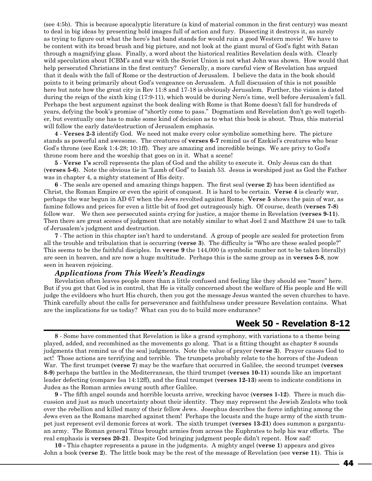(see 4:5b). This is because apocalyptic literature (a kind of material common in the first century) was meant to deal in big ideas by presenting bold images full of action and fury. Dissecting it destroys it, as surely as trying to figure out what the hero's hat band stands for would ruin a good Western movie! We have to be content with its broad brush and big picture, and not look at the giant mural of God's fight with Satan through a magnifying glass. Finally, a word about the historical realities Revelation deals with. Clearly wild speculation about ICBM's and war with the Soviet Union is not what John was shown. How would that help persecuted Christians in the first century? Generally, a more careful view of Revelation has argued that it deals with the fall of Rome or the destruction of Jerusalem. I believe the data in the book should points to it being primarily about God's vengeance on Jerusalem. A full discussion of this is not possible here but note how the great city in Rev 11:8 and 17-18 is obviously Jerusalem. Further, the vision is dated during the reign of the sixth king (17:9-11), which would be during Nero's time, well before Jerusalem's fall. Perhaps the best argument against the book dealing with Rome is that Rome doesn't fall for hundreds of years, defying the book's promise of "shortly come to pass." Dogmatism and Revelation don't go well together, but eventually one has to make some kind of decision as to what this book is about. Thus, this material will follow the early date/destruction of Jerusalem emphasis.

**4** - **Verses 2-3** identify God. We need not make every color symbolize something here. The picture stands as powerful and awesome. The creatures of **verses 6-7** remind us of Ezekiel's creatures who bear God's throne (see Ezek 1:4-28; 10:1ff). They are amazing and incredible beings. We are privy to God's throne room here and the worship that goes on in it. What a scene!

**5** - **Verse 1's** scroll represents the plan of God and the ability to execute it. Only Jesus can do that (**verses 5-6**). Note the obvious tie in "Lamb of God" to Isaiah 53. Jesus is worshiped just as God the Father was in chapter 4, a mighty statement of His deity.

**6** - The seals are opened and amazing things happen. The first seal (**verse 2**) has been identified as Christ, the Roman Empire or even the spirit of conquest. It is hard to be certain. **Verse 4** is clearly war, perhaps the war begun in AD 67 when the Jews revolted against Rome. **Verse 5** shows the pain of war, as famine follows and prices for even a little bit of food get outrageously high. Of course, death (**verses 7-8**) follow war. We then see persecuted saints crying for justice, a major theme in Revelation (**verses 9-11**). Then there are great scenes of judgment that are notably similar to what Joel 2 and Matthew 24 use to talk of Jerusalem's judgment and destruction.

**7** - The action in this chapter isn't hard to understand. A group of people are sealed for protection from all the trouble and tribulation that is occurring (**verse 3**). The difficulty is "Who are these sealed people?" This seems to be the faithful disciples. In **verse 9** the 144,000 (a symbolic number not to be taken literally) are seen in heaven, and are now a huge multitude. Perhaps this is the same group as in **verses 5-8**, now seen in heaven rejoicing.

#### *Applications from This Week's Readings*

Revelation often leaves people more than a little confused and feeling like they should see "more" here. But if you got that God is in control, that He is vitally concerned about the welfare of His people and He will judge the evildoers who hurt His church, then you got the message Jesus wanted the seven churches to have. Think carefully about the calls for perseverance and faithfulness under pressure Revelation contains. What are the implications for us today? What can you do to build more endurance?

## **Week 50 - Revelation 8-12**

**8** - Some have commented that Revelation is like a grand symphony, with variations to a theme being played, added, and recombined as the movements go along. That is a fitting thought as chapter 8 sounds judgments that remind us of the seal judgments. Note the value of prayer (**verse 3**). Prayer causes God to act! Those actions are terrifying and terrible. The trumpets probably relate to the horrors of the Judean War. The first trumpet (**verse 7**) may be the warfare that occurred in Galilee, the second trumpet (**verses 8-9**) perhaps the battles in the Mediterranean, the third trumpet (**verses 10-11**) sounds like an important leader defecting (compare Isa 14:12ff), and the final trumpet (**verses 12-13**) seem to indicate conditions in Judea as the Roman armies swung south after Galilee.

**9 -** The fifth angel sounds and horrible locusts arrive, wrecking havoc (**verses 1-12**). There is much discussion and just as much uncertainty about their identity. They may represent the Jewish Zealots who took over the rebellion and killed many of their fellow Jews. Josephus describes the fierce infighting among the Jews even as the Romans marched against them! Perhaps the locusts and the huge army of the sixth trumpet just represent evil demonic forces at work. The sixth trumpet (**verses 13-21**) does summon a gargantuan army. The Roman general Titus brought armies from across the Euphrates to help his war efforts. The real emphasis is **verses 20-21**. Despite God bringing judgment people didn't repent. How sad!

**10 -** This chapter represents a pause in the judgments. A mighty angel (**verse 1**) appears and gives John a book (**verse 2**). The little book may be the rest of the message of Revelation (see **verse 11**). This is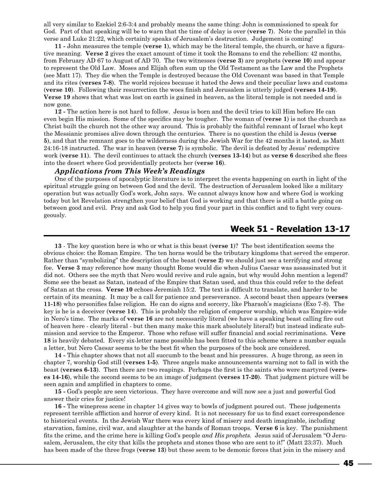all very similar to Ezekiel 2:6-3:4 and probably means the same thing: John is commissioned to speak for God. Part of that speaking will be to warn that the time of delay is over (**verse 7**). Note the parallel in this verse and Luke 21:22, which certainly speaks of Jerusalem's destruction. Judgement is coming!

**11 -** John measures the temple (**verse 1**), which may be the literal temple, the church, or have a figurative meaning. **Verse 2** gives the exact amount of time it took the Romans to end the rebellion: 42 months, from February AD 67 to August of AD 70. The two witnesses (**verse 3**) are prophets (**verse 10**) and appear to represent the Old Law. Moses and Elijah often sum up the Old Testament as the Law and the Prophets (see Matt 17). They die when the Temple is destroyed because the Old Covenant was based in that Temple and its rites (**verses 7-8**). The world rejoices because it hated the Jews and their peculiar laws and customs (**verse 10**). Following their resurrection the woes finish and Jerusalem is utterly judged (**verses 14-19**). **Verse 19** shows that what was lost on earth is gained in heaven, as the literal temple is not needed and is now gone.

**12 -** The action here is not hard to follow. Jesus is born and the devil tries to kill Him before He can even begin His mission. Some of the specifics may be tougher. The woman of (**verse 1**) is not the church as Christ built the church not the other way around. This is probably the faithful remnant of Israel who kept the Messianic promises alive down through the centuries. There is no question the child is Jesus (**verse 5**), and that the remnant goes to the wilderness during the Jewish War for the 42 months it lasted, as Matt 24:16-18 instructed. The war in heaven (**verse 7**) is symbolic. The devil is defeated by Jesus' redemptive work (**verse 11**). The devil continues to attack the church (**verses 13-14**) but as **verse 6** described she flees into the desert where God providentially protects her (**verse 16**).

## *Applications from This Week's Readings*

One of the purposes of apocalyptic literature is to interpret the events happening on earth in light of the spiritual struggle going on between God and the devil. The destruction of Jerusalem looked like a military operation but was actually God's work, John says. We cannot always know how and where God is working today but let Revelation strengthen your belief that God is working and that there is still a battle going on between good and evil. Pray and ask God to help you find your part in this conflict and to fight very courageously.

## **Week 51 - Revelation 13-17**

**13** - The key question here is who or what is this beast (**verse 1**)? The best identification seems the obvious choice: the Roman Empire. The ten horns would be the tributary kingdoms that served the emperor. Rather than "symbolizing" the description of the beast (**verse 2**) we should just see a terrifying and strong foe. **Verse 3** may reference how many thought Rome would die when Julius Caesar was assassinated but it did not. Others see the myth that Nero would revive and rule again, but why would John mention a legend? Some see the beast as Satan, instead of the Empire that Satan used, and thus this could refer to the defeat of Satan at the cross. **Verse 10** echoes Jeremiah 15:2. The text is difficult to translate, and harder to be certain of its meaning. It may be a call for patience and perseverance. A second beast then appears (**verses 11-18**) who personifies false religion. He can do signs and sorcery, like Pharaoh's magicians (Exo 7-8). The key is he is a deceiver (**verse 14**). This is probably the religion of emperor worship, which was Empire-wide in Nero's time. The marks of **verse 16** are not necessarily literal (we have a speaking beast calling fire out of heaven here - clearly literal - but then many make this mark absolutely literal!) but instead indicate submission and service to the Emperor. Those who refuse will suffer financial and social recriminations. **Vere 18** is heavily debated. Every six-letter name possible has been fitted to this scheme where a number equals a letter, but Nero Caesar seems to be the best fit when the purposes of the book are considered.

**14 -** This chapter shows that not all succumb to the beast and his pressures. A huge throng, as seen in chapter 7, worship God still (**verses 1-5**). Three angels make announcements warning not to fall in with the beast (**verses 6-13**). Then there are two reapings. Perhaps the first is the saints who were martyred (**verses 14-16**), while the second seems to be an image of judgment (**verses 17-20**). That judgment picture will be seen again and amplified in chapters to come.

**15 -** God's people are seen victorious. They have overcome and will now see a just and powerful God answer their cries for justice!

**16 -** The winepress scene in chapter 14 gives way to bowls of judgment poured out. These judgements represent terrible affliction and horror of every kind. It is not necessary for us to find exact correspondence to historical events. In the Jewish War there was every kind of misery and death imaginable, including starvation, famine, civil war, and slaughter at the hands of Roman troops. **Verse 6** is key. The punishment fits the crime, and the crime here is killing God's people *and His prophets.* Jesus said of Jerusalem "O Jerusalem, Jerusalem, the city that kills the prophets and stones those who are sent to it!" (Matt 23:37). Much has been made of the three frogs (**verse 13**) but these seem to be demonic forces that join in the misery and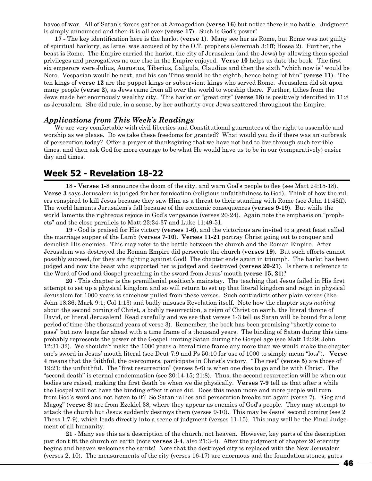havoc of war. All of Satan's forces gather at Armageddon (**verse 16**) but notice there is no battle. Judgment is simply announced and then it is all over (**verse 17**). Such is God's power!

**17 -** The key identification here is the harlot (**verse 1**). Many see her as Rome, but Rome was not guilty of spiritual harlotry, as Israel was accused of by the O.T. prophets (Jeremiah 3:1ff; Hosea 2). Further, the beast is Rome. The Empire carried the harlot, the city of Jerusalem (and the Jews) by allowing them special privileges and prerogatives no one else in the Empire enjoyed. **Verse 10** helps us date the book. The first six emperors were Julius, Augustus, Tiberius, Caligula, Claudius and then the sixth "which now is" would be Nero. Vespasian would be next, and his son Titus would be the eighth, hence being "of him" (**verse 11**). The ten kings of **verse 12** are the puppet kings or subservient kings who served Rome. Jerusalem did sit upon many people (**verse 2**), as Jews came from all over the world to worship there. Further, tithes from the Jews made her enormously wealthy city. This harlot or "great city" (**verse 18**) is positively identified in 11:8 as Jerusalem. She did rule, in a sense, by her authority over Jews scattered throughout the Empire.

## *Applications from This Week's Readings*

We are very comfortable with civil liberties and Constitutional guarantees of the right to assemble and worship as we please. Do we take these freedoms for granted? What would you do if there was an outbreak of persecution today? Offer a prayer of thanksgiving that we have not had to live through such terrible times, and then ask God for more courage to be what He would have us to be in our (comparatively) easier day and times.

## **Week 52 - Revelation 18-22**

**18 - Verses 1-8** announce the doom of the city, and warn God's people to flee (see Matt 24:15-18). **Verse 3** says Jerusalem is judged for her fornication (religious unfaithfulness to God). Think of how the rulers conspired to kill Jesus because they saw Him as a threat to their standing with Rome (see John 11:48ff). The world laments Jerusalem's fall because of the economic consequences (**verses 9-19**). But while the world laments the righteous rejoice in God's vengeance (verses 20-24). Again note the emphasis on "prophets" and the close parallels to Matt 23:34-37 and Luke 11:49-51.

**19** - God is praised for His victory (**verses 1-6**), and the victorious are invited to a great feast called the marriage supper of the Lamb (**verses 7-10**). **Verses 11-21** portray Christ going out to conquer and demolish His enemies. This may refer to the battle between the church and the Roman Empire. After Jerusalem was destroyed the Roman Empire did persecute the church (**verses 19**). But such efforts cannot possibly succeed, for they are fighting against God! The chapter ends again in triumph. The harlot has been judged and now the beast who supported her is judged and destroyed (**verses 20-21**). Is there a reference to the Word of God and Gospel preaching in the sword from Jesus' mouth (**verse 15, 21**)?

**20** - This chapter is the premillenial position's mainstay. The teaching that Jesus failed in His first attempt to set up a physical kingdom and so will return to set up that literal kingdom and reign in physical Jerusalem for 1000 years is somehow pulled from these verses. Such contradicts other plain verses (like John 18:36; Mark 9:1; Col 1:13) and badly misuses Revelation itself. Note how the chapter says *nothing* about the second coming of Christ, a bodily resurrection, a reign of Christ on earth, the literal throne of David, or literal Jerusalem! Read carefully and we see that verses 1-3 tell us Satan will be bound for a long period of time (the thousand years of verse 3). Remember, the book has been promising "shortly come to pass" but now leaps far ahead with a time frame of a thousand years. The binding of Satan during this time probably represents the power of the Gospel limiting Satan during the Gospel age (see Matt 12:29; John 12:31-32). We shouldn't make the 1000 years a literal time frame any more than we would make the chapter one's sword in Jesus' mouth literal (see Deut 7:9 and Ps 50:10 for use of 1000 to simply mean "lots"). **Verse 4** means that the faithful, the overcomers, participate in Christ's victory. "The rest" (**verse 5**) are those of 19:21: the unfaithful. The "first resurrection" (verses 5-6) is when one dies to go and be with Christ. The "second death" is eternal condemnation (see 20:14-15; 21:8). Thus, the second resurrection will be when our bodies are raised, making the first death be when we die physically. **Verses 7-9** tell us that after a while the Gospel will not have the binding effect it once did. Does this mean more and more people will turn from God's word and not listen to it? So Satan rallies and persecution breaks out again (verse 7). "Gog and Magog" (**verse 8**) are from Ezekiel 38, where they appear as enemies of God's people. They may attempt to attack the church but Jesus suddenly destroys them (verses 9-10). This may be Jesus' second coming (see 2 Thess 1:7-9), which leads directly into a scene of judgment (verses 11-15). This may well be the Final Judgement of all humanity.

**21** - Many see this as a description of the church, not heaven. However, key parts of the description just don't fit the church on earth (note **verses 3-4**, also 21:3-4). After the judgment of chapter 20 eternity begins and heaven welcomes the saints! Note that the destroyed city is replaced with the New Jerusalem (verses 2, 10). The measurements of the city (verses 16-17) are enormous and the foundation stones, gates

46